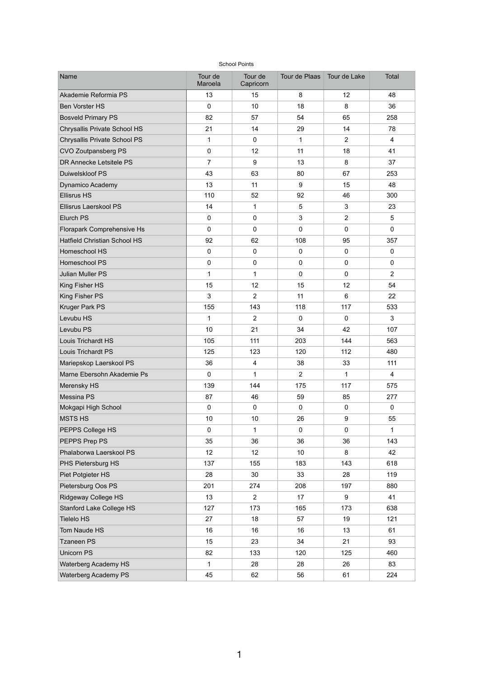| <b>School Points</b>                |                    |                      |                 |                |                |  |  |  |  |  |
|-------------------------------------|--------------------|----------------------|-----------------|----------------|----------------|--|--|--|--|--|
| <b>Name</b>                         | Tour de<br>Maroela | Tour de<br>Capricorn | Tour de Plaas   | Tour de Lake   | <b>Total</b>   |  |  |  |  |  |
| Akademie Reformia PS                | 13                 | 15                   | 8               | 12             | 48             |  |  |  |  |  |
| <b>Ben Vorster HS</b>               | $\overline{0}$     | 10                   | 18              | 8              | 36             |  |  |  |  |  |
| <b>Bosveld Primary PS</b>           | 82                 | 57                   | 54              | 65             | 258            |  |  |  |  |  |
| <b>Chrysallis Private School HS</b> | 21                 | 14                   | 29              | 14             | 78             |  |  |  |  |  |
| <b>Chrysallis Private School PS</b> | 1                  | $\overline{0}$       | 1               | $\overline{2}$ | 4              |  |  |  |  |  |
| <b>CVO Zoutpansberg PS</b>          | $\overline{0}$     | 12 <sup>°</sup>      | 11              | 18             | 41             |  |  |  |  |  |
| DR Annecke Letsitele PS             | $\overline{7}$     | 9                    | 13              | 8              | 37             |  |  |  |  |  |
| Duiwelskloof PS                     | 43                 | 63                   | 80              | 67             | 253            |  |  |  |  |  |
| <b>Dynamico Academy</b>             | 13                 | 11                   | 9               | 15             | 48             |  |  |  |  |  |
| <b>Ellisrus HS</b>                  | 110                | 52                   | 92              | 46             | 300            |  |  |  |  |  |
| Ellisrus Laerskool PS               | 14                 | 1                    | 5               | 3              | 23             |  |  |  |  |  |
| Elurch PS                           | $\mathbf 0$        | $\overline{0}$       | 3               | $\overline{2}$ | 5              |  |  |  |  |  |
| <b>Florapark Comprehensive Hs</b>   | $\overline{0}$     | $\overline{0}$       | $\overline{0}$  | $\overline{0}$ | $\overline{0}$ |  |  |  |  |  |
| <b>Hatfield Christian School HS</b> | 92                 | 62                   | 108             | 95             | 357            |  |  |  |  |  |
| <b>Homeschool HS</b>                | $\overline{0}$     | $\overline{0}$       | $\overline{0}$  | $\overline{0}$ | 0              |  |  |  |  |  |
| <b>Homeschool PS</b>                | $\overline{0}$     | $\overline{0}$       | $\overline{0}$  | $\mathbf 0$    | $\mathbf 0$    |  |  |  |  |  |
| <b>Julian Muller PS</b>             | 1                  | 1                    | $\mathbf 0$     | $\overline{0}$ | $\overline{2}$ |  |  |  |  |  |
| <b>King Fisher HS</b>               | 15                 | 12                   | 15              | 12             | 54             |  |  |  |  |  |
| <b>King Fisher PS</b>               | $\mathbf{3}$       | $\overline{2}$       | 11              | 6              | 22             |  |  |  |  |  |
| <b>Kruger Park PS</b>               | 155                | 143                  | 118             | 117            | 533            |  |  |  |  |  |
| Levubu HS                           | $\mathbf 1$        | $\overline{2}$       | $\overline{0}$  | $\overline{0}$ | 3 <sup>1</sup> |  |  |  |  |  |
| Levubu PS                           | 10                 | 21                   | 34              | 42             | 107            |  |  |  |  |  |
| <b>Louis Trichardt HS</b>           | 105                | 111                  | 203             | 144            | 563            |  |  |  |  |  |
| <b>Louis Trichardt PS</b>           | 125                | 123                  | 120             | 112            | 480            |  |  |  |  |  |
| Mariepskop Laerskool PS             | 36                 | $\overline{4}$       | 38              | 33             | 111            |  |  |  |  |  |
| Marne Ebersohn Akademie Ps          | $\overline{0}$     | $\mathbf 1$          | 2               | 1              | $\overline{4}$ |  |  |  |  |  |
| <b>Merensky HS</b>                  | 139                | 144                  | 175             | 117            | 575            |  |  |  |  |  |
| Messina PS                          | 87                 | 46                   | 59              | 85             | 277            |  |  |  |  |  |
| Mokgapi High School                 | $\overline{0}$     | $\mathbf 0$          | $\overline{0}$  | $\overline{0}$ | $\overline{0}$ |  |  |  |  |  |
| <b>MSTS HS</b>                      | 10                 | 10 <sup>°</sup>      | 26              | $9$            | 55             |  |  |  |  |  |
| PEPPS College HS                    | $\overline{0}$     | $\mathbf 1$          | $\overline{0}$  | $\overline{0}$ | 1              |  |  |  |  |  |
| PEPPS Prep PS                       | 35                 | 36                   | 36              | 36             | 143            |  |  |  |  |  |
| Phalaborwa Laerskool PS             | 12                 | 12                   | 10 <sup>°</sup> | 8              | 42             |  |  |  |  |  |
| PHS Pietersburg HS                  | 137                | 155                  | 183             | 143            | 618            |  |  |  |  |  |
| Piet Potgieter HS                   | 28                 | 30                   | 33              | 28             | 119            |  |  |  |  |  |
| Pietersburg Oos PS                  | 201                | 274                  | 208             | 197            | 880            |  |  |  |  |  |
| <b>Ridgeway College HS</b>          | 13                 | $\overline{2}$       | 17              | 9              | 41             |  |  |  |  |  |
| <b>Stanford Lake College HS</b>     | 127                | 173                  | 165             | 173            | 638            |  |  |  |  |  |
| <b>Tielelo HS</b>                   | 27                 | 18                   | 57              | 19             | 121            |  |  |  |  |  |
| <b>Tom Naude HS</b>                 | 16                 | 16                   | 16              | 13             | 61             |  |  |  |  |  |
| <b>Tzaneen PS</b>                   | 15                 | 23                   | 34              | 21             | 93             |  |  |  |  |  |
| <b>Unicorn PS</b>                   | 82                 | 133                  | 120             | 125            | 460            |  |  |  |  |  |
| <b>Waterberg Academy HS</b>         | $\mathbf 1$        | 28                   | 28              | 26             | 83             |  |  |  |  |  |
| <b>Waterberg Academy PS</b>         | 45                 | 62                   | 56              | 61             | 224            |  |  |  |  |  |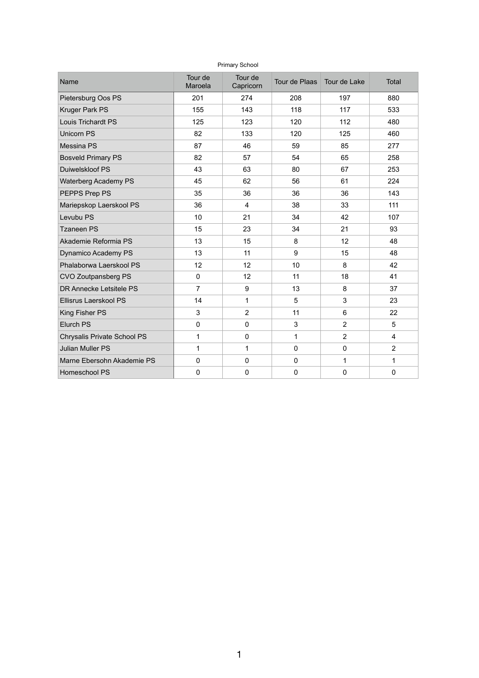| <b>Primary School</b>              |                    |                      |                |                |                |  |  |  |  |  |
|------------------------------------|--------------------|----------------------|----------------|----------------|----------------|--|--|--|--|--|
| <b>Name</b>                        | Tour de<br>Maroela | Tour de<br>Capricorn | Tour de Plaas  | Tour de Lake   | <b>Total</b>   |  |  |  |  |  |
| Pietersburg Oos PS                 | 201                | 274                  | 208            | 197            | 880            |  |  |  |  |  |
| <b>Kruger Park PS</b>              | 155                | 143                  | 118            | 117            | 533            |  |  |  |  |  |
| <b>Louis Trichardt PS</b>          | 125                | 123                  | 120            | 112            | 480            |  |  |  |  |  |
| <b>Unicorn PS</b>                  | 82                 | 133                  | 120            | 125            | 460            |  |  |  |  |  |
| <b>Messina PS</b>                  | 87                 | 46                   | 59             | 85             | 277            |  |  |  |  |  |
| <b>Bosveld Primary PS</b>          | 82                 | 57                   | 54             | 65             | 258            |  |  |  |  |  |
| Duiwelskloof PS                    | 43                 | 63                   | 80             | 67             | 253            |  |  |  |  |  |
| <b>Waterberg Academy PS</b>        | 45                 | 62                   | 56             | 61             | 224            |  |  |  |  |  |
| PEPPS Prep PS                      | 35                 | 36                   | 36             | 36             | 143            |  |  |  |  |  |
| Mariepskop Laerskool PS            | 36                 | $\overline{4}$       | 38             | 33             | 111            |  |  |  |  |  |
| Levubu PS                          | 10 <sup>°</sup>    | 21                   | 34             | 42             | 107            |  |  |  |  |  |
| <b>Tzaneen PS</b>                  | 15                 | 23                   | 34             | 21             | 93             |  |  |  |  |  |
| Akademie Reformia PS               | 13                 | 15                   | 8              | 12             | 48             |  |  |  |  |  |
| <b>Dynamico Academy PS</b>         | 13                 | 11                   | 9              | 15             | 48             |  |  |  |  |  |
| Phalaborwa Laerskool PS            | 12 <sub>2</sub>    | 12                   | 10             | 8              | 42             |  |  |  |  |  |
| <b>CVO Zoutpansberg PS</b>         | $\overline{0}$     | 12                   | 11             | 18             | 41             |  |  |  |  |  |
| <b>DR Annecke Letsitele PS</b>     | 7                  | 9                    | 13             | 8              | 37             |  |  |  |  |  |
| <b>Ellisrus Laerskool PS</b>       | 14                 |                      | 5              | 3              | 23             |  |  |  |  |  |
| <b>King Fisher PS</b>              | 3                  | $\overline{2}$       | 11             | 6              | 22             |  |  |  |  |  |
| <b>Elurch PS</b>                   | 0                  | $\overline{0}$       | 3              | $\overline{2}$ | 5              |  |  |  |  |  |
| <b>Chrysalis Private School PS</b> |                    | $\overline{0}$       |                | $\overline{2}$ | $\overline{4}$ |  |  |  |  |  |
| <b>Julian Muller PS</b>            |                    |                      | 0              | $\overline{0}$ | $\overline{2}$ |  |  |  |  |  |
| Marne Ebersohn Akademie PS         | 0                  | $\overline{0}$       | 0              |                | 1              |  |  |  |  |  |
| Homeschool PS                      | $\boldsymbol{0}$   | $\mathbf 0$          | $\overline{0}$ | $\mathbf 0$    | $\overline{0}$ |  |  |  |  |  |

1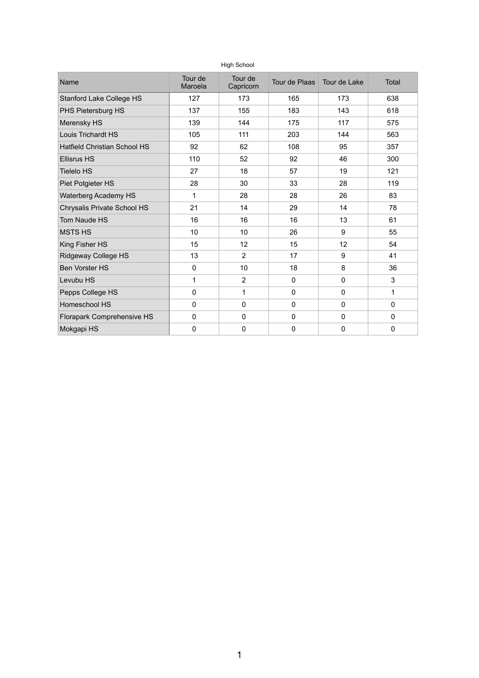| <b>High School</b>                  |                                            |                  |                              |                  |                |  |  |  |  |  |
|-------------------------------------|--------------------------------------------|------------------|------------------------------|------------------|----------------|--|--|--|--|--|
| <b>Name</b>                         | Tour de<br>Tour de<br>Maroela<br>Capricorn |                  | Tour de Plaas   Tour de Lake |                  | <b>Total</b>   |  |  |  |  |  |
| <b>Stanford Lake College HS</b>     | 127                                        | 173              | 165                          | 173              | 638            |  |  |  |  |  |
| PHS Pietersburg HS                  | 137                                        | 155              | 183                          | 143              | 618            |  |  |  |  |  |
| <b>Merensky HS</b>                  | 139                                        | 144              | 175                          | 117              | 575            |  |  |  |  |  |
| <b>Louis Trichardt HS</b>           | 105                                        | 111              | 203                          | 144              | 563            |  |  |  |  |  |
| <b>Hatfield Christian School HS</b> | 92                                         | 62               | 108                          | 95               | 357            |  |  |  |  |  |
| <b>Ellisrus HS</b>                  | 110                                        | 52               | 92                           | 46               | 300            |  |  |  |  |  |
| <b>Tielelo HS</b>                   | 27                                         | 18               | 57                           | 19               | 121            |  |  |  |  |  |
| <b>Piet Potgieter HS</b>            | 28                                         | 30               | 33                           | 28               | 119            |  |  |  |  |  |
| <b>Waterberg Academy HS</b>         | 1                                          | 28               | 28                           | 26               | 83             |  |  |  |  |  |
| <b>Chrysalis Private School HS</b>  | 21                                         | 14               | 29                           | 14               | 78             |  |  |  |  |  |
| <b>Tom Naude HS</b>                 | 16                                         | 16               | 16                           | 13               | 61             |  |  |  |  |  |
| <b>MSTS HS</b>                      | 10                                         | 10               | 26                           | 9                | 55             |  |  |  |  |  |
| <b>King Fisher HS</b>               | 15                                         | 12               | 15                           | 12 <sub>2</sub>  | 54             |  |  |  |  |  |
| <b>Ridgeway College HS</b>          | 13                                         | 2                | 17                           | 9                | 41             |  |  |  |  |  |
| <b>Ben Vorster HS</b>               | $\overline{0}$                             | 10               | 18                           | 8                | 36             |  |  |  |  |  |
| Levubu HS                           | 1                                          | 2                | $\overline{0}$               | $\overline{0}$   | $\mathfrak{S}$ |  |  |  |  |  |
| Pepps College HS                    | $\boldsymbol{0}$                           | 1                | $\boldsymbol{0}$             | $\boldsymbol{0}$ | 1              |  |  |  |  |  |
| Homeschool HS                       | $\mathbf 0$                                | $\mathbf 0$      | $\mathbf 0$                  | $\overline{0}$   | $\mathbf 0$    |  |  |  |  |  |
| <b>Florapark Comprehensive HS</b>   | $\mathbf 0$                                | $\mathbf 0$      | $\mathbf 0$                  | $\overline{0}$   | $\mathbf 0$    |  |  |  |  |  |
| Mokgapi HS                          | $\boldsymbol{0}$                           | $\boldsymbol{0}$ | $\boldsymbol{0}$             | $\boldsymbol{0}$ | $\mathbf 0$    |  |  |  |  |  |

1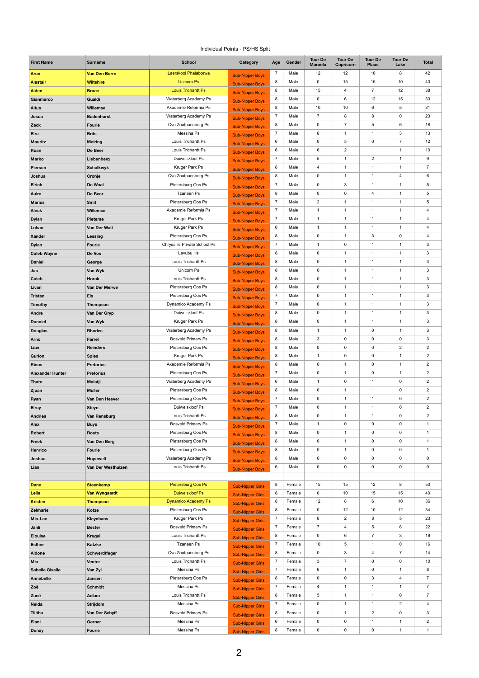## Individual Points - PS/HS Split

| <b>First Name</b>                       | <b>Surname</b>                       | <b>School</b>                                   | Category                                           | Age                 | Gender           | <b>Tour De</b><br><b>Maroela</b> | <b>Tour De</b><br>Capricorn   | <b>Tour De</b><br><b>Plaas</b>   | <b>Tour De</b><br>Lake         | <b>Total</b>                     |
|-----------------------------------------|--------------------------------------|-------------------------------------------------|----------------------------------------------------|---------------------|------------------|----------------------------------|-------------------------------|----------------------------------|--------------------------------|----------------------------------|
| <b>Aron</b>                             | <b>Van Den Borre</b>                 | Laerskool Phalaborwa                            | <b>Sub-Nipper Boys</b>                             | $\overline{7}$      | Male             | 12                               | 12                            | 10                               | 8                              | 42                               |
| <b>Alastair</b>                         | <b>Wiltshire</b>                     | <b>Unicorn Ps</b>                               | <b>Sub-Nipper Boys</b>                             | 8                   | Male             | $\mathbf 0$                      | 15                            | 15                               | 10                             | 40                               |
| <b>Aiden</b>                            | <b>Bruce</b>                         | <b>Louis Trichardt Ps</b>                       | <b>Sub-Nipper Boys</b>                             | 8                   | Male             | 15                               | $\overline{4}$                | $\overline{7}$                   | 12                             | 38                               |
| Gianmarco                               | Gualdi                               | Waterberg Academy Ps                            | <b>Sub-Nipper Boys</b>                             | 8                   | Male             | $\mathbf 0$                      | 6                             | 12                               | 15                             | 33                               |
| <b>Altus</b>                            | <b>Willemse</b>                      | Akademie Reformia Ps                            | <b>Sub-Nipper Boys</b>                             | 8                   | Male             | 10                               | 10                            | $\,6\,$                          | 5                              | 31                               |
| Josua                                   | <b>Badenhorst</b>                    | Waterberg Academy Ps                            | <b>Sub-Nipper Boys</b>                             | 7                   | Male             | $\overline{7}$                   | 8                             | 8                                | $\mathbf 0$                    | 23                               |
| Zack                                    | <b>Fourie</b>                        | Cvo Zoutpansberg Ps                             | <b>Sub-Nipper Boys</b>                             | 8                   | Male             | $\mathbf 0$                      | $\overline{7}$                | $\sqrt{5}$                       | $6\phantom{.}6$                | 18                               |
| <b>Elru</b>                             | <b>Brits</b>                         | Messina Ps                                      | <b>Sub-Nipper Boys</b>                             | $\overline{7}$      | Male             | 8                                | $\overline{1}$                | $\mathbf{1}$                     | $\mathbf{3}$                   | 13                               |
| <b>Mauritz</b>                          | <b>Meiring</b>                       | Louis Trichardt Ps                              | <b>Sub-Nipper Boys</b>                             | 6                   | Male             | $\mathbf 0$                      | 5                             | $\mathbf 0$                      | $\overline{7}$                 | 12                               |
| Ruan                                    | De Beer                              | Louis Trichardt Ps<br>Duiwelskloof Ps           | <b>Sub-Nipper Boys</b>                             | 6<br>$\overline{7}$ | Male<br>Male     | 6                                | $\overline{c}$<br>$\mathbf 1$ | $\mathbf{1}$<br>$\overline{2}$   | $\mathbf{1}$<br>$\overline{1}$ | 10<br>$\boldsymbol{9}$           |
| <b>Marko</b>                            | Liebenberg                           | Kruger Park Ps                                  | <b>Sub-Nipper Boys</b>                             | 8                   | Male             | 5<br>$\overline{4}$              | 1                             | $\mathbf 1$                      | $\mathbf 1$                    | $\overline{7}$                   |
| <b>Pierson</b><br>Joshua                | <b>Schalkwyk</b><br>Cronje           | Cvo Zoutpansberg Ps                             | <b>Sub-Nipper Boys</b>                             | 8                   | Male             | $\mathbf 0$                      | $\mathbf 1$                   | $\mathbf{1}$                     | $\overline{4}$                 | $\,6$                            |
| <b>Elrich</b>                           | De Waal                              | Pietersburg Oos Ps                              | <b>Sub-Nipper Boys</b>                             | $\overline{7}$      | Male             | $\mathbf 0$                      | 3                             | $\mathbf{1}$                     | $\mathbf 1$                    | $\mathbf 5$                      |
| <b>Aulro</b>                            | De Beer                              | <b>Tzaneen Ps</b>                               | <b>Sub-Nipper Boys</b>                             | 8                   | Male             | $\mathbf 0$                      | 0                             | $\overline{4}$                   | $\overline{1}$                 | 5                                |
| <b>Marius</b>                           | <b>Smit</b>                          | Pietersburg Oos Ps                              | <b>Sub-Nipper Boys</b>                             | $\overline{7}$      | Male             | $\overline{2}$                   | $\overline{1}$                | $\mathbf{1}$                     | $\mathbf{1}$                   | $\mathbf 5$                      |
| <b>Aleck</b>                            | <b>Willemse</b>                      | Akademie Reformia Ps                            | <b>Sub-Nipper Boys</b>                             | $\overline{7}$      | Male             | $\mathbf{1}$                     | $\overline{1}$                | $\mathbf{1}$                     | $\mathbf{1}$                   | $\overline{\mathbf{4}}$          |
| <b>Dylan</b>                            | <b>Pieterse</b>                      | Kruger Park Ps                                  | <b>Sub-Nipper Boys</b><br><b>Sub-Nipper Boys</b>   | 7                   | Male             | 1                                | 1                             | $\mathbf{1}$                     | $\overline{1}$                 | 4                                |
| Lohan                                   | <b>Van Der Walt</b>                  | Kruger Park Ps                                  | <b>Sub-Nipper Boys</b>                             | 6                   | Male             | $\mathbf{1}$                     | $\mathbf 1$                   | $\mathbf{1}$                     | $\mathbf{1}$                   | $\overline{\mathbf{4}}$          |
| <b>Xander</b>                           | <b>Lessing</b>                       | Pietersburg Oos Ps                              | <b>Sub-Nipper Boys</b>                             | 8                   | Male             | $\mathbf 0$                      | $\overline{1}$                | $\sqrt{3}$                       | $\mathbf 0$                    | $\overline{\mathbf{4}}$          |
| <b>Dylan</b>                            | <b>Fourie</b>                        | Chrysallis Private School Ps                    | <b>Sub-Nipper Boys</b>                             | $\overline{7}$      | Male             |                                  | 0                             | 1                                | -1                             | 3                                |
| <b>Caleb Wayne</b>                      | De Vos                               | Lavubu Hs                                       | <b>Sub-Nipper Boys</b>                             | 8                   | Male             | $\mathbf 0$                      | $\overline{1}$                | $\mathbf{1}$                     | $\overline{1}$                 | 3                                |
| <b>Daniel</b>                           | George                               | Louis Trichardt Ps                              | <b>Sub-Nipper Boys</b>                             | 8                   | Male             | $\mathbf 0$                      | $\overline{1}$                | $\mathbf{1}$                     | $\mathbf{1}$                   | $\mathfrak{S}$                   |
| Jac                                     | Van Wyk                              | Unicorn Ps                                      | <b>Sub-Nipper Boys</b>                             | 8                   | Male             | $\mathbf 0$                      | $\overline{1}$                | $\mathbf{1}$                     | $\mathbf 1$                    | $\mathfrak{S}$                   |
| <b>Caleb</b>                            | <b>Horak</b>                         | Louis Trichardt Ps                              | <b>Sub-Nipper Boys</b>                             | 8                   | Male             | $\mathbf 0$                      | $\overline{1}$                | $\mathbf{1}$                     | $\mathbf{1}$                   | $\mathbf{3}$                     |
| Livan                                   | Van Der Merwe                        | Pietersburg Oos Ps                              | <b>Sub-Nipper Boys</b>                             | 8                   | Male             | $\mathbf 0$                      | $\overline{1}$                | $\mathbf{1}$                     | $\mathbf{1}$                   | $\mathfrak{S}$                   |
| <b>Tristan</b>                          | <b>Els</b>                           | Pietersburg Oos Ps                              | <b>Sub-Nipper Boys</b>                             |                     | Male             | $\mathbf 0$                      | $\mathbf 1$                   | $\mathbf{1}$                     | $\mathbf 1$                    | $\mathfrak{S}$                   |
| <b>Timothy</b>                          | <b>Thompson</b>                      | Dynamico Academy Ps                             | <b>Sub-Nipper Boys</b>                             | $\overline{7}$      | Male             | $\mathbf 0$                      | $\mathbf 1$                   | $\mathbf{1}$                     | $\mathbf{1}$                   | $\mathbf{3}$                     |
| <b>Andre</b>                            | Van Der Gryp                         | Duiwelskloof Ps                                 | <b>Sub-Nipper Boys</b>                             | 8                   | Male             | $\mathbf 0$                      | $\overline{1}$                | $\mathbf{1}$                     | $\mathbf{1}$                   | $\mathfrak{S}$                   |
| <b>Danniel</b>                          | Van Wyk                              | Kruger Park Ps                                  | <b>Sub-Nipper Boys</b>                             | 8                   | Male             | $\mathbf 0$                      | $\overline{1}$                | $\mathbf{1}$                     | $\mathbf{1}$                   | $\mathfrak{S}$                   |
| <b>Douglas</b>                          | <b>Rhodes</b>                        | Waterberg Academy Ps                            | <b>Sub-Nipper Boys</b>                             | 8                   | Male             | $\mathbf{1}$                     | $\overline{1}$                | $\mathbf 0$                      | $\overline{1}$                 | $\mathbf{3}$                     |
| <b>Arno</b>                             | Farrel                               | <b>Bosveld Primary Ps</b>                       | <b>Sub-Nipper Boys</b>                             | 8                   | Male             | $\mathfrak{S}$                   | 0                             | $\mathbf 0$                      | $\mathbf 0$                    | $\mathfrak{S}$                   |
| Lian                                    | <b>Reinders</b>                      | Pietersburg Oos Ps                              | <b>Sub-Nipper Boys</b>                             | 8                   | Male             | $\mathbf 0$                      | $\mathbf 0$                   | $\mathbf 0$                      | $\overline{2}$                 | $\overline{c}$                   |
| Gurion                                  | <b>Spies</b>                         | Kruger Park Ps<br>Akedemie Reformia Ps          | <b>Sub-Nipper Boys</b>                             | 8                   | Male<br>Male     | $\mathbf{1}$                     | 0<br>$\overline{1}$           | $\mathbf 0$                      | $\overline{1}$<br>$\mathbf 1$  | $\overline{2}$                   |
| <b>Rinus</b><br><b>Alexander Hunter</b> | <b>Pretorius</b><br><b>Pretorius</b> | Pietersburg Oos Ps                              | <b>Sub-Nipper Boys</b>                             | 8                   | Male             | $\mathbf 0$<br>$\mathbf 0$       | $\mathbf 1$                   | $\mathbf 0$<br>$\mathbf 0$       | $\mathbf{1}$                   | $\overline{2}$<br>$\overline{2}$ |
| <b>Thato</b>                            | <b>Malatji</b>                       | Waterberg Academy Ps                            | <b>Sub-Nipper Boys</b>                             | 6                   | Male             | $\mathbf{1}$                     | $\mathbf 0$                   | $\mathbf{1}$                     | $\boldsymbol{0}$               | $\overline{2}$                   |
| Zjuan                                   | <b>Muller</b>                        | Pietersburg Oos Ps                              | <b>Sub-Nipper Boys</b>                             | 8                   | Male             | $\mathbf 0$                      | $\overline{1}$                | $\mathbf{1}$                     | $\mathbf 0$                    | $\overline{2}$                   |
| Ryan                                    | Van Den Heever                       | Pietersburg Oos Ps                              | <b>Sub-Nipper Boys</b>                             |                     | Male             | $\mathbf 0$                      | $\mathbf 1$                   | $\mathbf{1}$                     | $\mathbf 0$                    | $\overline{2}$                   |
| <b>Elroy</b>                            | <b>Steyn</b>                         | Duiwelskloof Ps                                 | <b>Sub-Nipper Boys</b><br><b>Sub-Nipper Boys</b>   | $\overline{7}$      | Male             | $\mathbf 0$                      | $\overline{1}$                | $\mathbf{1}$                     | $\boldsymbol{0}$               | $\overline{2}$                   |
| <b>Andries</b>                          | Van Rensburg                         | Louis Trichardt Ps                              | <b>Sub-Nipper Boys</b>                             | 8                   | Male             | $\mathbf 0$                      | $\overline{1}$                | $\mathbf{1}$                     | $\mathbf 0$                    | $\overline{2}$                   |
| <b>Alex</b>                             | <b>Buys</b>                          | <b>Bosveld Primary Ps</b>                       | <b>Sub-Nipper Boys</b>                             |                     | Male             | $\mathbf{1}$                     | $\mathbf 0$                   | $\mathbf 0$                      | $\mathbf 0$                    | $\mathbf{1}$                     |
| <b>Robert</b>                           | <b>Roets</b>                         | Pietersburg Oos Ps                              | <b>Sub-Nipper Boys</b>                             | 8                   | Male             | $\mathbf 0$                      | $\mathbf 1$                   | $\mathbf 0$                      | $\boldsymbol{0}$               | $\mathbf 1$                      |
| <b>Freek</b>                            | Van Den Berg                         | Pietersburg Oos Ps                              | <b>Sub-Nipper Boys</b>                             | 8                   | Male             | 0                                | -1                            | $\mathbf 0$                      | $\mathbf 0$                    | -1                               |
| Henrico                                 | <b>Fourie</b>                        | Pietersburg Oos Ps                              | <b>Sub-Nipper Boys</b>                             | 8                   | Male             | $\mathbf 0$                      | 1                             | $\mathbf 0$                      | $\mathbf 0$                    | $\mathbf{1}$                     |
| Joshua                                  | <b>Hopewell</b>                      | Waterberg Academy Ps                            | <b>Sub-Nipper Boys</b>                             | 8                   | Male             | $\mathbf 0$                      | $\mathbf 0$                   | $\pmb{0}$                        | $\boldsymbol{0}$               | $\pmb{0}$                        |
| Lian                                    | Van Der Westhuizen                   | Louis Trichardt Ps                              | <b>Sub-Nipper Boys</b>                             | 6                   | Male             | $\mathbf 0$                      | $\mathbf 0$                   | $\mathbf 0$                      | $\mathbf 0$                    | 0                                |
|                                         |                                      |                                                 |                                                    |                     |                  |                                  |                               |                                  |                                |                                  |
| <b>Dane</b>                             | <b>Steenkamp</b>                     | Pietersburg Oos Ps                              | <b>Sub-Nipper Girls</b>                            | 8                   | Female           | 15                               | 15                            | 12                               | $\bf 8$                        | 50                               |
| Leila                                   | <b>Van Wyngaardt</b>                 | <b>Duiwelskloof Ps</b>                          | <b>Sub-Nipper Girls</b>                            | 8                   | Female           | $\mathbf 0$                      | 10                            | 15                               | 15                             | 40                               |
| <b>Kristen</b>                          | <b>Thompson</b>                      | <b>Dynamico Academy Ps</b>                      | <b>Sub-Nipper Girls</b>                            | 8                   | Female           | 12                               | 8                             | 6                                | 10                             | 36                               |
| <b>Zelmarie</b>                         | Kotze                                | Pietersburg Oos Ps                              | <b>Sub-Nipper Girls</b>                            | 8                   | Female           | $\mathbf 0$                      | 12                            | 10                               | 12                             | 34                               |
| Mia-Lee                                 | <b>Kleynhans</b>                     | Kruger Park Ps                                  | <b>Sub-Nipper Girls</b>                            | $\overline{7}$      | Female           | 8<br>$\overline{7}$              | $\overline{c}$                | 8                                | $5\phantom{.0}$                | 23<br>22                         |
| Janli<br><b>Elouise</b>                 | <b>Bester</b><br><b>Krugel</b>       | <b>Bosveld Primary Ps</b><br>Louis Trichardt Ps | <b>Sub-Nipper Girls</b>                            | 8                   | Female<br>Female | $\mathbf 0$                      | 4<br>6                        | $\overline{5}$<br>$\overline{7}$ | 6<br>$\sqrt{3}$                | 16                               |
| <b>Esther</b>                           | <b>Katzke</b>                        | <b>Tzaneen Ps</b>                               | <b>Sub-Nipper Girls</b>                            |                     | Female           | 10                               | 5                             | $\mathbf{1}$                     | $\mathbf 0$                    | 16                               |
| <b>Aldone</b>                           | Schwerdtfeger                        | Cvo Zoutpansberg Ps                             | <b>Sub-Nipper Girls</b>                            | 8                   | Female           | $\mathbf 0$                      | 3                             | $\overline{4}$                   | $\overline{7}$                 | 14                               |
| Mia                                     | <b>Venter</b>                        | Louis Trichardt Ps                              | <b>Sub-Nipper Girls</b>                            |                     | Female           | 3                                | $\overline{7}$                | $\mathbf 0$                      | $\mathbf 0$                    | 10                               |
| <b>Sabella Giselle</b>                  | Van Zyl                              | Messina Ps                                      | <b>Sub-Nipper Girls</b><br><b>Sub-Nipper Girls</b> |                     | Female           | 6                                | 1                             | $\mathbf 0$                      | $\mathbf{1}$                   | 8                                |
| <b>Annebelle</b>                        | Jansen                               | Pietersburg Oos Ps                              | <b>Sub-Nipper Girls</b>                            | 8                   | Female           | $\mathbf 0$                      | 0                             | $\mathfrak{3}$                   | 4                              | $\overline{7}$                   |
| Zoë                                     | <b>Schmidt</b>                       | Messina Ps                                      | <b>Sub-Nipper Girls</b>                            |                     | Female           | $\overline{4}$                   | 1                             | $\mathbf{1}$                     | $\mathbf{1}$                   | $\overline{7}$                   |
| Zané                                    | Adlam                                | Louis Trichardt Ps                              | <b>Sub-Nipper Girls</b>                            | 8                   | Female           | 5                                | 1                             | $\mathbf{1}$                     | $\mathbf 0$                    | $\overline{7}$                   |
| <b>Nelda</b>                            | <b>Strijdom</b>                      | Messina Ps                                      | <b>Sub-Nipper Girls</b>                            |                     | Female           | $\mathbf 0$                      | 1                             | $\mathbf 1$                      | 2                              | $\overline{\mathbf{4}}$          |
| <b>Tilitha</b>                          | Van Der Schyff                       | <b>Bosveld Primary Ps</b>                       | <b>Sub-Nipper Girls</b>                            | 8                   | Female           | $\mathbf 0$                      | $\mathbf 1$                   | $\overline{2}$                   | $\pmb{0}$                      | 3                                |
| Elani                                   | Gerner                               | Messina Ps                                      | <b>Sub-Nipper Girls</b>                            | 6                   | Female           | $\mathbf 0$                      | $\mathbf 0$                   | $\mathbf 1$                      | $\mathbf 1$                    | $\overline{c}$                   |
| <b>Dunay</b>                            | Fourie                               | Messina Ps                                      | <b>Sub-Nipper Girls</b>                            | 8                   | Female           | 0                                | $\boldsymbol{0}$              | $\mathbf 0$                      | $\mathbf{1}$                   | $\mathbf{1}$                     |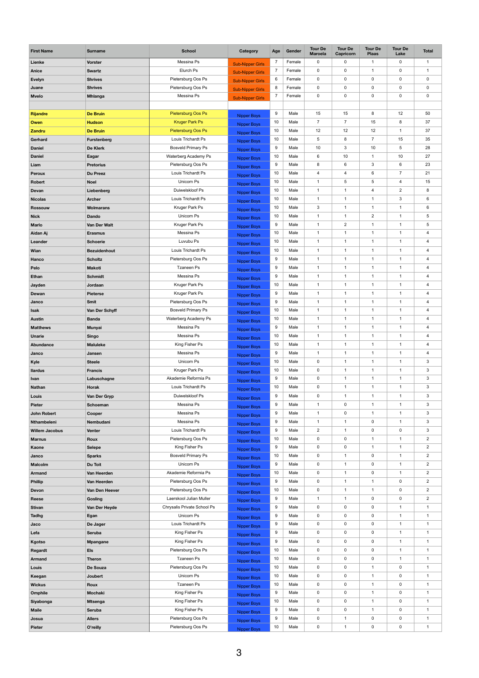| <b>First Name</b>             | <b>Surname</b>                    | <b>School</b>                                 | Category                                 | Age     | Gender       | <b>Tour De</b><br><b>Maroela</b> | <b>Tour De</b><br>Capricorn      | <b>Tour De</b><br><b>Plaas</b> | <b>Tour De</b><br>Lake        | <b>Total</b>                              |
|-------------------------------|-----------------------------------|-----------------------------------------------|------------------------------------------|---------|--------------|----------------------------------|----------------------------------|--------------------------------|-------------------------------|-------------------------------------------|
| Lienke                        | <b>Vorster</b>                    | Messina Ps                                    | <b>Sub-Nipper Girls</b>                  |         | Female       | $\mathbf 0$                      | 0                                | $\mathbf{1}$                   | $\mathbf 0$                   | $\mathbf 1$                               |
| <b>Anice</b>                  | <b>Swartz</b>                     | Elurch Ps                                     | <b>Sub-Nipper Girls</b>                  |         | Female       | $\mathsf{O}$                     | $\mathbf 0$                      | $\mathbf{1}$                   | $\mathbf 0$                   | -1                                        |
| <b>Evelyn</b>                 | <b>Shrives</b>                    | Pietersburg Oos Ps                            | <b>Sub-Nipper Girls</b>                  | 6       | Female       | $\mathsf{O}$                     | 0                                | $\mathbf 0$                    | $\mathbf 0$                   | $\pmb{0}$                                 |
| Juane                         | <b>Shrives</b>                    | Pietersburg Oos Ps                            | <b>Sub-Nipper Girls</b>                  | 8       | Female       | $\mathbf 0$                      | 0                                | $\mathbf 0$                    | $\mathbf 0$                   | $\pmb{0}$                                 |
| <b>Mvelo</b>                  | <b>Mhlanga</b>                    | Messina Ps                                    | <b>Sub-Nipper Girls</b>                  |         | Female       | $\mathbf 0$                      | $\mathbf 0$                      | $\mathbf 0$                    | $\mathbf 0$                   | $\pmb{0}$                                 |
|                               |                                   |                                               |                                          |         |              |                                  |                                  |                                |                               |                                           |
| <b>Rijandre</b>               | <b>De Bruin</b>                   | <b>Pietersburg Oos Ps</b>                     | <b>Nipper Boys</b>                       | 9       | Male         | 15                               | 15                               | 8                              | 12                            | 50                                        |
| <b>Owen</b>                   | <b>Hudson</b>                     | <b>Kruger Park Ps</b>                         | <b>Nipper Boys</b>                       | 10      | Male         | $\overline{7}$                   | $\overline{7}$                   | 15                             | $\bf 8$                       | 37                                        |
| <b>Zandru</b>                 | <b>De Bruin</b>                   | Pietersburg Oos Ps                            | <b>Nipper Boys</b>                       | 10      | Male         | 12                               | 12                               | 12                             | $\mathbf{1}$                  | 37                                        |
| Gerhard                       | Furstenberg                       | Louis Trichardt Ps                            | <b>Nipper Boys</b>                       | 10      | Male         | $\sqrt{5}$                       | 8                                | $\overline{7}$                 | 15                            | 35                                        |
| <b>Daniel</b>                 | <b>De Klerk</b>                   | <b>Bosveld Primary Ps</b>                     | <b>Nipper Boys</b>                       | 9       | Male         | 10                               | 3                                | 10                             | $\overline{5}$                | 28                                        |
| <b>Daniel</b>                 | Eagar                             | Waterberg Academy Ps                          | <b>Nipper Boys</b>                       | 10      | Male         | 6                                | 10                               | $\mathbf{1}$                   | 10                            | 27                                        |
| Liam                          | <b>Pretorius</b>                  | Pietersburg Oos Ps                            | <b>Nipper Boys</b>                       | 9       | Male         | 8                                | 6                                | $\mathbf{3}$                   | 6                             | 23                                        |
| <b>Peroux</b>                 | <b>Du Preez</b>                   | Louis Trichardt Ps                            | <b>Nipper Boys</b>                       | 10      | Male         | $\overline{4}$                   | 4                                | $\,6\,$                        | $\overline{7}$                | 21                                        |
| <b>Robert</b>                 | <b>Noel</b>                       | Unicorn Ps                                    | <b>Nipper Boys</b>                       | 10      | Male         | $\mathbf{1}$                     | 5                                | $\sqrt{5}$                     | $\overline{4}$                | 15                                        |
| Devan                         | Liebenberg                        | Duiwelskloof Ps                               | <b>Nipper Boys</b>                       | 10      | Male         | 1                                | 1                                | 4                              | $\sqrt{2}$                    | 8                                         |
| <b>Nicolas</b>                | <b>Archer</b>                     | Louis Trichardt Ps                            | <b>Nipper Boys</b>                       | 10      | Male         | 1                                | 1                                | $\mathbf{1}$                   | $\mathbf{3}$                  | $\,6$                                     |
| <b>Rossouw</b>                | <b>Wolmarans</b>                  | Kruger Park Ps                                | <b>Nipper Boys</b>                       | 10      | Male         | $\mathbf{3}$                     | $\overline{1}$                   | $\mathbf{1}$                   | $\overline{1}$                | $\,6\,$                                   |
| <b>Nick</b>                   | <b>Dando</b>                      | Unicorn Ps                                    | <b>Nipper Boys</b>                       | 10      | Male         | $\mathbf 1$<br>$\mathbf 1$       | $\overline{1}$                   | $\overline{2}$<br>$\mathbf{1}$ | -1<br>$\mathbf{1}$            | $\,$ 5 $\,$                               |
| <b>Marlo</b>                  | Van Der Walt                      | Kruger Park Ps<br>Messina Ps                  | <b>Nipper Boys</b>                       | 9<br>10 | Male<br>Male | 1                                | $\overline{c}$<br>$\overline{1}$ |                                | $\mathbf{1}$                  | $\mathbf 5$                               |
| Aidan Aj<br>Leander           | <b>Erasmus</b><br><b>Schoerie</b> | Luvubu Ps                                     | Nipper Boys                              | 10      | Male         | 1                                | $\overline{1}$                   | $\mathbf{1}$<br>$\mathbf{1}$   | -1                            | $\overline{4}$<br>$\overline{\mathbf{4}}$ |
|                               | <b>Bezuidenhout</b>               | Louis Trichardt Ps                            | <b>Nipper Boys</b>                       | 10      | Male         | $\mathbf{1}$                     | $\overline{1}$                   | $\mathbf{1}$                   | $\mathbf{1}$                  | $\overline{\mathbf{4}}$                   |
| Wian<br><b>Hanco</b>          | <b>Scholtz</b>                    | Pietersburg Oos Ps                            | <b>Nipper Boys</b>                       | 9       | Male         | $\mathbf{1}$                     | $\overline{1}$                   | $\mathbf 1$                    | $\mathbf{1}$                  | $\overline{\mathbf{4}}$                   |
| Pelo                          | <b>Makoti</b>                     | <b>Tzaneen Ps</b>                             | <b>Nipper Boys</b>                       | 9       | Male         | $\mathbf{1}$                     | $\mathbf 1$                      | $\mathbf{1}$                   | $\mathbf{1}$                  | $\overline{\mathbf{4}}$                   |
| <b>Ethan</b>                  | <b>Schmidt</b>                    | Messina Ps                                    | <b>Nipper Boys</b>                       | 9       | Male         | $\mathbf{1}$                     | $\overline{1}$                   | $\mathbf{1}$                   | $\mathbf{1}$                  | $\overline{\mathbf{4}}$                   |
| Jayden                        | Jordaan                           | Kruger Park Ps                                | <b>Nipper Boys</b>                       | 10      | Male         | $\mathbf{1}$                     | $\overline{1}$                   | $\mathbf{1}$                   | $\mathbf{1}$                  | $\overline{\mathbf{4}}$                   |
| Dewan                         | <b>Pieterse</b>                   | Kruger Park Ps                                | <b>Nipper Boys</b>                       | 9       | Male         | $\mathbf{1}$                     | $\overline{1}$                   | $\mathbf{1}$                   | $\mathbf{1}$                  | $\overline{\mathbf{4}}$                   |
| Janco                         | <b>Smit</b>                       | Pietersburg Oos Ps                            | <b>Nipper Boys</b>                       | 9       | Male         | $\mathbf{1}$                     | $\overline{1}$                   | $\mathbf{1}$                   | $\mathbf{1}$                  | $\overline{\mathbf{4}}$                   |
| <b>Isak</b>                   | Van Der Schyff                    | <b>Bosveld Primary Ps</b>                     | <b>Nipper Boys</b>                       | 10      | Male         | $\mathbf{1}$                     | $\overline{1}$                   | $\mathbf{1}$                   | $\mathbf{1}$                  | $\overline{\mathbf{4}}$                   |
| <b>Austin</b>                 | <b>Banda</b>                      | Waterberg Academy Ps                          | <b>Nipper Boys</b>                       | 10      | Male         | $\mathbf{1}$                     | $\overline{1}$                   | $\mathbf{1}$                   | $\mathbf{1}$                  | $\overline{\mathbf{4}}$                   |
| <b>Matthews</b>               | <b>Munyai</b>                     | Messina Ps                                    | <b>Nipper Boys</b><br><b>Nipper Boys</b> | 9       | Male         | $\mathbf{1}$                     | $\overline{1}$                   | $\mathbf{1}$                   | $\mathbf{1}$                  | $\overline{\mathbf{4}}$                   |
| <b>Unarie</b>                 | <b>Singo</b>                      | Messina Ps                                    | <b>Nipper Boys</b>                       | 10      | Male         | $\mathbf{1}$                     | $\overline{1}$                   | $\mathbf{1}$                   | $\mathbf 1$                   | $\overline{\mathbf{4}}$                   |
| <b>Abundance</b>              | <b>Maluleke</b>                   | King Fisher Ps                                | <b>Nipper Boys</b>                       | 10      | Male         | $\mathbf{1}$                     | $\overline{1}$                   | $\mathbf{1}$                   | $\mathbf{1}$                  | $\overline{\mathbf{4}}$                   |
| Janco                         | Jansen                            | Messina Ps                                    | <b>Nipper Boys</b>                       | 9       | Male         | $\mathbf{1}$                     | $\overline{1}$                   | $\mathbf{1}$                   | $\overline{1}$                | $\overline{\mathbf{4}}$                   |
| <b>Kyle</b>                   | <b>Steele</b>                     | Unicorn Ps                                    | <b>Nipper Boys</b>                       | 10      | Male         | $\mathbf{0}$                     | $\overline{1}$                   | $\mathbf{1}$                   | $\mathbf 1$                   | $\mathfrak{S}$                            |
| <b>Ilardus</b>                | <b>Francis</b>                    | Kruger Park Ps                                | <b>Nipper Boys</b>                       | 10      | Male         | $\mathbf 0$                      | $\overline{1}$                   | $\mathbf{1}$                   | $\overline{1}$                | $\mathfrak{S}$                            |
| <b>Ivan</b>                   | Labuschagne                       | Akademie Reformia Ps                          | <b>Nipper Boys</b>                       | 9       | Male         | $\mathbf 0$                      | 1                                | $\mathbf{1}$                   | $\mathbf{1}$                  | $\mathfrak{S}$                            |
| <b>Nathan</b>                 | <b>Horak</b>                      | Louis Trichardt Ps                            | <b>Nipper Boys</b>                       | 10      | Male         | $\mathbf{0}$                     | $\mathbf 1$                      | $\mathbf{1}$                   | $\mathbf 1$                   | $\mathfrak{S}$                            |
| Louis                         | Van Der Gryp                      | Duiwelskloof Ps                               | <b>Nipper Boys</b>                       | 9       | Male         | $\pmb{0}$                        | $\overline{1}$                   | $\mathbf{1}$                   | $\mathbf{1}$                  | $\mathsf 3$                               |
| <b>Pieter</b>                 | Schoeman                          | Messina Ps                                    | <b>Nipper Boys</b>                       | 9       | Male         | $\mathbf{1}$                     | $\pmb{0}$                        | $\mathbf{1}$                   | $\overline{1}$                | $\mathfrak{S}$                            |
| <b>John Robert</b>            | Cooper                            | Messina Ps                                    | <b>Nipper Boys</b>                       | 9       | Male         | $\mathbf{1}$                     | 0                                | $\mathbf{1}$                   | $\mathbf 1$                   | $\mathfrak{S}$                            |
| Nthambeleni                   | Nembudani                         | Messina Ps                                    | <b>Nipper Boys</b>                       | 9       | Male         | $\mathbf 1$                      | $\mathbf 1$                      | $\pmb{0}$                      | $\mathbf{1}$                  | $\mathfrak{S}$                            |
| <b>Willem Jacobus</b>         | <b>Venter</b>                     | Louis Trichardt Ps                            | <b>Nipper Boys</b>                       | 9       | Male         | $\overline{\mathbf{c}}$          | -1                               | $\mathbf 0$                    | $\pmb{0}$                     | 3                                         |
| <b>Marnus</b>                 | <b>Roux</b>                       | Pietersburg Oos Ps                            | <b>Nipper Boys</b>                       | 10      | Male         | $\mathsf{O}$                     | 0                                | $\mathbf{1}$                   | -1                            | $\sqrt{2}$                                |
| <b>Kaone</b>                  | <b>Selepe</b>                     | King Fisher Ps                                | <b>Nipper Boys</b>                       | 9       | Male         | $\mathbf 0$                      | $\mathbf 0$                      | $\mathbf{1}$                   | $\mathbf 1$                   | $\overline{2}$                            |
| Janco                         | <b>Sparks</b>                     | <b>Bosveld Primary Ps</b>                     | <b>Nipper Boys</b>                       | 10      | Male         | $\mathbf 0$                      | $\mathbf 1$                      | $\pmb{0}$                      | $\mathbf{1}$                  | $\overline{c}$                            |
| <b>Malcolm</b>                | Du Toit                           | Unicorn Ps                                    | <b>Nipper Boys</b>                       | 9       | Male         | $\mathsf{O}$                     | 1                                | $\mathbf 0$                    | $\mathbf 1$                   | $\sqrt{2}$                                |
| <b>Armand</b>                 | Van Heerden                       | Akademie Reformia Ps                          | <b>Nipper Boys</b>                       | 10      | Male         | $\mathbf 0$                      | $\mathbf 1$                      | $\pmb{0}$                      | $\overline{1}$                | $\overline{2}$                            |
| <b>Phillip</b>                | Van Heerden                       | Pietersburg Oos Ps                            | <b>Nipper Boys</b>                       | 9       | Male         | $\mathbf 0$                      | 1                                | $\mathbf{1}$                   | $\boldsymbol{0}$              | $\overline{2}$                            |
| <b>Devon</b>                  | Van Den Heever                    | Pietersburg Oos Ps<br>Laerskool Julian Muller | <b>Nipper Boys</b>                       | 10<br>9 | Male<br>Male | $\mathsf{O}$<br>$\mathbf 1$      | $\overline{1}$<br>$\mathbf 1$    | $\mathbf 1$<br>$\pmb{0}$       | $\pmb{0}$<br>$\boldsymbol{0}$ | $\sqrt{2}$<br>$\overline{c}$              |
| Reese                         | Gosling                           | Chrysalis Private School Ps                   | <b>Nipper Boys</b>                       | 9       | Male         | $\mathbf 0$                      | 0                                | $\pmb{0}$                      | $\overline{1}$                | $\mathbf{1}$                              |
| <b>Stivan</b><br><b>Tadhg</b> | Van Der Heyde<br>Egan             | Unicorn Ps                                    | <b>Nipper Boys</b>                       | 9       | Male         | $\mathbf 0$                      | 0                                | $\mathbf 0$                    | $\mathbf 1$                   | $\mathbf 1$                               |
| Jaco                          | De Jager                          | Louis Trichardt Ps                            | <b>Nipper Boys</b>                       | 9       | Male         | $\mathbf 0$                      | 0                                | $\pmb{0}$                      | $\overline{1}$                | $\mathbf{1}$                              |
| Lefa                          | <b>Seruba</b>                     | King Fisher Ps                                | <b>Nipper Boys</b>                       | 9       | Male         | $\mathbf 0$                      | 0                                | $\pmb{0}$                      | $\overline{1}$                | $\mathbf{1}$                              |
| <b>Kgotso</b>                 | <b>Mpangane</b>                   | King Fisher Ps                                | <b>Nipper Boys</b>                       | 9       | Male         | $\mathbf 0$                      | $\mathbf 0$                      | $\mathbf 0$                    | $\mathbf{1}$                  | -1                                        |
| Regardt                       | <b>Els</b>                        | Pietersburg Oos Ps                            | <b>Nipper Boys</b>                       | 10      | Male         | $\mathbf 0$                      | $\mathbf 0$                      | $\mathbf 0$                    | $\mathbf{1}$                  | $\mathbf 1$                               |
| <b>Armand</b>                 | <b>Theron</b>                     | <b>Tzaneen Ps</b>                             | <b>Nipper Boys</b>                       | 10      | Male         | $\pmb{0}$                        | 0                                | $\pmb{0}$                      | $\mathbf{1}$                  | $\mathbf 1$                               |
| Louis                         | De Souza                          | Pietersburg Oos Ps                            | Nipper Boys                              | 10      | Male         | $\mathbf 0$                      | $\mathbf 0$                      | $\mathbf{1}$                   | $\mathbf 0$                   | $\mathbf 1$                               |
| Keegan                        | Joubert                           | Unicorn Ps                                    | <b>Nipper Boys</b>                       | 10      | Male         | $\mathbf 0$                      | $\mathbf 0$                      | $\mathbf{1}$                   | $\mathbf 0$                   | $\mathbf 1$                               |
| <b>Wickus</b>                 | <b>Roux</b>                       | <b>Tzaneen Ps</b>                             | <b>Nipper Boys</b><br>Nipper Boys        | 10      | Male         | $\mathbf 0$                      | 0                                | $\mathbf 1$                    | $\boldsymbol{0}$              | $\mathbf 1$                               |
| Omphile                       | <b>Mochaki</b>                    | King Fisher Ps                                | <b>Nipper Boys</b>                       | 9       | Male         | $\mathbf 0$                      | 0                                | $\mathbf{1}$                   | $\mathbf 0$                   | $\mathbf 1$                               |
| Siyabonga                     | <b>Mtsenga</b>                    | King Fisher Ps                                | <b>Nipper Boys</b>                       | 10      | Male         | $\mathbf 0$                      | 0                                | $\mathbf{1}$                   | $\mathbf 0$                   | $\mathbf 1$                               |
| <b>Maile</b>                  | <b>Seruba</b>                     | King Fisher Ps                                | <b>Nipper Boys</b>                       | 9       | Male         | $\mathbf 0$                      | 0                                | $\mathbf 1$                    | $\boldsymbol{0}$              | $\mathbf 1$                               |
| Josua                         | <b>Allers</b>                     | Pietersburg Oos Ps                            | Nipper Boys                              | 9       | Male         | 0                                | 1                                | $\pmb{0}$                      | $\pmb{0}$                     |                                           |
| <b>Pieter</b>                 | O'reilly                          | Pietersburg Oos Ps                            | <b>Nipper Boys</b>                       | 10      | Male         | $\mathbf 0$                      | $\overline{1}$                   | $\mathbf 0$                    | $\mathbf 0$                   | $\mathbf{1}$                              |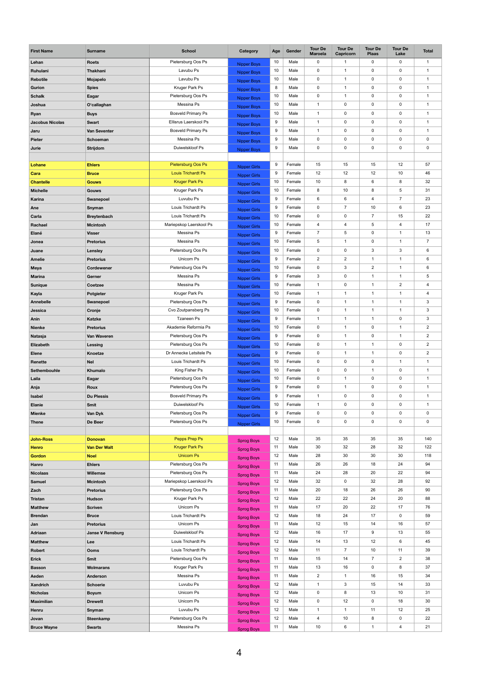| <b>First Name</b>      | <b>Surname</b>          | <b>School</b>                            | Category                                   | Age              | Gender           | <b>Tour De</b><br><b>Maroela</b> | <b>Tour De</b><br><b>Capricorn</b> | <b>Tour De</b><br><b>Plaas</b> | <b>Tour De</b><br>Lake | <b>Total</b>               |
|------------------------|-------------------------|------------------------------------------|--------------------------------------------|------------------|------------------|----------------------------------|------------------------------------|--------------------------------|------------------------|----------------------------|
| Lehan                  | <b>Roets</b>            | Pietersburg Oos Ps                       | <b>Nipper Boys</b>                         | 10               | Male             | 0                                | $\mathbf{1}$                       | $\mathbf 0$                    | $\mathbf 0$            | $\mathbf{1}$               |
| Ruhulani               | <b>Thakhani</b>         | Lavubu Ps                                | <b>Nipper Boys</b>                         | 10               | Male             | $\mathbf 0$                      | $\mathbf 1$                        | $\mathbf 0$                    | $\mathbf 0$            | $\mathbf{1}$               |
| Rebotile               | Mojapelo                | Lavubu Ps                                | <b>Nipper Boys</b>                         | 10               | Male             | $\mathbf 0$                      | $\mathbf{1}$                       | $\mathbf 0$                    | $\mathbf 0$            | $\mathbf{1}$               |
| Gurion                 | <b>Spies</b>            | Kruger Park Ps                           | <b>Nipper Boys</b>                         | 8                | Male             | $\mathbf 0$                      | $\mathbf{1}$                       | $\mathbf 0$                    | 0                      | $\mathbf{1}$               |
| <b>Schalk</b>          | Eagar                   | Pietersburg Oos Ps                       | <b>Nipper Boys</b>                         | 10               | Male             | $\mathbf 0$                      | 1                                  | $\mathbf 0$                    | $\mathbf 0$            | $\mathbf{1}$               |
| Joshua                 | O'callaghan             | Messina Ps                               | <b>Nipper Boys</b>                         | 10               | Male             | $\mathbf{1}$                     | $\mathbf 0$                        | $\mathbf 0$                    | $\mathbf 0$            | $\mathbf{1}$               |
| Ryan                   | <b>Buys</b>             | <b>Bosveld Primary Ps</b>                | <b>Nipper Boys</b>                         | 10               | Male             | $\mathbf{1}$                     | $\mathbf 0$                        | $\mathbf 0$                    | 0                      | $\mathbf{1}$               |
| <b>Jacobus Nicolas</b> | <b>Swart</b>            | Ellisrus Laerskool Ps                    | <b>Nipper Boys</b>                         | 9                | Male             | $\mathbf 1$                      | $\mathbf 0$                        | $\mathbf 0$                    | $\mathbf 0$            | $\mathbf{1}$               |
| Jaru                   | <b>Van Seventer</b>     | <b>Bosveld Primary Ps</b>                | <b>Nipper Boys</b>                         | 9                | Male             | $\mathbf{1}$                     | $\mathbf 0$                        | $\mathbf 0$                    | $\mathbf 0$            | $\mathbf{1}$               |
| <b>Pieter</b>          | <b>Schoeman</b>         | Messina Ps                               | <b>Nipper Boys</b>                         | 9                | Male             | $\mathbf 0$                      | $\mathbf 0$                        | $\mathbf 0$                    | 0                      | $\mathbf 0$                |
| Jurie                  | <b>Strijdom</b>         | Duiwelskloof Ps                          | <b>Nipper Boys</b>                         | 9                | Male             | $\mathbf 0$                      | $\mathbf 0$                        | $\mathbf 0$                    | 0                      | $\mathbf 0$                |
|                        |                         |                                          |                                            |                  |                  |                                  |                                    |                                |                        |                            |
| Lohane                 | <b>Ehlers</b>           | <b>Pietersburg Oos Ps</b>                |                                            | $\boldsymbol{9}$ | Female           | 15                               | 15                                 | 15                             | 12                     | 57                         |
| Cara                   | <b>Bruce</b>            | <b>Louis Trichardt Ps</b>                | <b>Nipper Girls</b><br><b>Nipper Girls</b> | 9                | Female           | 12                               | 12                                 | 12                             | 10                     | 46                         |
| <b>Chantelle</b>       | <b>Gouws</b>            | <b>Kruger Park Ps</b>                    | <b>Nipper Girls</b>                        | 10               | Female           | 10                               | 8                                  | 6                              | 8                      | 32                         |
| <b>Michelle</b>        | <b>Gouws</b>            | Kruger Park Ps                           |                                            | 10               | Female           | 8                                | 10                                 | 8                              | 5                      | 31                         |
| Karina                 | <b>Swanepoel</b>        | Luvubu Ps                                | <b>Nipper Girls</b>                        | 9                | Female           | $6\phantom{.}6$                  | 6                                  | $\overline{\mathbf{4}}$        | $\overline{7}$         | 23                         |
| Ane                    | Snyman                  | Louis Trichardt Ps                       | <b>Nipper Girls</b>                        | 9                | Female           | $\mathsf{O}\xspace$              | $\overline{7}$                     | 10                             | 6                      | 23                         |
| Carla                  | <b>Breytenbach</b>      | Louis Trichardt Ps                       | <b>Nipper Girls</b>                        | 10               | Female           | $\mathbf 0$                      | $\mathbf 0$                        | $\overline{7}$                 | 15                     | 22                         |
| Rachael                | <b>Mcintosh</b>         | Mariepskop Laerskool Ps                  | <b>Nipper Girls</b>                        | 10               | Female           | $\overline{4}$                   | 4                                  | 5                              | 4                      | 17                         |
| Elané                  | <b>Visser</b>           | Messina Ps                               | <b>Nipper Girls</b>                        | 9                | Female           | $\overline{7}$                   | 5                                  | $\mathbf 0$                    | $\overline{1}$         | 13                         |
| Jonea                  | <b>Pretorius</b>        | Messina Ps                               | <b>Nipper Girls</b>                        | 10               | Female           | $\overline{5}$                   | 1                                  | $\mathbf 0$                    | $\mathbf 1$            | $\overline{7}$             |
| Juane                  | Lensley                 | Pietersburg Oos Ps                       | <b>Nipper Girls</b>                        | 10               | Female           | $\mathbf 0$                      | $\mathbf 0$                        | $\mathfrak{S}$                 | 3                      | 6                          |
| <b>Amelie</b>          | <b>Pretorius</b>        | Unicorn Ps                               | <b>Nipper Girls</b>                        | 9                | Female           | $\overline{2}$                   | $\mathbf{2}$                       | 1                              | -1                     | $\,6\,$                    |
|                        | <b>Cordewener</b>       | Pietersburg Oos Ps                       | <b>Nipper Girls</b>                        | 10               | Female           | $\mathbf 0$                      | 3                                  | $\overline{2}$                 | 1                      | $\,6\,$                    |
| <b>Meya</b>            |                         | Messina Ps                               | <b>Nipper Girls</b>                        | 9                | Female           | 3                                | $\mathbf 0$                        | 1                              | $\mathbf 1$            | $5\phantom{.0}$            |
| <b>Marina</b>          | Gerner                  | Messina Ps                               | Nipper Girls                               | 10               | Female           | $\mathbf 1$                      | 0                                  | -1                             | $\overline{c}$         | $\overline{4}$             |
| Sunique                | <b>Coetzee</b>          | Kruger Park Ps                           | <b>Nipper Girls</b>                        | 10               | Female           | $\mathbf{1}$                     | 1                                  | $\mathbf 1$                    | $\mathbf 1$            | $\overline{4}$             |
| Kayla                  | <b>Potgieter</b>        | Pietersburg Oos Ps                       | <b>Nipper Girls</b>                        | 9                | Female           | $\mathbf 0$                      | $\mathbf{1}$                       | 1                              | $\mathbf 1$            |                            |
| <b>Annebelle</b>       | Swanepoel               |                                          | <b>Nipper Girls</b>                        | 10               | Female           |                                  |                                    | -1                             | $\overline{1}$         | $\mathbf{3}$               |
| Jessica                | Cronje                  | Cvo Zoutpansberg Ps<br><b>Tzaneen Ps</b> | <b>Nipper Girls</b>                        | 9                |                  | $\mathbf 0$<br>$\mathbf{1}$      | $\mathbf{1}$<br>1                  | $\mathbf 1$                    | $\mathbf 0$            | $\mathbf{3}$<br>$\sqrt{3}$ |
| Anin                   | <b>Katzke</b>           | Akademie Reformia Ps                     | <b>Nipper Girls</b>                        | 10               | Female<br>Female |                                  | $\mathbf{1}$                       |                                | $\mathbf 1$            |                            |
| <b>Nienke</b>          | <b>Pretorius</b>        |                                          | <b>Nipper Girls</b>                        |                  |                  | $\mathbf 0$                      |                                    | $\mathbf 0$                    |                        | $\overline{2}$             |
| Natasja                | Van Waveren             | Pietersburg Oos Ps                       | <b>Nipper Girls</b>                        | 9                | Female           | $\mathbf 0$                      | $\mathbf{1}$                       | $\mathbf 0$                    | $\mathbf 1$            | $\overline{2}$             |
| Elizabeth              | <b>Lessing</b>          | Pietersburg Oos Ps                       | <b>Nipper Girls</b>                        | 10               | Female           | $\mathbf 0$                      | 1                                  | $\mathbf 1$                    | $\mathbf 0$            | $\overline{2}$             |
| <b>Elene</b>           | Knoetze                 | Dr Annecke Letsitele Ps                  | Nipper Girls                               | 9                | Female           | $\mathbf 0$                      | $\mathbf{1}$                       | 1                              | $\mathbf 0$            | $\overline{2}$             |
| Renette                | <b>Nel</b>              | Louis Trichardt Ps                       | <b>Nipper Girls</b>                        | 10               | Female           | $\mathbf 0$                      | 0                                  | $\mathbf 0$                    | $\mathbf 1$            | $\mathbf{1}$               |
| Sethembouhle           | Khumalo                 | King Fisher Ps                           | <b>Nipper Girls</b>                        | 10               | Female           | $\mathbf 0$                      | $\pmb{0}$                          | $\mathbf{1}$                   | $\mathbf 0$            | $\mathbf{1}$               |
| Laila                  | Eagar                   | Pietersburg Oos Ps                       | Nipper Girls                               | 10               | Female           | $\mathbf 0$                      | $\mathbf{1}$                       | $\mathbf 0$                    | 0                      | $\mathbf{1}$               |
| Anja                   | Roux                    | Pietersburg Oos Ps                       | <b>Nipper Girls</b>                        | 9                | Female           | $\mathbf 0$                      | $\mathbf{1}$                       | $\mathbf 0$                    | 0                      | $\mathbf{1}$               |
| <b>Isabel</b>          | <b>Du Plessis</b>       | <b>Bosveld Primary Ps</b>                | <b>Nipper Girls</b>                        | 9                | Female           | $\mathbf{1}$                     | 0                                  | $\mathbf 0$                    | 0                      | $\mathbf{1}$               |
| <b>Elanie</b>          | <b>Smit</b>             | Duiwelskloof Ps                          | <b>Nipper Girls</b>                        | 10               | Female           | $\mathbf{1}$                     | $\mathbf 0$                        | $\mathbf 0$                    | 0                      | $\mathbf{1}$               |
| <b>Mienke</b>          | Van Dyk                 | Pietersburg Oos Ps                       | Nipper Girls                               | 9                | Female           | $\mathbf 0$                      | 0                                  | $\mathbf 0$                    | 0                      | $\mathbf 0$                |
| <b>Thene</b>           | De Beer                 | Pietersburg Oos Ps                       | <b>Nipper Girls</b>                        | 10               | Female           | $\mathbf 0$                      | 0                                  | $\mathbf 0$                    | 0                      | $\mathbf 0$                |
|                        |                         |                                          |                                            |                  |                  |                                  |                                    |                                |                        |                            |
| <b>John-Ross</b>       | <b>Donovan</b>          | Pepps Prep Ps                            | <b>Sprog Boys</b>                          | 12               | Male             | 35                               | 35                                 | 35                             | 35                     | 140                        |
| <b>Henro</b>           | <b>Van Der Walt</b>     | <b>Kruger Park Ps</b>                    | <b>Sprog Boys</b>                          | 11               | Male             | 30                               | 32                                 | 28                             | 32                     | 122                        |
| <b>Gordon</b>          | <b>Noel</b>             | <b>Unicorn Ps</b>                        | <b>Sprog Boys</b>                          | 12               | Male             | 28                               | 30                                 | 30                             | 30                     | 118                        |
| Hanro                  | <b>Ehlers</b>           | Pietersburg Oos Ps                       | <b>Sprog Boys</b>                          | 11               | Male             | 26                               | 26                                 | 18                             | 24                     | 94                         |
| <b>Nicolaas</b>        | <b>Willemse</b>         | Pietersburg Oos Ps                       | <b>Sprog Boys</b>                          | 11               | Male             | 24                               | 28                                 | 20                             | 22                     | 94                         |
| <b>Samuel</b>          | <b>Mcintosh</b>         | Mariepskop Laerskool Ps                  | <b>Sprog Boys</b>                          | 12               | Male             | 32                               | $\mathbf 0$                        | 32                             | 28                     | 92                         |
| Zach                   | <b>Pretorius</b>        | Pietersburg Oos Ps                       | <b>Sprog Boys</b>                          | 11               | Male             | 20                               | 18                                 | 26                             | 26                     | 90                         |
| <b>Tristan</b>         | <b>Hudson</b>           | Kruger Park Ps                           | <b>Sprog Boys</b>                          | 12               | Male             | 22                               | 22                                 | 24                             | 20                     | 88                         |
| <b>Matthew</b>         | <b>Scriven</b>          | Unicorn Ps                               | <b>Sprog Boys</b>                          | 11               | Male             | 17                               | 20                                 | 22                             | 17                     | 76                         |
| <b>Brendan</b>         | <b>Bruce</b>            | Louis Trichardt Ps                       | <b>Sprog Boys</b>                          | 12               | Male             | 18                               | 24                                 | 17                             | $\mathbf 0$            | 59                         |
| Jan                    | <b>Pretorius</b>        | Unicorn Ps                               | <b>Sprog Boys</b>                          | 11               | Male             | 12                               | 15                                 | 14                             | 16                     | 57                         |
| Adriaan                | <b>Janse V Rensburg</b> | Duiwelskloof Ps                          | <b>Sprog Boys</b>                          | 12               | Male             | 16                               | 17                                 | 9                              | 13                     | 55                         |
| <b>Matthew</b>         | Lee                     | Louis Trichardt Ps                       | <b>Sprog Boys</b>                          | 12               | Male             | 14                               | 13                                 | 12                             | 6                      | 45                         |
| Robert                 | <b>Ooms</b>             | Louis Trichardt Ps                       | <b>Sprog Boys</b>                          | 12               | Male             | 11                               | $\overline{7}$                     | 10                             | 11                     | 39                         |
| <b>Erick</b>           | <b>Smit</b>             | Pietersburg Oos Ps                       | <b>Sprog Boys</b>                          | 11               | Male             | 15                               | 14                                 | $\overline{7}$                 | $\overline{c}$         | 38                         |
| <b>Basson</b>          | <b>Wolmarans</b>        | Kruger Park Ps                           | <b>Sprog Boys</b>                          | 11               | Male             | 13                               | 16                                 | $\mathbf 0$                    | 8                      | 37                         |
| Aeden                  | <b>Anderson</b>         | Messina Ps                               | <b>Sprog Boys</b>                          | 11               | Male             | $\overline{2}$                   | $\mathbf{1}$                       | 16                             | 15                     | 34                         |
| <b>Xandrich</b>        | <b>Schoerie</b>         | Luvubu Ps                                | <b>Sprog Boys</b>                          | 12               | Male             | $\mathbf{1}$                     | $\ensuremath{\mathsf{3}}$          | 15                             | 14                     | 33                         |
| <b>Nicholas</b>        | <b>Boyum</b>            | Unicorn Ps                               | <b>Sprog Boys</b>                          | 12               | Male             | $\mathbf 0$                      | 8                                  | 13                             | 10                     | 31                         |
| <b>Maximilian</b>      | <b>Drewett</b>          | Unicorn Ps                               | <b>Sprog Boys</b>                          | 12               | Male             | $\mathbf 0$                      | 12                                 | $\mathbf 0$                    | 18                     | 30                         |
| Henru                  | Snyman                  | Luvubu Ps                                | <b>Sprog Boys</b>                          | 12               | Male             | $\mathbf 1$                      | $\mathbf{1}$                       | 11                             | 12                     | 25                         |
| Jovan                  | <b>Steenkamp</b>        | Pietersburg Oos Ps                       | <b>Sprog Boys</b>                          | 12               | Male             | 4                                | 10                                 | 8                              | 0                      | 22                         |
| <b>Bruce Wayne</b>     | <b>Swarts</b>           | Messina Ps                               | <b>Sprog Boys</b>                          | 11               | Male             | 10                               | 6                                  | $\mathbf{1}$                   | $\overline{4}$         | 21                         |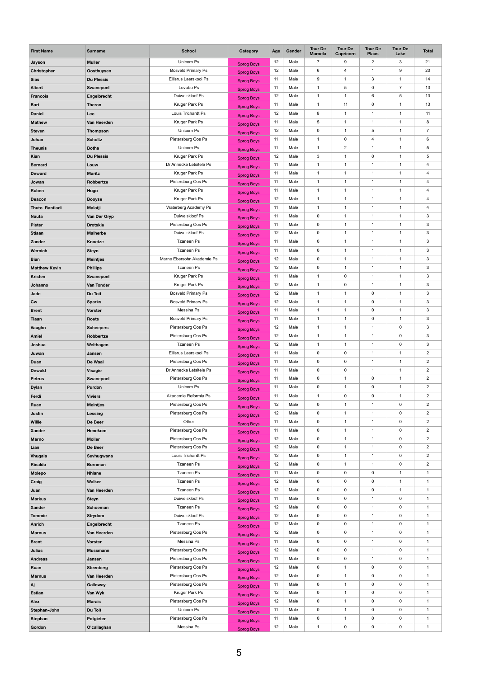| <b>First Name</b>     | <b>Surname</b>    | <b>School</b>                         | Category          | Age      | Gender       | <b>Tour De</b><br><b>Maroela</b> | <b>Tour De</b><br><b>Capricorn</b> | <b>Tour De</b><br><b>Plaas</b> | <b>Tour De</b><br>Lake | <b>Total</b>             |
|-----------------------|-------------------|---------------------------------------|-------------------|----------|--------------|----------------------------------|------------------------------------|--------------------------------|------------------------|--------------------------|
| Jayson                | <b>Muller</b>     | Unicorn Ps                            | <b>Sprog Boys</b> | 12       | Male         | $\overline{7}$                   | 9                                  | $\overline{2}$                 | $\mathsf 3$            | 21                       |
| <b>Christopher</b>    | <b>Oosthuysen</b> | <b>Bosveld Primary Ps</b>             | <b>Sprog Boys</b> | 12       | Male         | 6                                | 4                                  | 1                              | 9                      | 20                       |
| <b>Sias</b>           | <b>Du Plessis</b> | Ellisrus Laerskool Ps                 | <b>Sprog Boys</b> | 11       | Male         | $\boldsymbol{9}$                 | $\mathbf 1$                        | 3                              | 1                      | 14                       |
| <b>Albert</b>         | <b>Swanepoel</b>  | Luvubu Ps                             | <b>Sprog Boys</b> | 11       | Male         | $\mathbf{1}$                     | 5                                  | $\mathbf 0$                    | $\overline{7}$         | 13                       |
| <b>Francois</b>       | Engelbrecht       | Duiwelskloof Ps                       | <b>Sprog Boys</b> | 12       | Male         | $\mathbf{1}$                     | 1                                  | 6                              | 5                      | 13                       |
| <b>Bart</b>           | <b>Theron</b>     | Kruger Park Ps                        | <b>Sprog Boys</b> | 11       | Male         | $\mathbf{1}$                     | 11                                 | $\mathbf 0$                    | 1                      | 13                       |
| <b>Daniel</b>         | Lee               | Louis Trichardt Ps                    |                   | 12       | Male         | $\bf 8$                          | $\mathbf 1$                        | 1                              | -1                     | 11                       |
| <b>Mathew</b>         | Van Heerden       | Kruger Park Ps                        | <b>Sprog Boys</b> | 11       | Male         | $\sqrt{5}$                       | $\overline{1}$                     | 1                              |                        | 8                        |
| <b>Steven</b>         | <b>Thompson</b>   | Unicorn Ps                            | <b>Sprog Boys</b> | 12       | Male         | $\pmb{0}$                        | 1                                  | $\,$ 5 $\,$                    | 1                      | $\overline{7}$           |
| Johan                 | <b>Scholtz</b>    | Pietersburg Oos Ps                    | <b>Sprog Boys</b> | 11       | Male         | $\mathbf{1}$                     | 0                                  | $\overline{4}$                 | 1                      | 6                        |
| <b>Theunis</b>        | <b>Botha</b>      | Unicorn Ps                            | <b>Sprog Boys</b> | 11       | Male         | $\mathbf 1$                      | $\overline{c}$                     | 1                              |                        | $\sqrt{5}$               |
| Kian                  | <b>Du Plessis</b> | Kruger Park Ps                        | <b>Sprog Boys</b> | 12       | Male         | $\mathbf{3}$                     | 1                                  | $\pmb{0}$                      | 1                      | $\sqrt{5}$               |
| <b>Bernard</b>        | Louw              | Dr Annecke Letsitele Ps               | <b>Sprog Boys</b> | 11       | Male         | $\mathbf{1}$                     | $\mathbf 1$                        | $\mathbf 1$                    | 1                      | 4                        |
| <b>Deward</b>         | <b>Maritz</b>     | Kruger Park Ps                        | <b>Sprog Boys</b> | 11       | Male         | $\mathbf 1$                      | $\mathbf 1$                        | 1                              | 1                      | $\overline{4}$           |
| Jowan                 | Robbertze         | Pietersburg Oos Ps                    | <b>Sprog Boys</b> | 11       | Male         | $\mathbf{1}$                     | $\mathbf{1}$                       | 1                              | 1                      | $\overline{4}$           |
| Ruben                 | Hugo              | <b>Kruger Park Ps</b>                 | <b>Sprog Boys</b> | 11       | Male         | $\mathbf{1}$                     | $\mathbf 1$                        | 1                              | 1                      | 4                        |
| <b>Deacon</b>         | <b>Booyse</b>     | Kruger Park Ps                        | <b>Sprog Boys</b> | 12       | Male         | $\mathbf 1$                      | $\mathbf 1$                        | 1                              | 1                      | $\overline{4}$           |
|                       |                   | Waterberg Academy Ps                  | <b>Sprog Boys</b> | 11       | Male         | $\mathbf{1}$                     | $\mathbf 1$                        | 1                              | 1                      | $\overline{\mathbf{4}}$  |
| <b>Thuto Rantladi</b> | <b>Malatji</b>    | Duiwelskloof Ps                       | <b>Sprog Boys</b> | 11       | Male         | $\mathbf 0$                      | $\mathbf 1$                        | 1                              | 1                      | $\sqrt{3}$               |
| <b>Nauta</b>          | Van Der Gryp      |                                       | <b>Sprog Boys</b> |          |              |                                  | $\mathbf 1$                        | 1                              |                        |                          |
| <b>Pieter</b>         | <b>Drotskie</b>   | Pietersburg Oos Ps<br>Duiwelskloof Ps | <b>Sprog Boys</b> | 11<br>12 | Male<br>Male | $\mathbf 0$<br>0                 | 1                                  | 1                              | 1                      | $\sqrt{3}$<br>$\sqrt{3}$ |
| <b>Stiaan</b>         | <b>Malherbe</b>   |                                       | <b>Sprog Boys</b> |          |              |                                  |                                    |                                |                        |                          |
| <b>Zander</b>         | <b>Knoetze</b>    | <b>Tzaneen Ps</b>                     | <b>Sprog Boys</b> | 11       | Male         | $\pmb{0}$                        | $\mathbf 1$                        | $\mathbf{1}$                   | $\mathbf 1$            | $\sqrt{3}$               |
| Wernich               | <b>Steyn</b>      | <b>Tzaneen Ps</b>                     | <b>Sprog Boys</b> | 11       | Male         | $\mathbf 0$                      | $\mathbf{1}$                       | $\mathbf{1}$                   | 1                      | $\mathbf{3}$             |
| <b>Bian</b>           | <b>Meintjes</b>   | Marne Ebersohn Akademie Ps            | <b>Sprog Boys</b> | 12       | Male         | $\mathbf 0$                      | $\mathbf{1}$                       | 1                              | 1                      | $\sqrt{3}$               |
| <b>Matthew Kevin</b>  | <b>Phillips</b>   | <b>Tzaneen Ps</b>                     | <b>Sprog Boys</b> | 12       | Male         | $\pmb{0}$                        | $\mathbf{1}$                       | $\mathbf{1}$                   | 1                      | $\mathbf{3}$             |
| <b>Kristen</b>        | Swanepoel         | Kruger Park Ps                        | <b>Sprog Boys</b> | 11       | Male         | $\mathbf{1}$                     | 0                                  | $\mathbf{1}$                   | 1                      | $\mathbf{3}$             |
| Johanno               | Van Tonder        | Kruger Park Ps                        | <b>Sprog Boys</b> | 12       | Male         | $\mathbf{1}$                     | 0                                  | $\mathbf{1}$                   | 1                      | $\sqrt{3}$               |
| Jade                  | Du Toit           | <b>Bosveld Primary Ps</b>             | <b>Sprog Boys</b> | 12       | Male         | $\mathbf{1}$                     | $\mathbf 1$                        | $\mathbf 0$                    | 1                      | $\mathbf{3}$             |
| Cw                    | <b>Sparks</b>     | <b>Bosveld Primary Ps</b>             | <b>Sprog Boys</b> | 12       | Male         | $\mathbf{1}$                     | $\mathbf 1$                        | $\pmb{0}$                      | 1                      | $\mathbf{3}$             |
| <b>Brent</b>          | <b>Vorster</b>    | Messina Ps                            | <b>Sprog Boys</b> | 11       | Male         | $\mathbf{1}$                     | $\mathbf 1$                        | $\mathsf{O}$                   | 1                      | $\sqrt{3}$               |
| <b>Tiaan</b>          | <b>Roets</b>      | <b>Bosveld Primary Ps</b>             | <b>Sprog Boys</b> | 11       | Male         | $\mathbf{1}$                     | $\mathbf 1$                        | $\mathbf 0$                    | 1                      | $\mathbf{3}$             |
| Vaughn                | <b>Scheepers</b>  | Pietersburg Oos Ps                    | <b>Sprog Boys</b> | 12       | Male         | $\mathbf{1}$                     | $\mathbf{1}$                       | $\mathbf{1}$                   | $\mathbf 0$            | $\mathbf{3}$             |
| <b>Amiel</b>          | Robbertze         | Pietersburg Oos Ps                    | <b>Sprog Boys</b> | 12       | Male         | $\mathbf{1}$                     | $\mathbf{1}$                       | $\mathbf 1$                    | $\mathbf 0$            | $\sqrt{3}$               |
| Joshua                | Welthagen         | <b>Tzaneen Ps</b>                     | <b>Sprog Boys</b> | 12       | Male         | $\mathbf{1}$                     | $\mathbf{1}$                       | $\mathbf{1}$                   | $\pmb{0}$              | $\mathbf{3}$             |
| Juwan                 | Jansen            | Ellisrus Laerskool Ps                 | <b>Sprog Boys</b> | 11       | Male         | $\mathbf 0$                      | $\mathbf 0$                        | $\mathbf{1}$                   | 1                      | $\overline{2}$           |
| Duan                  | De Waal           | Pietersburg Oos Ps                    | <b>Sprog Boys</b> | 11       | Male         | $\mathbf 0$                      | 0                                  | $\mathbf{1}$                   | 1                      | $\overline{2}$           |
| <b>Dewald</b>         | <b>Visagie</b>    | Dr Annecke Letsitele Ps               | <b>Sprog Boys</b> | 11       | Male         | $\mathbf 0$                      | 0                                  | $\mathbf{1}$                   | 1                      | $\overline{2}$           |
| <b>Petrus</b>         | Swanepoel         | Pietersburg Oos Ps                    | <b>Sprog Boys</b> | 11       | Male         | $\pmb{0}$                        | $\mathbf{1}$                       | $\mathbf 0$                    | 1                      | $\overline{2}$           |
| <b>Dylan</b>          | Purdon            | Unicorn Ps                            | <b>Sprog Boys</b> | 11       | Male         | $\pmb{0}$                        | $\mathbf{1}$                       | $\mathsf{O}$                   | 1                      | $\overline{2}$           |
| Ferdi                 | <b>Viviers</b>    | Akademie Reformia Ps                  | <b>Sprog Boys</b> | 11       | Male         | $\mathbf{1}$                     | 0                                  | $\mathsf{O}$                   | 1                      | $\overline{2}$           |
| Ruan                  | <b>Meintjes</b>   | Pietersburg Oos Ps                    | <b>Sprog Boys</b> | 12       | Male         | $\pmb{0}$                        | $\mathbf{1}$                       | 1                              | $\mathbf 0$            | $\overline{2}$           |
| <b>Justin</b>         | <b>Lessing</b>    | Pietersburg Oos Ps                    | <b>Sprog Boys</b> | 12       | Male         | $\mathbf 0$                      | $\mathbf 1$                        | $\mathbf{1}$                   | $\mathbf 0$            | $\overline{2}$           |
| <b>Willie</b>         | De Beer           | Other                                 | <b>Sprog Boys</b> | 11       | Male         | $\mathbf 0$                      | $\mathbf 1$                        |                                | $\mathbf 0$            | $\sqrt{2}$               |
| <b>Xander</b>         | Henekom           | Pietersburg Oos Ps                    | <b>Sprog Boys</b> | 11       | Male         | 0                                | $\mathbf{1}$                       |                                | $\mathbf 0$            | $\overline{2}$           |
| <b>Marno</b>          | <b>Moller</b>     | Pietersburg Oos Ps                    | <b>Sprog Boys</b> | 12       | Male         | $\pmb{0}$                        | $\mathbf 1$                        | $\mathbf 1$                    | 0                      | $\overline{2}$           |
| Lian                  | De Beer           | Pietersburg Oos Ps                    | Sprog Boys        | 12       | Male         | $\mathbf 0$                      | $\mathbf 1$                        |                                | $\mathbf 0$            | $\overline{2}$           |
| <b>Vhugala</b>        | Sevhugwana        | Louis Trichardt Ps                    | <b>Sprog Boys</b> | 12       | Male         | $\mathbf 0$                      | 1                                  | $\mathbf{1}$                   | $\mathbf 0$            | $\overline{2}$           |
| Rinaldo               | <b>Bornman</b>    | <b>Tzaneen Ps</b>                     | <b>Sprog Boys</b> | 12       | Male         | $\mathbf 0$                      | $\mathbf{1}$                       | $\mathbf{1}$                   | 0                      | $\overline{2}$           |
| <b>Molepo</b>         | <b>Nhlane</b>     | <b>Tzaneen Ps</b>                     | Sprog Boys        | 11       | Male         | $\mathbf 0$                      | 0                                  | $\pmb{0}$                      | 1                      | $\mathbf{1}$             |
| Craig                 | <b>Walker</b>     | <b>Tzaneen Ps</b>                     | <b>Sprog Boys</b> | 12       | Male         | $\mathbf 0$                      | 0                                  | $\pmb{0}$                      | 1                      | $\overline{1}$           |
| Juan                  | Van Heerden       | <b>Tzaneen Ps</b>                     | <b>Sprog Boys</b> | 12       | Male         | $\mathbf 0$                      | 0                                  | $\mathsf{O}$                   | $\mathbf 1$            | $\mathbf{1}$             |
| <b>Markus</b>         | <b>Steyn</b>      | Duiwelskloof Ps                       | Sprog Boys        | 11       | Male         | $\mathbf 0$                      | 0                                  |                                | $\mathbf 0$            | $\overline{1}$           |
| <b>Xander</b>         | <b>Schoeman</b>   | <b>Tzaneen Ps</b>                     | <b>Sprog Boys</b> | 12       | Male         | $\mathbf 0$                      | 0                                  | $\mathbf{1}$                   | $\mathbf 0$            | $\mathbf{1}$             |
| <b>Tommie</b>         | <b>Strydom</b>    | Duiwelskloof Ps                       | <b>Sprog Boys</b> | 12       | Male         | $\mathbf 0$                      | 0                                  | $\mathbf{1}$                   | 0                      | $\mathbf{1}$             |
| <b>Anrich</b>         | Engelbrecht       | <b>Tzaneen Ps</b>                     | <b>Sprog Boys</b> | 12       | Male         | $\mathbf 0$                      | 0                                  | 1                              | $\mathbf 0$            | $\mathbf{1}$             |
| <b>Marnus</b>         | Van Heerden       | Pietersburg Oos Ps                    | <b>Sprog Boys</b> | 12       | Male         | $\mathbf 0$                      | 0                                  | $\mathbf{1}$                   | $\mathbf 0$            | $\mathbf 1$              |
| <b>Brent</b>          | <b>Vorster</b>    | Messina Ps                            | <b>Sprog Boys</b> | 11       | Male         | $\mathbf 0$                      | 0                                  | $\mathbf 1$                    | $\mathbf 0$            | $\overline{1}$           |
| <b>Julius</b>         | <b>Mussmann</b>   | Pietersburg Oos Ps                    | <b>Sprog Boys</b> | 12       | Male         | $\mathbf 0$                      | 0                                  | $\mathbf{1}$                   | $\mathbf 0$            | $\mathbf{1}$             |
| <b>Andreas</b>        | Jansen            | Pietersburg Oos Ps                    | <b>Sprog Boys</b> | 11       | Male         | $\pmb{0}$                        | 0                                  | $\mathbf 1$                    | $\mathbf 0$            | $\mathbf 1$              |
| Ruan                  | <b>Steenberg</b>  | Pietersburg Oos Ps                    | <b>Sprog Boys</b> | 12       | Male         | $\mathbf 0$                      | 1                                  | $\mathsf{O}$                   | $\mathbf 0$            | $\overline{1}$           |
| <b>Marnus</b>         | Van Heerden       | Pietersburg Oos Ps                    | Sprog Boys        | 12       | Male         | $\mathbf 0$                      | $\mathbf 1$                        | $\mathsf{O}$                   | $\mathbf 0$            | $\mathbf{1}$             |
| Aj                    | <b>Galloway</b>   | Pietersburg Oos Ps                    | <b>Sprog Boys</b> | 11       | Male         | $\pmb{0}$                        | 1                                  | $\mathsf{O}$                   | $\mathbf 0$            | $\mathbf 1$              |
| <b>Estian</b>         | Van Wyk           | Kruger Park Ps                        | <b>Sprog Boys</b> | 12       | Male         | $\mathbf 0$                      | 1                                  | $\mathsf{O}$                   | $\mathbf 0$            | $\mathbf{1}$             |
| <b>Alex</b>           | <b>Marais</b>     | Pietersburg Oos Ps                    | <b>Sprog Boys</b> | 12       | Male         | $\mathbf 0$                      | $\mathbf{1}$                       | $\mathsf{O}$                   | $\mathbf 0$            | $\mathbf{1}$             |
| Stephan-John          | Du Toit           | Unicorn Ps                            | <b>Sprog Boys</b> | 11       | Male         | $\pmb{0}$                        | 1                                  | $\pmb{0}$                      | $\pmb{0}$              | $\mathbf 1$              |
| <b>Stephan</b>        | <b>Potgieter</b>  | Pietersburg Oos Ps                    | <b>Sprog Boys</b> | 11       | Male         | 0                                |                                    | 0                              | 0                      |                          |
| Gordon                | O'callaghan       | Messina Ps                            | <b>Sprog Boys</b> | 12       | Male         | $\mathbf{1}$                     | $\mathbf 0$                        | $\mathbf 0$                    | $\mathbf 0$            | $\mathbf{1}$             |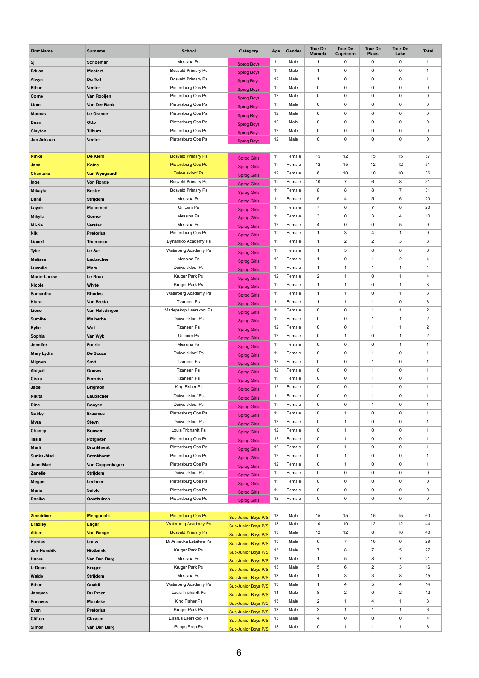| <b>First Name</b>               | <b>Surname</b>                   | <b>School</b>                              | <b>Category</b>            | Age      | Gender           | <b>Tour De</b><br><b>Maroela</b> | <b>Tour De</b><br>Capricorn | <b>Tour De</b><br><b>Plaas</b> | <b>Tour De</b><br>Lake | <b>Total</b>                     |
|---------------------------------|----------------------------------|--------------------------------------------|----------------------------|----------|------------------|----------------------------------|-----------------------------|--------------------------------|------------------------|----------------------------------|
| Sj                              | <b>Schoeman</b>                  | Messina Ps                                 | <b>Sprog Boys</b>          | 11       | Male             | -1                               | 0                           | $\mathsf{O}$                   | $\mathbf 0$            | $\mathbf{1}$                     |
| Eduan                           | <b>Mostert</b>                   | <b>Bosveld Primary Ps</b>                  | <b>Sprog Boys</b>          | 11       | Male             | $\mathbf 1$                      | 0                           | $\mathsf{O}$                   | $\mathbf 0$            | -1                               |
| Alwyn                           | Du Toit                          | <b>Bosveld Primary Ps</b>                  | <b>Sprog Boys</b>          | 12       | Male             | $\mathbf{1}$                     | 0                           | $\mathbf 0$                    | $\mathbf 0$            | $\mathbf{1}$                     |
| Ethan                           | <b>Venter</b>                    | Pietersburg Oos Ps                         | <b>Sprog Boys</b>          | 11       | Male             | $\mathbf 0$                      | 0                           | $\mathsf{O}$                   | $\mathbf 0$            | $\pmb{0}$                        |
| <b>Corne</b>                    | Van Rooijen                      | Pietersburg Oos Ps                         | <b>Sprog Boys</b>          | 12       | Male             | $\mathbf 0$                      | 0                           | $\mathsf{O}$                   | 0                      | $\mathsf{O}$                     |
| Liam                            | Van Der Bank                     | Pietersburg Oos Ps                         | <b>Sprog Boys</b>          | 11       | Male             | $\mathbf 0$                      | 0                           | $\mathbf 0$                    | 0                      | $\pmb{0}$                        |
| <b>Marcus</b>                   | Le Grance                        | Pietersburg Oos Ps                         |                            | 12       | Male             | $\mathbf 0$                      | 0                           | $\mathbf 0$                    | 0                      | $\mathbf 0$                      |
| Dean                            | Otto                             | Pietersburg Oos Ps                         | <b>Sprog Boys</b>          | 12       | Male             | $\mathbf 0$                      | 0                           | $\mathbf 0$                    | $\mathbf 0$            | $\mathbf 0$                      |
| Clayton                         | <b>Tilburn</b>                   | Pietersburg Oos Ps                         | <b>Sprog Boys</b>          | 12       | Male             | $\pmb{0}$                        | 0                           | $\pmb{0}$                      | 0                      | $\pmb{0}$                        |
| Jan Adriaan                     | <b>Venter</b>                    | Pietersburg Oos Ps                         | <b>Sprog Boys</b>          | 12       | Male             | $\mathbf 0$                      | 0                           | $\mathbf 0$                    | 0                      | $\mathbf 0$                      |
|                                 |                                  |                                            | <b>Sprog Boys</b>          |          |                  |                                  |                             |                                |                        |                                  |
| <b>Ninke</b>                    | <b>De Klerk</b>                  | <b>Bosveld Primary Ps</b>                  |                            | 11       | Female           | 15                               | 12                          | 15                             | 15                     | 57                               |
| Jana                            | <b>Kotze</b>                     | Pietersburg Oos Ps                         | <b>Sprog Girls</b>         | 11       | Female           | 12                               | 15                          | 12                             | 12                     | 51                               |
| <b>Chantene</b>                 | <b>Van Wyngaardt</b>             | <b>Duiwelskloof Ps</b>                     | <b>Sprog Girls</b>         | 12       | Female           | 6                                | 10                          | 10                             | 10                     | 36                               |
| Inge                            | <b>Von Ronge</b>                 | <b>Bosveld Primary Ps</b>                  | <b>Sprog Girls</b>         | 11       | Female           | 10                               | $\overline{7}$              | 6                              | 8                      | 31                               |
| <b>Mikayla</b>                  | <b>Bester</b>                    | <b>Bosveld Primary Ps</b>                  | <b>Sprog Girls</b>         | 11       | Female           | 8                                | 8                           | 8                              | $\overline{7}$         | 31                               |
| Dané                            | <b>Strijdom</b>                  | Messina Ps                                 | <b>Sprog Girls</b>         | 11       | Female           | $\sqrt{5}$                       | 4                           | 5                              | 6                      | 20                               |
| Layah                           | <b>Mahomed</b>                   | Unicorn Ps                                 | Sprog Girls                | 11       | Female           | $\overline{7}$                   | 6                           | $\overline{7}$                 | $\mathbf 0$            | 20                               |
| <b>Mikyla</b>                   | Gerner                           | Messina Ps                                 | <b>Sprog Girls</b>         | 11       | Female           | $\mathfrak{S}$                   | 0                           | 3                              | $\overline{4}$         | 10                               |
| Mi-Ne                           | <b>Verster</b>                   | Messina Ps                                 | <b>Sprog Girls</b>         | 12       | Female           | $\overline{4}$                   | 0                           | $\mathbf 0$                    | 5                      | 9                                |
| <b>Niki</b>                     | <b>Pretorius</b>                 | Pietersburg Oos Ps                         | <b>Sprog Girls</b>         | 11       | Female           | $\mathbf 1$                      | 3                           | $\overline{4}$                 | 1                      | $\boldsymbol{9}$                 |
| Lianell                         |                                  | Dynamico Academy Ps                        | <b>Sprog Girls</b>         | 11       | Female           | $\mathbf{1}$                     | $\overline{2}$              | $\overline{2}$                 | $\mathbf{3}$           | 8                                |
|                                 | <b>Thompson</b>                  | Waterberg Academy Ps                       | <b>Sprog Girls</b>         | 11       | Female           | $\mathbf{1}$                     | 5                           | $\pmb{0}$                      | $\mathbf 0$            | 6                                |
| <b>Tyler</b>                    | Le Sar                           |                                            | <b>Sprog Girls</b>         |          |                  |                                  |                             | $\mathbf 1$                    |                        |                                  |
| <b>Melissa</b>                  | Laubscher                        | Messina Ps<br>Duiwelskloof Ps              | Sprog Girls                | 12<br>11 | Female<br>Female | $\mathbf{1}$<br>$\mathbf{1}$     | 0<br>$\mathbf{1}$           | $\mathbf{1}$                   | $\overline{2}$<br>1    | $\overline{4}$<br>$\overline{4}$ |
| Luandie                         | <b>Marx</b>                      |                                            | <b>Sprog Girls</b>         |          |                  |                                  | $\mathbf{1}$                |                                | $\mathbf{1}$           |                                  |
| <b>Marie-Louise</b>             | Le Roux                          | Kruger Park Ps                             | <b>Sprog Girls</b>         | 12       | Female           | $\overline{2}$                   |                             | $\mathsf{O}$                   |                        | $\overline{4}$                   |
| <b>Nicole</b>                   | <b>White</b>                     | Kruger Park Ps                             | <b>Sprog Girls</b>         | 11       | Female           | $\mathbf{1}$                     | $\mathbf{1}$                | $\mathsf{O}$                   | $\mathbf 1$            | $\sqrt{3}$                       |
| <b>Samantha</b>                 | <b>Rhodes</b>                    | Waterberg Academy Ps                       | <b>Sprog Girls</b>         | 11       | Female           | $\mathbf{1}$                     | $\overline{1}$              | $\pmb{0}$                      | 1                      | $\mathbf{3}$                     |
| <b>Kiara</b>                    | Van Breda                        | <b>Tzaneen Ps</b>                          | <b>Sprog Girls</b>         | 11       | Female           | $\mathbf{1}$                     | $\mathbf{1}$                | $\mathbf{1}$                   | $\mathbf 0$            | $\mathbf{3}$                     |
| <b>Liesel</b>                   | Van Helsdingen                   | Mariepskop Laerskool Ps                    | Sprog Girls                | 11       | Female           | $\mathbf 0$                      | 0                           | $\mathbf 1$                    | 1                      | $\overline{2}$                   |
| <b>Sumike</b>                   | <b>Malherbe</b>                  | Duiwelskloof Ps                            | <b>Sprog Girls</b>         | 11       | Female           | $\mathbf 0$                      | 0                           | $\mathbf{1}$                   | 1                      | $\overline{2}$                   |
| Kylie                           | Wall                             | <b>Tzaneen Ps</b>                          | <b>Sprog Girls</b>         | 12       | Female           | $\mathbf 0$                      | 0                           | $\mathbf{1}$                   | $\mathbf{1}$           | $\overline{2}$                   |
| Sophia                          | Van Wyk                          | Unicorn Ps                                 | <b>Sprog Girls</b>         | 12       | Female           | $\mathbf 0$                      | $\mathbf{1}$                | $\mathsf{O}$                   | 1                      | $\sqrt{2}$                       |
| <b>Jennifer</b>                 | <b>Fourie</b>                    | Messina Ps                                 | <b>Sprog Girls</b>         | 11       | Female           | $\mathbf 0$                      | 0                           | $\mathbf 0$                    | $\mathbf{1}$           | $\mathbf{1}$                     |
| <b>Mary Lydia</b>               | De Souza                         | Duiwelskloof Ps                            | <b>Sprog Girls</b>         | 11       | Female           | $\mathbf 0$                      | $\mathbf 0$                 | $\mathbf{1}$                   | $\mathbf 0$            | $\mathbf{1}$                     |
| <b>Mignon</b>                   | <b>Smit</b>                      | <b>Tzaneen Ps</b>                          | Sprog Girls                | 12       | Female           | $\mathbf 0$                      | 0                           | 1                              | $\mathbf 0$            | $\mathbf{1}$                     |
| <b>Abigail</b>                  | <b>Gouws</b>                     | <b>Tzaneen Ps</b>                          | <b>Sprog Girls</b>         | 12       | Female           | $\mathbf 0$                      | 0                           | $\mathbf{1}$                   | $\mathbf 0$            | $\mathbf{1}$                     |
| <b>Ciska</b>                    | Ferreira                         | <b>Tzaneen Ps</b>                          | <b>Sprog Girls</b>         | 11       | Female           | $\mathbf 0$                      | 0                           | $\overline{1}$                 | $\mathbf 0$            | $\mathbf{1}$                     |
| Jade                            | <b>Brighton</b>                  | King Fisher Ps                             | Sprog Girls                | 12       | Female           | $\mathbf 0$                      | 0                           | $\mathbf 1$                    | $\mathbf 0$            | $\mathbf{1}$                     |
| <b>Nikita</b>                   | Laubscher                        | Duiwelskloof Ps                            | <b>Sprog Girls</b>         | 11       | Female           | $\mathbf 0$                      | 0                           |                                | $\mathbf 0$            | $\mathbf{1}$                     |
| <b>Dine</b>                     | <b>Booyse</b>                    | Duiwelskloof Ps                            | <b>Sprog Girls</b>         | 11       | Female           | $\mathbf 0$                      | 0                           | $\mathbf{1}$                   | $\mathbf 0$            | $\mathbf{1}$                     |
| Gabby                           | <b>Erasmus</b>                   | Pietersburg Oos Ps                         | <b>Sprog Girls</b>         | 11       | Female           | $\mathbf 0$                      | $\mathbf 1$                 | $\mathsf{O}$                   | $\mathbf 0$            | $\mathbf{1}$                     |
| <b>Myra</b>                     | <b>Steyn</b>                     | Duiwelskloof Ps                            | <b>Sprog Girls</b>         | 12       | Female           | $\mathbf 0$                      | 1                           | $\mathsf{O}$                   | $\mathbf 0$            | -1                               |
| <b>Chaney</b>                   | <b>Bouwer</b>                    | Louis Trichardt Ps                         | <b>Sprog Girls</b>         | 12       | Female           | 0                                | 1                           | $\mathbf 0$                    | $\mathbf 0$            |                                  |
| <b>Tasia</b>                    | <b>Potgieter</b>                 | Pietersburg Oos Ps                         | <b>Sprog Girls</b>         | 12       | Female           | $\pmb{0}$                        | $\mathbf 1$                 | $\mathsf{O}$                   | 0                      | $\mathbf{1}$                     |
| <b>Marli</b>                    | <b>Bronkhorst</b>                | Pietersburg Oos Ps                         | <b>Sprog Girls</b>         | 12       | Female           | $\mathbf 0$                      | 1<br>1                      | $\mathbf 0$                    | $\mathbf 0$            | $\mathbf{1}$<br>$\mathbf 1$      |
| Surika-Mari                     | <b>Bronkhorst</b>                | Pietersburg Oos Ps                         | <b>Sprog Girls</b>         | 12       | Female           | $\mathbf 0$                      |                             | $\mathsf{O}$                   | $\mathbf 0$            |                                  |
| Jean-Mari                       | Van Coppenhagen                  | Pietersburg Oos Ps                         | <b>Sprog Girls</b>         | 12       | Female           | $\pmb{0}$                        | 1                           | $\mathsf{O}$                   | 0                      | $\mathbf{1}$                     |
| <b>Zanelle</b>                  | <b>Strijdom</b>                  | Duiwelskloof Ps                            | <b>Sprog Girls</b>         | 11       | Female           | $\mathbf 0$                      | 0                           | $\mathsf{O}$                   | $\mathbf 0$            | $\mathsf{O}$                     |
| Megan                           | Lechner                          | Pietersburg Oos Ps                         | Sprog Girls                | 11       | Female           | $\mathbf 0$                      | 0                           | $\mathsf{O}$                   | 0                      | $\mathsf{O}$                     |
| <b>Maria</b>                    | <b>Selolo</b>                    | Pietersburg Oos Ps                         | <b>Sprog Girls</b>         | 11       | Female           | 0                                | 0                           | $\mathsf{O}$                   | 0                      | $\mathsf{O}$                     |
| <b>Danika</b>                   | <b>Oosthuizen</b>                | Pietersburg Oos Ps                         | <b>Sprog Girls</b>         | 12       | Female           | 0                                | 0                           | $\mathsf{O}$                   | $\mathbf 0$            | $\mathbf 0$                      |
| <b>Zineddine</b>                | <b>Mengouchi</b>                 | Pietersburg Oos Ps                         |                            | 13       | Male             | 15                               | 15                          | 15                             | 15                     | 60                               |
|                                 |                                  | <b>Waterberg Academy Ps</b>                | <b>Sub-Junior Boys P/S</b> |          | Male             | 10                               | 10                          | 12                             | 12                     | 44                               |
| <b>Bradley</b><br><b>Albert</b> | <b>Eagar</b><br><b>Von Ronge</b> | <b>Bosveld Primary Ps</b>                  | Sub-Junior Boys P/S        | 13<br>13 | Male             | 12                               | 12                          | 6                              | 10                     | 40                               |
|                                 |                                  |                                            | Sub-Junior Boys P/S        |          |                  |                                  |                             |                                |                        |                                  |
| <b>Hardus</b>                   | Louw                             | Dr Annecke Letsitele Ps<br>Kruger Park Ps  | Sub-Junior Boys P/S        | 13       | Male<br>Male     | 6<br>$\overline{7}$              | $\overline{7}$<br>8         | 10<br>$\overline{7}$           | 6<br>$5\phantom{.0}$   | 29<br>27                         |
| Jan-Hendrik                     | <b>Hietbrink</b>                 | Messina Ps                                 | Sub-Junior Boys P/S        | 13       | Male             | $\mathbf{1}$                     | 5                           |                                | $\overline{7}$         | 21                               |
| Hanre                           | Van Den Berg                     |                                            | Sub-Junior Boys P/S        | 13       |                  | $\sqrt{5}$                       |                             | 8                              | 3                      | 16                               |
| L-Dean                          | <b>Kruger</b>                    | Kruger Park Ps                             | Sub-Junior Boys P/S        | 13       | Male             |                                  | 6                           | $\overline{2}$                 |                        |                                  |
| Waldo                           | Strijdom                         | Messina Ps                                 | Sub-Junior Boys P/S        | 13       | Male             | $\mathbf{1}$                     | $\mathbf{3}$                | 3                              | 8                      | 15                               |
| <b>Ethan</b>                    | Gualdi                           | Waterberg Academy Ps<br>Louis Trichardt Ps | Sub-Junior Boys P/S        | 13       | Male             | $\mathbf{1}$                     | 4                           | 5                              | 4                      | 14                               |
| <b>Jacques</b>                  | <b>Du Preez</b>                  |                                            | Sub-Junior Boys P/S        | 14       | Male             | 8                                | $\overline{2}$              | $\mathsf{O}$                   | $\overline{2}$         | 12                               |
| <b>Success</b>                  | <b>Maluleke</b>                  | King Fisher Ps                             | Sub-Junior Boys P/S        | 13       | Male             | $\overline{2}$                   | $\overline{1}$              | $\overline{\mathbf{4}}$        | 1                      | 8                                |
| Evan                            | <b>Pretorius</b>                 | Kruger Park Ps                             | Sub-Junior Boys P/S        | 13       | Male             | $\mathfrak{S}$                   | $\mathbf{1}$                | $\mathbf 1$                    | 1                      | $\,6$                            |
| <b>Clifton</b>                  | <b>Classen</b>                   | Ellisrus Laerskool Ps                      | Sub-Junior Boys P/S 13     |          | Male             | 4                                | 0                           | $\mathbf 0$                    | 0                      | $\overline{\mathbf{4}}$          |
| <b>Simon</b>                    | Van Den Berg                     | Pepps Prep Ps                              | Sub-Junior Boys P/S        | 13       | Male             | $\mathbf 0$                      | -1                          |                                | -1                     | $\mathbf{3}$                     |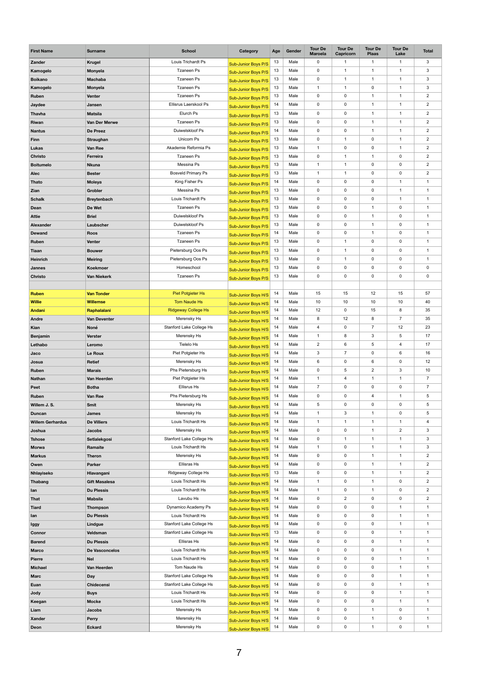| <b>First Name</b>       | <b>Surname</b>        | <b>School</b>              | Category                                          | Age | Gender | <b>Tour De</b><br><b>Maroela</b> | <b>Tour De</b><br>Capricorn | <b>Tour De</b><br><b>Plaas</b> | <b>Tour De</b><br>Lake | <b>Total</b>         |
|-------------------------|-----------------------|----------------------------|---------------------------------------------------|-----|--------|----------------------------------|-----------------------------|--------------------------------|------------------------|----------------------|
| Zander                  | <b>Krugel</b>         | Louis Trichardt Ps         | Sub-Junior Boys P/S                               | 13  | Male   | $\pmb{0}$                        | $\mathbf{1}$                | 1                              | $\mathbf 1$            | $\mathbf{3}$         |
| Kamogelo                | <b>Monyela</b>        | <b>Tzaneen Ps</b>          | Sub-Junior Boys P/S                               | 13  | Male   | $\pmb{0}$                        | 1                           | $\mathbf 1$                    | 1                      | $\sqrt{3}$           |
| <b>Boikano</b>          | <b>Machaba</b>        | <b>Tzaneen Ps</b>          | Sub-Junior Boys P/S                               | 13  | Male   | $\mathbf 0$                      | 1                           | 1                              | 1                      | $\mathbf{3}$         |
| Kamogelo                | <b>Monyela</b>        | <b>Tzaneen Ps</b>          | Sub-Junior Boys P/S                               | 13  | Male   | $\mathbf{1}$                     | 1                           | 0                              | 1                      | $\mathbf{3}$         |
| Ruben                   | <b>Venter</b>         | <b>Tzaneen Ps</b>          | Sub-Junior Boys P/S                               | 13  | Male   | $\mathbf 0$                      | 0                           | $\mathbf{1}$                   | 1                      | $\overline{2}$       |
| Jaydee                  | Jansen                | Ellisrus Laerskool Ps      | Sub-Junior Boys P/S                               | 14  | Male   | $\mathbf 0$                      | 0                           | 1                              | 1                      | $\overline{2}$       |
| <b>Thavha</b>           | <b>Matsila</b>        | Elurch Ps                  | Sub-Junior Boys P/S                               | 13  | Male   | $\pmb{0}$                        | 0                           | 1                              | 1                      | $\overline{2}$       |
| Riwan                   | Van Der Merwe         | <b>Tzaneen Ps</b>          | Sub-Junior Boys P/S                               | 13  | Male   | $\pmb{0}$                        | $\pmb{0}$                   | $\mathbf{1}$                   | 1                      | $\sqrt{2}$           |
| <b>Nantus</b>           | De Preez              | Duiwelskloof Ps            | Sub-Junior Boys P/S                               | 14  | Male   | $\mathbf 0$                      | 0                           | $\mathbf{1}$                   | $\mathbf 1$            | $\overline{2}$       |
| <b>Finn</b>             | Straughan             | Unicorn Ps                 | <b>Sub-Junior Boys P/S</b>                        | 13  | Male   | $\pmb{0}$                        | 1                           | $\mathbf 0$                    | 1                      | $\overline{2}$       |
| <b>Lukas</b>            | Van Ree               | Akademie Reformia Ps       | <b>Sub-Junior Boys P/S</b>                        | 13  | Male   | $\mathbf{1}$                     | 0                           | $\pmb{0}$                      | 1                      | $\sqrt{2}$           |
| <b>Christo</b>          | Ferreira              | <b>Tzaneen Ps</b>          | Sub-Junior Boys P/S                               | 13  | Male   | $\mathbf 0$                      | $\mathbf{1}$                | $\mathbf{1}$                   | $\pmb{0}$              | $\overline{2}$       |
| <b>Boitumelo</b>        | <b>Nkuna</b>          | Messina Ps                 | Sub-Junior Boys P/S                               | 13  | Male   | $\mathbf{1}$                     | 1                           | $\mathbf 0$                    | $\mathbf 0$            | $\overline{2}$       |
| <b>Alec</b>             | <b>Bester</b>         | <b>Bosveld Primary Ps</b>  | Sub-Junior Boys P/S                               | 13  | Male   | $\mathbf{1}$                     | $\mathbf{1}$                | $\mathbf 0$                    | 0                      | $\sqrt{2}$           |
| <b>Thato</b>            | Moleya                | King Fisher Ps             | Sub-Junior Boys P/S                               | 14  | Male   | $\boldsymbol{0}$                 | 0                           | $\mathbf 0$                    | $\mathbf 1$            | $\mathbf{1}$         |
| Zian                    | <b>Grobler</b>        | Messina Ps                 | Sub-Junior Boys P/S                               | 13  | Male   | $\mathbf 0$                      | 0                           | $\mathbf 0$                    | 1                      | $\overline{1}$       |
| <b>Schalk</b>           | <b>Breytenbach</b>    | Louis Trichardt Ps         | Sub-Junior Boys P/S                               | 13  | Male   | $\mathbf 0$                      | 0                           | $\mathbf 0$                    | $\mathbf 1$            | $\mathbf{1}$         |
| Dean                    | De Wet                | <b>Tzaneen Ps</b>          | Sub-Junior Boys P/S                               | 13  | Male   | $\pmb{0}$                        | $\pmb{0}$                   | $\mathbf{1}$                   | $\pmb{0}$              | $\mathbf{1}$         |
| <b>Attie</b>            | <b>Briel</b>          | Duiwelskloof Ps            | Sub-Junior Boys P/S                               | 13  | Male   | $\mathbf 0$                      | 0                           | 1                              | $\mathbf 0$            | $\overline{1}$       |
| Alexander               | Laubscher             | Duiwelskloof Ps            | Sub-Junior Boys P/S                               | 13  | Male   | $\mathbf 0$                      | 0                           | $\mathbf 1$                    | $\mathbf 0$            | $\mathbf{1}$         |
| <b>Dewand</b>           | <b>Roos</b>           | <b>Tzaneen Ps</b>          | Sub-Junior Boys P/S                               | 14  | Male   | $\mathbf 0$                      | 0                           |                                | 0                      | $\mathbf 1$          |
| Ruben                   | <b>Venter</b>         | <b>Tzaneen Ps</b>          | Sub-Junior Boys P/S                               | 13  | Male   | $\mathbf 0$                      | $\mathbf{1}$                | $\mathbf 0$                    | $\mathbf 0$            | 1                    |
| <b>Tiaan</b>            | <b>Bouwer</b>         | Pietersburg Oos Ps         | <b>Sub-Junior Boys P/S</b>                        | 13  | Male   | $\mathbf 0$                      | 1                           | $\mathbf 0$                    | $\mathbf 0$            | $\mathbf{1}$         |
| <b>Heinrich</b>         | <b>Meiring</b>        | Pietersburg Oos Ps         | Sub-Junior Boys P/S                               | 13  | Male   | $\mathbf 0$                      | $\mathbf{1}$                | $\mathbf 0$                    | $\mathbf 0$            | $\mathbf{1}$         |
| <b>Jannes</b>           | Koekmoer              | Homeschool                 | Sub-Junior Boys P/S                               | 13  | Male   | $\mathbf 0$                      | 0                           | $\mathbf 0$                    | $\mathbf 0$            | $\mathbf 0$          |
| <b>Christo</b>          | <b>Van Niekerk</b>    | <b>Tzaneen Ps</b>          |                                                   | 13  | Male   | $\mathbf 0$                      | 0                           | $\mathbf 0$                    | $\pmb{0}$              | $\mathbf 0$          |
|                         |                       |                            | Sub-Junior Boys P/S                               |     |        |                                  |                             |                                |                        |                      |
| <b>Ruben</b>            | <b>Van Tonder</b>     | <b>Piet Potgieter Hs</b>   |                                                   | 14  | Male   | 15                               | 15                          | 12                             | 15                     | 57                   |
| <b>Willie</b>           | <b>Willemse</b>       | <b>Tom Naude Hs</b>        | Sub-Junior Boys H/S                               | 14  | Male   | 10                               | 10                          | 10                             | 10                     | 40                   |
| <b>Andani</b>           | Raphalalani           | <b>Ridgeway College Hs</b> | <b>Sub-Junior Boys H/S</b>                        | 14  | Male   | 12                               | 0                           | 15                             | 8                      | 35                   |
| Andre                   | <b>Van Deventer</b>   | Merensky Hs                | Sub-Junior Boys H/S                               | 14  | Male   | $\bf 8$                          | 12                          | 8                              | $\overline{7}$         | 35                   |
| Kian                    | Noné                  | Stanford Lake College Hs   | Sub-Junior Boys H/S                               | 14  | Male   | 4                                | 0                           | $\overline{7}$                 | 12                     | 23                   |
| <b>Benjamin</b>         | <b>Verster</b>        | Merensky Hs                | Sub-Junior Boys H/S                               | 14  | Male   | $\mathbf 1$                      | 8                           | $\mathbf{3}$                   | 5                      | 17                   |
| Lethabo                 | Leromo                | Tielelo Hs                 | Sub-Junior Boys H/S                               | 14  | Male   | $\overline{2}$                   | 6                           | $\overline{5}$                 | 4                      | 17                   |
| Jaco                    | Le Roux               | Piet Potgieter Hs          | Sub-Junior Boys H/S                               | 14  | Male   | 3                                | $\overline{7}$              | $\mathbf 0$                    | 6                      | 16                   |
| Josua                   | <b>Retief</b>         | Merensky Hs                | Sub-Junior Boys H/S<br>Sub-Junior Boys H/S        | 14  | Male   | $\,6$                            | 0                           | 6                              | $\mathbf 0$            | 12                   |
| Ruben                   | <b>Marais</b>         | Phs Pietersburg Hs         | Sub-Junior Boys H/S                               | 14  | Male   | $\mathbf 0$                      | 5                           | $\mathbf{2}$                   | $\mathbf{3}$           | 10                   |
| <b>Nathan</b>           | Van Heerden           | Piet Potgieter Hs          | <b>Sub-Junior Boys H/S</b>                        | 14  | Male   | $\mathbf 1$                      | 4                           | $\mathbf{1}$                   | $\mathbf 1$            | $\overline{7}$       |
| Peet                    | <b>Botha</b>          | <b>Ellisrus Hs</b>         | Sub-Junior Boys H/S                               | 14  | Male   | $\overline{7}$                   | 0                           | $\mathbf 0$                    | $\mathbf 0$            | $\overline{7}$       |
| Ruben                   | Van Ree               | Phs Pietersburg Hs         | <b>Sub-Junior Boys H/S</b>                        | 14  | Male   | $\mathbf 0$                      | 0                           | $\overline{4}$                 | 1                      | $5\phantom{.0}$      |
| Willem J. S.            | <b>Smit</b>           | Merensky Hs                |                                                   | 14  | Male   | 5                                | 0                           | $\pmb{0}$                      | $\pmb{0}$              | $5\phantom{.0}$      |
| <b>Duncan</b>           | <b>James</b>          | Merensky Hs                | <b>Sub-Junior Boys H/S</b>                        | 14  | Male   | $\mathbf 1$                      | 3                           | 1                              | $\mathbf 0$            | $\overline{5}$       |
| <b>Willem Gerhardus</b> | <b>De Villiers</b>    | Louis Trichardt Hs         | Sub-Junior Boys H/S<br>Sub-Junior Boys H/S        | 14  | Male   | 1                                | 1                           | 1                              | 1                      | 4                    |
| Joshua                  | <b>Jacobs</b>         | Merensky Hs                |                                                   | 14  | Male   | 0                                | 0                           |                                | $\overline{2}$         | $\mathbf{3}$         |
| <b>Tshose</b>           | Setlalekgosi          | Stanford Lake College Hs   | Sub-Junior Boys H/S                               | 14  | Male   | $\pmb{0}$                        | 1                           |                                |                        | $\mathbf{3}$         |
| <b>Morwa</b>            | Ramaite               | Louis Trichardt Hs         | <b>Sub-Junior Boys H/S</b>                        | 14  | Male   | $\mathbf{1}$                     | 0                           | $\mathbf 1$                    | 1                      | $\mathbf{3}$         |
| <b>Markus</b>           | <b>Theron</b>         | Merensky Hs                | <b>Sub-Junior Boys H/S</b>                        | 14  | Male   | $\mathbf 0$                      | 0                           | $\mathbf{1}$                   | $\mathbf 1$            | $\overline{2}$       |
| Owen                    | <b>Parker</b>         | <b>Ellisras Hs</b>         | Sub-Junior Boys H/S                               | 14  | Male   | $\mathbf 0$                      | 0                           | $\mathbf 1$                    | 1                      | $\overline{2}$       |
| Nhlayiseko              | Hlavangani            | Ridgeway College Hs        | Sub-Junior Boys H/S                               | 13  | Male   | $\mathbf 0$                      | 0                           | $\mathbf{1}$                   | 1                      | $\overline{2}$       |
| Thabang                 | <b>Gift Masalesa</b>  | Louis Trichardt Hs         | Sub-Junior Boys H/S                               | 14  | Male   | $\mathbf{1}$                     | 0                           | $\mathbf{1}$                   | $\mathbf 0$            | $\overline{2}$       |
| lan                     | <b>Du Plessis</b>     | Louis Trichardt Hs         | Sub-Junior Boys H/S                               | 14  | Male   | $\mathbf 1$                      | 0                           | $\mathbf 1$                    | $\mathbf 0$            | $\overline{2}$       |
| <b>That</b>             | <b>Mabsila</b>        | Lavubu Hs                  | Sub-Junior Boys H/S<br><b>Sub-Junior Boys H/S</b> | 14  | Male   | $\mathbf 0$                      | $\overline{2}$              | $\mathbf 0$                    | $\mathbf 0$            | $\overline{2}$       |
| <b>Tiard</b>            | <b>Thompson</b>       | Dynamico Academy Ps        |                                                   | 14  | Male   | $\boldsymbol{0}$                 | 0                           | 0                              | 1                      | $\blacktriangleleft$ |
| lan                     | <b>Du Plessis</b>     | Louis Trichardt Hs         | Sub-Junior Boys H/S                               | 14  | Male   | $\mathbf 0$                      | 0                           | $\mathbf 0$                    | 1                      | $\mathbf{1}$         |
| lggy                    | Lindgue               | Stanford Lake College Hs   | Sub-Junior Boys H/S                               | 14  | Male   | $\mathbf 0$                      | 0                           | $\mathbf 0$                    | 1                      | $\mathbf{1}$         |
| <b>Connor</b>           | Veldsman              | Stanford Lake College Hs   | Sub-Junior Boys H/S                               | 13  | Male   | $\mathbf 0$                      | 0                           | 0                              | 1                      | $\blacktriangleleft$ |
| <b>Barend</b>           | <b>Du Plessis</b>     | Ellisras Hs                | Sub-Junior Boys H/S                               | 14  | Male   | $\mathbf 0$                      | 0                           | $\mathbf 0$                    | 1                      | $\overline{1}$       |
| <b>Marco</b>            | <b>De Vasconcelos</b> | Louis Trichardt Hs         | <b>Sub-Junior Boys H/S</b>                        | 14  | Male   | $\mathbf 0$                      | $\mathbf 0$                 | $\pmb{0}$                      | 1                      | 1                    |
| <b>Pierre</b>           | <b>Nel</b>            | Louis Trichardt Hs         | <b>Sub-Junior Boys H/S</b>                        | 14  | Male   | $\mathbf 0$                      | 0                           | 0                              | 1                      | $\mathbf{1}$         |
| <b>Michael</b>          | Van Heerden           | Tom Naude Hs               | Sub-Junior Boys H/S                               | 14  | Male   | $\mathbf 0$                      | 0                           | $\mathbf 0$                    | 1                      | $\overline{1}$       |
| <b>Marc</b>             | <b>Day</b>            | Stanford Lake College Hs   | Sub-Junior Boys H/S                               | 14  | Male   | $\mathbf 0$                      | 0                           | $\pmb{0}$                      | 1                      | $\mathbf 1$          |
| Euan                    | <b>Chidecensi</b>     | Stanford Lake College Hs   | <b>Sub-Junior Boys H/S</b>                        | 14  | Male   | $\mathbf 0$                      | 0                           | 0                              | 1                      | $\mathbf{1}$         |
| <b>Jody</b>             | <b>Buys</b>           | Louis Trichardt Hs         | Sub-Junior Boys H/S                               | 14  | Male   | $\mathbf 0$                      | 0                           | $\mathbf 0$                    | 1                      | $\overline{1}$       |
| Keegan                  | <b>Mocke</b>          | Louis Trichardt Hs         | Sub-Junior Boys H/S                               | 14  | Male   | $\mathbf 0$                      | 0                           | $\pmb{0}$                      | $\mathbf{1}$           | $\mathbf 1$          |
| Liam                    | <b>Jacobs</b>         | Merensky Hs                | Sub-Junior Boys H/S                               | 14  | Male   | $\mathbf 0$                      | 0                           | $\mathbf 1$                    | $\mathbf 0$            | $\mathbf{1}$         |
| <b>Xander</b>           | Perry                 | Merensky Hs                | Sub-Junior Boys H/S                               | 14  | Male   | 0                                | 0                           |                                | $\mathbf 0$            |                      |
| Deon                    | <b>Eckard</b>         | Merensky Hs                | Sub-Junior Boys H/S                               | 14  | Male   | $\mathbf 0$                      | $\mathbf 0$                 | $\mathbf{1}$                   | $\mathbf 0$            | $\mathbf{1}$         |
|                         |                       |                            | Sub-Junior Boys H/S                               |     |        |                                  |                             |                                |                        |                      |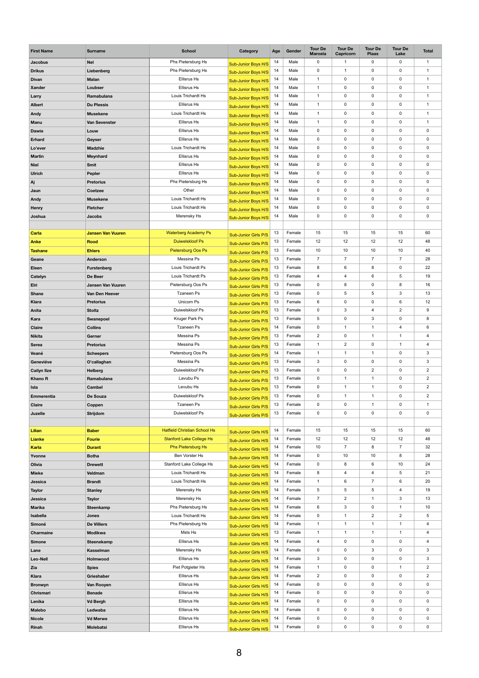| <b>First Name</b>      | <b>Surname</b>                      | <b>School</b>                            | Category                                                   | Age      | Gender           | <b>Tour De</b><br><b>Maroela</b> | <b>Tour De</b><br><b>Capricorn</b> | <b>Tour De</b><br><b>Plaas</b>   | <b>Tour De</b><br>Lake        | <b>Total</b>                |
|------------------------|-------------------------------------|------------------------------------------|------------------------------------------------------------|----------|------------------|----------------------------------|------------------------------------|----------------------------------|-------------------------------|-----------------------------|
| <b>Jacobus</b>         | <b>Nel</b>                          | Phs Pietersburg Hs                       | Sub-Junior Boys H/S                                        | 14       | Male             | 0                                | $\mathbf{1}$                       | $\mathbf 0$                      | $\mathbf 0$                   | $\mathbf{1}$                |
| <b>Drikus</b>          | Liebenberg                          | Phs Pietersburg Hs                       | Sub-Junior Boys H/S                                        | 14       | Male             | $\mathbf 0$                      | -1                                 | $\mathbf 0$                      | $\mathbf 0$                   | $\mathbf{1}$                |
| <b>Divan</b>           | <b>Malan</b>                        | <b>Ellisrus Hs</b>                       | <b>Sub-Junior Boys H/S</b>                                 | 14       | Male             | $\mathbf 1$                      | $\mathbf 0$                        | $\mathbf 0$                      | $\mathbf 0$                   | $\mathbf{1}$                |
| <b>Xander</b>          | Loubser                             | <b>Ellisrus Hs</b>                       | Sub-Junior Boys H/S                                        | 14       | Male             | $\mathbf{1}$                     | $\mathbf 0$                        | $\mathbf 0$                      | $\mathbf 0$                   | $\mathbf{1}$                |
| Larry                  | Ramabulana                          | Louis Trichardt Hs                       | Sub-Junior Boys H/S                                        | 14       | Male             | $\mathbf 1$                      | $\mathbf 0$                        | $\mathbf 0$                      | $\mathbf 0$                   | $\mathbf{1}$                |
| <b>Albert</b>          | <b>Du Plessis</b>                   | <b>Ellisrus Hs</b>                       | <b>Sub-Junior Boys H/S</b>                                 | 14       | Male             | $\mathbf{1}$                     | $\mathbf 0$                        | $\mathbf 0$                      | $\mathbf 0$                   | $\mathbf{1}$                |
| <b>Andy</b>            | <b>Musekene</b>                     | Louis Trichardt Hs                       | Sub-Junior Boys H/S                                        | 14       | Male             | $\mathbf{1}$                     | $\pmb{0}$                          | $\mathbf 0$                      | 0                             | $\mathbf{1}$                |
| <b>Manu</b>            | <b>Van Sevenster</b>                | <b>Ellisrus Hs</b>                       | Sub-Junior Boys H/S                                        | 14       | Male             | $\mathbf{1}$                     | $\mathbf 0$                        | $\mathbf 0$                      | $\mathbf 0$                   | $\mathbf{1}$                |
| <b>Dawie</b>           | Louw                                | <b>Ellisrus Hs</b>                       | Sub-Junior Boys H/S                                        | 14       | Male             | $\mathbf 0$                      | $\mathbf 0$                        | $\mathbf 0$                      | $\pmb{0}$                     | $\mathbf 0$                 |
| <b>Erhard</b>          | <b>Geyser</b>                       | <b>Ellisrus Hs</b>                       | Sub-Junior Boys H/S                                        | 14       | Male             | $\mathbf 0$                      | $\mathbf 0$                        | $\mathbf 0$                      | 0                             | $\mathbf 0$                 |
| Lo'ever                | <b>Madzhie</b>                      | Louis Trichardt Hs                       | Sub-Junior Boys H/S                                        | 14       | Male             | $\mathbf 0$                      | $\mathbf 0$                        | $\mathbf 0$                      | $\mathbf 0$                   | $\mathbf 0$                 |
| <b>Martin</b>          | <b>Meynhard</b>                     | <b>Ellisrus Hs</b>                       | Sub-Junior Boys H/S                                        | 14       | Male             | $\mathbf 0$                      | $\mathbf 0$                        | $\mathbf 0$                      | $\mathbf 0$                   | $\pmb{0}$                   |
| <b>Niel</b>            | <b>Smit</b>                         | <b>Ellisrus Hs</b>                       | Sub-Junior Boys H/S                                        | 14       | Male             | $\mathbf 0$                      | $\mathbf 0$                        | $\mathbf 0$                      | 0                             | $\mathbf 0$                 |
| <b>Ulrich</b>          | <b>Pepler</b>                       | <b>Ellisrus Hs</b>                       | Sub-Junior Boys H/S                                        | 14       | Male             | $\mathbf 0$                      | $\mathbf 0$                        | $\mathbf 0$                      | $\mathbf 0$                   | $\mathbf 0$                 |
| Aj                     | <b>Pretorius</b>                    | Phs Pietersburg Hs                       | <b>Sub-Junior Boys H/S</b>                                 | 14       | Male             | $\mathbf 0$                      | $\mathbf 0$                        | $\mathbf 0$                      | $\mathbf 0$                   | $\pmb{0}$                   |
| Jaun                   | <b>Coetzee</b>                      | Other                                    | Sub-Junior Boys H/S                                        | 14       | Male             | $\mathbf 0$                      | $\mathbf 0$                        | $\mathbf 0$                      | 0                             | $\mathbf 0$                 |
| Andy                   | <b>Musekene</b>                     | Louis Trichardt Hs                       | Sub-Junior Boys H/S                                        | 14       | Male             | $\mathbf 0$                      | $\mathbf 0$                        | $\mathbf 0$                      | $\mathbf 0$                   | $\mathbf 0$                 |
| Henry                  | <b>Fletcher</b>                     | Louis Trichardt Hs                       | Sub-Junior Boys H/S                                        | 14       | Male             | $\mathbf 0$                      | $\mathbf 0$                        | $\mathbf 0$                      | 0                             | $\mathbf 0$                 |
| Joshua                 | <b>Jacobs</b>                       | Merensky Hs                              | Sub-Junior Boys H/S                                        | 14       | Male             | $\mathbf 0$                      | 0                                  | $\mathbf 0$                      | 0                             | $\mathbf 0$                 |
|                        |                                     |                                          |                                                            |          |                  |                                  |                                    |                                  |                               |                             |
| <b>Carla</b>           | <b>Jansen Van Vuuren</b>            | <b>Waterberg Academy Ps</b>              | <b>Sub-Junior Girls P/S</b>                                | 13       | Female           | 15                               | 15                                 | 15                               | 15                            | 60                          |
| <b>Anke</b>            | <b>Rood</b>                         | <b>Duiwelskloof Ps</b>                   | <b>Sub-Junior Girls P/S</b>                                | 13       | Female           | 12                               | 12                                 | 12                               | 12                            | 48                          |
| <b>Tashane</b>         | <b>Ehlers</b>                       | Pietersburg Oos Ps                       | <b>Sub-Junior Girls P/S</b>                                | 13       | Female           | 10                               | 10                                 | 10                               | 10                            | 40                          |
| Geane                  | <b>Anderson</b>                     | Messina Ps                               | <b>Sub-Junior Girls P/S</b>                                | 13       | Female           | 7 <sup>1</sup>                   | $\overline{7}$                     | $\overline{7}$                   | $\overline{7}$                | 28                          |
| <b>Eleen</b>           | <b>Furstenberg</b>                  | Louis Trichardt Ps                       | <b>Sub-Junior Girls P/S</b>                                | 13       | Female           | 8                                | 6                                  | 8                                | $\mathbf 0$                   | 22                          |
| Catelyn                | De Beer                             | Louis Trichardt Ps                       | <b>Sub-Junior Girls P/S</b>                                | 13       | Female           | $\overline{4}$                   | 4                                  | 6                                | 5                             | 19                          |
| Elri                   | <b>Jansen Van Vuuren</b>            | Pietersburg Oos Ps                       | <b>Sub-Junior Girls P/S</b>                                | 13       | Female           | $\mathbf 0$                      | 8                                  | $\mathbf 0$                      | 8                             | 16                          |
| <b>Shane</b>           | Van Den Heever                      | <b>Tzaneen Ps</b>                        | <b>Sub-Junior Girls P/S</b>                                | 13       | Female           | $\mathbf 0$                      | 5                                  | 5                                | 3                             | 13                          |
| <b>Klara</b>           | <b>Pretorius</b>                    | Unicorn Ps<br>Duiwelskloof Ps            | <b>Sub-Junior Girls P/S</b>                                | 13       | Female           | 6                                | $\mathbf 0$                        | $\mathbf 0$                      | 6                             | 12                          |
| Anita                  | <b>Stoltz</b>                       | <b>Kruger Park Ps</b>                    | Sub-Junior Girls P/S                                       | 13<br>13 | Female<br>Female | $\mathbf 0$<br>$5\phantom{.0}$   | 3<br>$\mathbf 0$                   | $\overline{4}$<br>$\mathfrak{S}$ | $\overline{2}$<br>$\mathbf 0$ | 9<br>8                      |
| Kara<br><b>Claire</b>  | Swanepoel<br><b>Collins</b>         | <b>Tzaneen Ps</b>                        | <b>Sub-Junior Girls P/S</b>                                | 14       | Female           | $\mathbf 0$                      | $\mathbf{1}$                       | $\mathbf{1}$                     | 4                             | 6                           |
| <b>Nikita</b>          | Gerner                              | Messina Ps                               | Sub-Junior Girls P/S                                       | 13       | Female           | $\overline{2}$                   | $\mathbf 0$                        | $\mathbf 1$                      | $\overline{1}$                | $\overline{4}$              |
| <b>Serea</b>           | <b>Pretorius</b>                    | Messina Ps                               | Sub-Junior Girls P/S                                       | 13       | Female           | $\mathbf{1}$                     | $\overline{2}$                     | $\mathbf 0$                      | $\mathbf 1$                   | $\overline{4}$              |
| Veané                  | <b>Scheepers</b>                    | Pietersburg Oos Ps                       | <b>Sub-Junior Girls P/S</b>                                | 14       | Female           | $\mathbf{1}$                     | $\mathbf{1}$                       | $\mathbf{1}$                     | $\mathbf 0$                   | $\mathbf{3}$                |
| Geneviéve              | O'callaghan                         | Messina Ps                               | <b>Sub-Junior Girls P/S</b>                                | 13       | Female           | 3                                | $\mathbf 0$                        | $\mathbf 0$                      | $\mathbf 0$                   | $\mathbf{3}$                |
| <b>Cailyn Ilze</b>     | <b>Helberg</b>                      | Duiwelskloof Ps                          | <b>Sub-Junior Girls P/S</b><br><b>Sub-Junior Girls P/S</b> | 13       | Female           | $\mathbf 0$                      | $\mathbf 0$                        | $\overline{2}$                   | $\mathbf 0$                   | $\overline{2}$              |
| <b>Khano R</b>         | Ramabulana                          | Lavubu Ps                                | <b>Sub-Junior Girls P/S</b>                                | 13       | Female           | $\mathbf 0$                      | $\mathbf{1}$                       | $\mathbf{1}$                     | $\mathbf 0$                   | $\overline{2}$              |
| <b>Isla</b>            | <b>Cambel</b>                       | Levubu Hs                                | <b>Sub-Junior Girls P/S</b>                                | 13       | Female           | $\mathbf 0$                      | $\mathbf{1}$                       | $\mathbf 1$                      | $\mathbf 0$                   | $\overline{2}$              |
| <b>Emmerentia</b>      | De Souza                            | Duiwelskloof Ps                          | Sub-Junior Girls P/S                                       | 13       | Female           | $\mathbf 0$                      | $\mathbf{1}$                       | 1                                | $\mathbf 0$                   | $\overline{2}$              |
| <b>Claire</b>          | Coppen                              | <b>Tzaneen Ps</b>                        | <b>Sub-Junior Girls P/S</b>                                | 13       | Female           | $\mathbf 0$                      | $\mathbf 0$                        | 1                                | $\mathbf 0$                   | $\mathbf{1}$                |
| Juzelle                | <b>Strijdom</b>                     | Duiwelskloof Ps                          | <b>Sub-Junior Girls P/S</b>                                | 13       | Female           | $\mathbf 0$                      | 0                                  | $\mathbf 0$                      | $\mathbf 0$                   | $\mathbf 0$                 |
|                        |                                     |                                          |                                                            |          |                  |                                  |                                    |                                  |                               |                             |
| Lilian                 | <b>Baber</b>                        | <b>Hatfield Christian School Hs</b>      | <b>Sub-Junior Girls H/S</b>                                | 14       | Female           | 15                               | 15                                 | 15                               | 15                            | 60                          |
| <b>Lianke</b>          | <b>Fourie</b>                       | <b>Stanford Lake College Hs</b>          | <b>Sub-Junior Girls H/S</b>                                | 14       | Female           | 12                               | 12                                 | 12                               | 12                            | 48                          |
| <b>Karla</b>           | <b>Durant</b>                       | <b>Phs Pietersburg Hs</b>                | Sub-Junior Girls H/S                                       | 14       | Female           | 10                               | $\overline{7}$                     | 8                                | $\overline{7}$                | 32                          |
| Yvonne                 | <b>Botha</b>                        | Ben Vorster Hs                           | <b>Sub-Junior Girls H/S</b>                                | 14       | Female           | $\mathbf 0$                      | 10                                 | 10                               | 8                             | 28                          |
| Olivia                 | <b>Drewett</b>                      | Stanford Lake College Hs                 | <b>Sub-Junior Girls H/S</b>                                | 14       | Female           | $\mathbf 0$                      | 8                                  | 6                                | 10                            | 24                          |
| <b>Mieke</b>           | Veldman                             | Louis Trichardt Hs                       | Sub-Junior Girls H/S                                       | 14       | Female           | 8                                | 4                                  | $\overline{4}$                   | 5                             | 21                          |
| Jessica                | <b>Brandt</b>                       | Louis Trichardt Hs                       | <b>Sub-Junior Girls H/S</b>                                | 14       | Female           | $\mathbf{1}$                     | 6                                  | $\overline{7}$                   | 6                             | 20                          |
| <b>Taylor</b>          | <b>Stanley</b>                      | Merensky Hs                              | <b>Sub-Junior Girls H/S</b>                                | 14       | Female           | $\overline{5}$                   | 5                                  | 5                                | 4                             | 19                          |
| Jessica                | <b>Taylor</b>                       | Merensky Hs                              | Sub-Junior Girls H/S                                       | 14       | Female           | $\overline{7}$                   | $\overline{2}$                     | 1                                | 3                             | 13                          |
| <b>Marika</b>          | Steenkamp                           | Phs Pietersburg Hs                       | <b>Sub-Junior Girls H/S</b>                                | 14       | Female           | 6                                | 3                                  | $\mathbf 0$                      | $\overline{1}$                | 10                          |
| Isabella               | <b>Jones</b>                        | Louis Trichardt Hs                       | <b>Sub-Junior Girls H/S</b>                                | 14       | Female           | $\mathbf 0$                      | $\mathbf 1$                        | $\overline{2}$                   | $\overline{2}$                | $5\phantom{.0}$             |
| Simoné                 | <b>De Villiers</b>                  | Phs Pietersburg Hs                       | <b>Sub-Junior Girls H/S</b>                                | 14       | Female           | $\mathbf 1$                      | 1                                  | 1                                | 1                             | $\overline{4}$              |
| <b>Charmaine</b>       | <b>Modikwa</b>                      | Msts Hs                                  | <b>Sub-Junior Girls H/S</b>                                | 13       | Female           | $\mathbf 1$                      | $\mathbf{1}$                       | $\mathbf{1}$                     | $\mathbf 1$                   | 4                           |
| <b>Simone</b>          | Steenekamp                          | <b>Ellisrus Hs</b>                       | <b>Sub-Junior Girls H/S</b>                                | 14       | Female           | 4                                | $\mathbf 0$                        | $\mathbf 0$                      | $\mathbf 0$                   | $\overline{4}$              |
| Lane                   | <b>Kasselman</b>                    | Merensky Hs                              | Sub-Junior Girls H/S                                       | 14       | Female           | $\mathbf 0$                      | $\mathbf 0$                        | 3                                | $\mathbf 0$                   | 3                           |
| Leo-Nell               | Holmwood                            | <b>Ellisrus Hs</b>                       | Sub-Junior Girls H/S                                       | 14       | Female           | 3                                | $\mathbf 0$                        | $\mathbf 0$                      | 0                             | $\mathfrak{S}$              |
| Zia                    | <b>Spies</b>                        | Piet Potgieter Hs                        | Sub-Junior Girls H/S                                       | 14       | Female           | $\mathbf{1}$                     | $\mathbf 0$                        | $\mathbf 0$                      | $\mathbf 1$                   | $\overline{2}$              |
| <b>Klara</b>           | Grieshaber                          | <b>Ellisrus Hs</b>                       | <b>Sub-Junior Girls H/S</b>                                | 14       | Female           | $\overline{2}$                   | $\mathbf 0$                        | $\mathbf 0$                      | $\mathbf 0$                   | $\overline{2}$              |
| <b>Bronwyn</b>         | Van Rooyen                          | <b>Ellisrus Hs</b><br><b>Ellisrus Hs</b> | Sub-Junior Girls H/S                                       | 14<br>14 | Female<br>Female | $\mathbf 0$<br>$\mathbf 0$       | $\mathbf 0$<br>$\mathbf 0$         | $\mathbf 0$<br>$\mathbf 0$       | $\mathbf 0$<br>$\mathbf 0$    | $\mathsf{O}$<br>$\mathbf 0$ |
| Chrismari              | <b>Benade</b>                       | <b>Ellisrus Hs</b>                       | <b>Sub-Junior Girls H/S</b>                                | 14       | Female           | $\mathbf 0$                      | $\mathbf 0$                        | $\mathbf 0$                      | $\mathbf 0$                   | $\mathsf{O}$                |
| Lenika                 | <b>Vd Bergh</b>                     | <b>Ellisrus Hs</b>                       | <b>Sub-Junior Girls H/S</b>                                | 14       | Female           | $\mathbf 0$                      | $\mathbf 0$                        | $\mathbf 0$                      | $\mathbf 0$                   | $\mathbf 0$                 |
| <b>Malebo</b>          | Ledwaba                             | Ellisrus Hs                              | Sub-Junior Girls H/S                                       | 14       | Female           | 0                                | 0                                  | $\mathbf 0$                      | 0                             | $\mathbf 0$                 |
| <b>Nicole</b><br>Rinah | <b>Vd Merwe</b><br><b>Molebatsi</b> | <b>Ellisrus Hs</b>                       | Sub-Junior Girls H/S                                       | 14       | Female           | $\boldsymbol{0}$                 | $\boldsymbol{0}$                   | $\mathbf 0$                      | $\mathbf 0$                   | $\mathsf{O}$                |
|                        |                                     |                                          | Sub-Junior Girls H/S                                       |          |                  |                                  |                                    |                                  |                               |                             |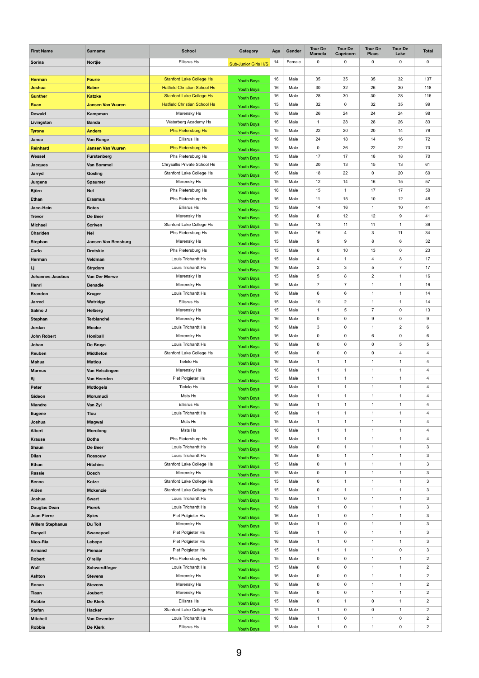| <b>First Name</b>                         | <b>Surname</b>                | <b>School</b>                                  | <b>Category</b>             | Age      | Gender       | <b>Tour De</b><br><b>Maroela</b> | <b>Tour De</b><br><b>Capricorn</b> | <b>Tour De</b><br><b>Plaas</b> | <b>Tour De</b><br>Lake         | <b>Total</b>                                       |
|-------------------------------------------|-------------------------------|------------------------------------------------|-----------------------------|----------|--------------|----------------------------------|------------------------------------|--------------------------------|--------------------------------|----------------------------------------------------|
| <b>Sorina</b>                             | <b>Nortjie</b>                | <b>Ellisrus Hs</b>                             | <b>Sub-Junior Girls H/S</b> | 14       | Female       | $\mathbf 0$                      | $\mathbf 0$                        | $\mathbf 0$                    | $\mathbf 0$                    | 0                                                  |
| <b>Herman</b>                             | <b>Fourie</b>                 | <b>Stanford Lake College Hs</b>                |                             | 16       | Male         | 35                               | 35                                 | 35                             | 32                             | 137                                                |
| <b>Joshua</b>                             | <b>Baber</b>                  | <b>Hatfield Christian School Hs</b>            | <b>Youth Boys</b>           | 16       | Male         | 30                               | 32                                 | 26                             | 30                             | 118                                                |
| <b>Gunther</b>                            | <b>Katzke</b>                 | <b>Stanford Lake College Hs</b>                | <b>Youth Boys</b>           | 16       | Male         | 28                               | 30                                 | 30                             | 28                             | 116                                                |
| <b>Ruan</b>                               | <b>Jansen Van Vuuren</b>      | <b>Hatfield Christian School Hs</b>            | <b>Youth Boys</b>           | 15       | Male         | 32                               | $\mathbf 0$                        | 32                             | 35                             | 99                                                 |
| <b>Dewald</b>                             | Kampman                       | Merensky Hs                                    | <b>Youth Boys</b>           | 16       | Male         | 26                               | 24                                 | 24                             | 24                             | 98                                                 |
| Livingston                                | <b>Banda</b>                  | Waterberg Academy Hs                           | <b>Youth Boys</b>           | 16       | Male         | $\mathbf{1}$                     | 28                                 | 28                             | 26                             | 83                                                 |
| <b>Tyrone</b>                             | <b>Anders</b>                 | <b>Phs Pietersburg Hs</b>                      | <b>Youth Boys</b>           | 15       | Male         | 22                               | 20                                 | 20                             | 14                             | 76                                                 |
| Janco                                     | <b>Von Ronge</b>              | <b>Ellisrus Hs</b>                             | <b>Youth Boys</b>           | 16       | Male         | 24                               | 18                                 | 14                             | 16                             | 72                                                 |
| <b>Reinhard</b>                           | <b>Jansen Van Vuuren</b>      | <b>Phs Pietersburg Hs</b>                      | <b>Youth Boys</b>           | 15       | Male         | $\mathbf 0$                      | 26                                 | 22                             | 22                             | 70                                                 |
| <b>Wessel</b>                             | <b>Furstenberg</b>            | Phs Pietersburg Hs                             | <b>Youth Boys</b>           | 15       | Male         | 17                               | 17                                 | 18                             | 18                             | 70                                                 |
| <b>Jacques</b>                            | <b>Van Bommel</b>             | Chrysallis Private School Hs                   | <b>Youth Boys</b>           | 16       | Male         | 20                               | 13                                 | 15                             | 13                             | 61                                                 |
| Jarryd                                    | Gosling                       | Stanford Lake College Hs                       | <b>Youth Boys</b>           | 16       | Male         | 18                               | 22                                 | $\mathbf 0$                    | 20                             | 60                                                 |
| <b>Jurgens</b>                            | <b>Spaumer</b>                | Merensky Hs                                    | <b>Youth Boys</b>           | 15       | Male         | 12                               | 14                                 | 16                             | 15                             | 57                                                 |
| <b>Björn</b>                              | <b>Nel</b>                    | Phs Pietersburg Hs                             | <b>Youth Boys</b>           | 16       | Male         | 15                               | $\overline{1}$                     | 17                             | 17                             | 50                                                 |
| <b>Ethan</b>                              | <b>Erasmus</b>                | Phs Pietersburg Hs                             | <b>Youth Boys</b>           | 16       | Male         | 11                               | 15                                 | 10                             | 12                             | 48                                                 |
| Jaco-Hein                                 | <b>Botes</b>                  | <b>Ellisrus Hs</b>                             | <b>Youth Boys</b>           | 15       | Male         | 14                               | 16                                 | $\mathbf{1}$                   | 10                             | 41                                                 |
| <b>Trevor</b>                             | De Beer                       | Merensky Hs                                    | <b>Youth Boys</b>           | 16       | Male         | 8                                | 12                                 | 12                             | 9                              | 41                                                 |
| <b>Michael</b>                            | <b>Scriven</b>                | Stanford Lake College Hs                       | <b>Youth Boys</b>           | 15       | Male         | 13                               | 11                                 | 11                             | $\overline{1}$                 | 36                                                 |
| <b>Charlden</b>                           | <b>Nel</b>                    | Phs Pietersburg Hs                             | <b>Youth Boys</b>           | 15       | Male         | 16                               | 4                                  | $\mathbf{3}$                   | 11                             | 34                                                 |
| <b>Stephan</b>                            | <b>Jansen Van Rensburg</b>    | Merensky Hs                                    | Youth Boys                  | 15       | Male         | 9                                | 9                                  | 8                              | $6\phantom{.}6$                | 32                                                 |
| Carlo                                     | <b>Drotskie</b>               | Phs Pietersburg Hs                             | <b>Youth Boys</b>           | 15       | Male         | $\mathsf{O}\xspace$              | 10                                 | 13                             | $\mathbf 0$                    | 23                                                 |
| Herman                                    | Veldman                       | Louis Trichardt Hs                             | <b>Youth Boys</b>           | 15       | Male         | $\overline{4}$                   | $\mathbf 1$                        | 4                              | $\bf 8$                        | 17                                                 |
|                                           | <b>Strydom</b>                | Louis Trichardt Hs                             | <b>Youth Boys</b>           | 16       | Male         | $\overline{c}$                   | 3                                  | $\overline{5}$                 | $\overline{7}$                 | 17                                                 |
| Lj<br><b>Johannes Jacobus</b>             | Van Der Merwe                 | Merensky Hs                                    | <b>Youth Boys</b>           | 15       | Male         | 5                                | 8                                  | $\overline{2}$                 | $\overline{1}$                 | 16                                                 |
|                                           |                               | Merensky Hs                                    | <b>Youth Boys</b>           | 16       | Male         | $\overline{7}$                   | $\overline{7}$                     | $\mathbf{1}$                   | $\overline{1}$                 | 16                                                 |
| Henri                                     | <b>Benadie</b>                | Louis Trichardt Hs                             | <b>Youth Boys</b>           | 16       | Male         | 6                                | 6                                  | $\mathbf{1}$                   | $\mathbf{1}$                   | 14                                                 |
| <b>Brandon</b>                            | <b>Kruger</b>                 | <b>Ellisrus Hs</b>                             | <b>Youth Boys</b>           | 15       | Male         | 10                               | $\overline{2}$                     | $\mathbf{1}$                   | $\overline{1}$                 | 14                                                 |
| <b>Jarred</b>                             | Watridge                      |                                                | <b>Youth Boys</b>           |          |              |                                  | 5                                  | $\overline{7}$                 | $\mathbf 0$                    | 13                                                 |
| Salmo J                                   | <b>Helberg</b>                | Merensky Hs                                    | <b>Youth Boys</b>           | 15<br>16 | Male<br>Male | $\mathbf{1}$                     | $\mathbf 0$                        |                                | $\boldsymbol{0}$               |                                                    |
| <b>Stephan</b>                            | <b>Terblanché</b>             | Merensky Hs<br>Louis Trichardt Hs              | <b>Youth Boys</b>           | 16       | Male         | $\mathbf 0$                      | $\mathbf 0$                        | $\boldsymbol{9}$               | $\overline{2}$                 | $\boldsymbol{9}$                                   |
| <b>Jordan</b>                             | <b>Mocke</b>                  |                                                | <b>Youth Boys</b>           |          |              | $\ensuremath{\mathsf{3}}$        | $\pmb{0}$                          | $\mathbf{1}$                   | $\boldsymbol{0}$               | $\,6\,$                                            |
| <b>John Robert</b>                        | <b>Honiball</b>               | Merensky Hs<br>Louis Trichardt Hs              | <b>Youth Boys</b>           | 16<br>16 | Male<br>Male | $\mathbf 0$<br>$\mathbf 0$       | $\mathbf 0$                        | $\,6\,$<br>$\mathbf 0$         | $\sqrt{5}$                     | 6                                                  |
| Johan                                     | De Bruyn                      | Stanford Lake College Hs                       | <b>Youth Boys</b>           | 16       | Male         |                                  | $\mathbf 0$                        | $\mathbf 0$                    | $\overline{4}$                 | $\mathbf 5$                                        |
| Reuben                                    | <b>Middleton</b>              | Tielelo Hs                                     | <b>Youth Boys</b>           |          |              | $\mathsf{O}\xspace$              | 1                                  |                                | $\mathbf 1$                    | $\overline{\mathbf{4}}$                            |
| <b>Mahua</b>                              | <b>Matlou</b>                 |                                                | <b>Youth Boys</b>           | 16<br>16 | Male<br>Male | 1<br>$\mathbf{1}$                | $\overline{1}$                     | $\mathbf{1}$<br>$\mathbf{1}$   | $\mathbf{1}$                   | $\overline{\mathbf{4}}$                            |
| <b>Marnus</b>                             | Van Helsdingen                | Merensky Hs<br>Piet Potgieter Hs               | <b>Youth Boys</b>           | 15       | Male         | $\mathbf{1}$                     | $\overline{1}$                     | $\mathbf{1}$                   | $\overline{1}$                 | $\overline{\mathbf{4}}$<br>$\overline{\mathbf{4}}$ |
| Sj                                        | Van Heerden                   | Tielelo Hs                                     | <b>Youth Boys</b>           | 16       | Male         | $\mathbf 1$                      | 1                                  | $\mathbf 1$                    | $\mathbf 1$                    | $\overline{\mathbf{4}}$                            |
| Peter                                     | Motlogela                     |                                                | <b>Youth Boys</b>           |          |              |                                  |                                    |                                |                                |                                                    |
| Gideon                                    | Morumudi                      | Msts Hs<br><b>Ellisrus Hs</b>                  | <b>Youth Boys</b>           | 16<br>16 | Male<br>Male | $\mathbf 1$<br>$\mathbf{1}$      | $\mathbf 1$<br>$\overline{1}$      | $\mathbf{1}$                   | $\mathbf{1}$<br>$\overline{1}$ | $\overline{\mathbf{4}}$                            |
| <b>Niandre</b>                            | Van Zyl                       | Louis Trichardt Hs                             | <b>Youth Boys</b>           | 16       | Male         | $\mathbf{1}$                     | $\mathbf 1$                        | $\mathbf{1}$<br>$\mathbf{1}$   | $\mathbf 1$                    | $\overline{\mathbf{4}}$                            |
| <b>Eugene</b>                             | <b>Tlou</b>                   | Msts Hs                                        | <b>Youth Boys</b>           |          |              | $\mathbf 1$                      |                                    |                                |                                | $\overline{\mathbf{4}}$                            |
| Joshua                                    | <b>Magwai</b>                 |                                                | <b>Youth Boys</b>           | 15       | Male         |                                  | -1                                 | $\mathbf{1}$                   | $\mathbf{1}$                   | $\overline{\mathbf{4}}$                            |
| <b>Albert</b>                             | <b>Morolong</b>               | Msts Hs                                        | <b>Youth Boys</b>           | 16       | Male         | -1                               | -1                                 | -1                             | $\overline{1}$                 | 4                                                  |
| <b>Krause</b>                             | <b>Botha</b>                  | Phs Pietersburg Hs                             | <b>Youth Boys</b>           | 15       | Male         | 1                                | $\mathbf 1$                        | 1                              | -1                             | $\overline{\mathbf{4}}$                            |
| <b>Shaun</b>                              | De Beer                       | Louis Trichardt Hs                             | <b>Youth Boys</b>           | 16       | Male         | $\mathbf 0$                      | $\mathbf 1$                        | $\mathbf{1}$                   | $\mathbf{1}$                   | 3                                                  |
| <b>Dilan</b>                              | <b>Rossouw</b>                | Louis Trichardt Hs                             | <b>Youth Boys</b>           | 16       | Male         | $\mathbf 0$                      | $\mathbf 1$<br>1                   | $\mathbf 1$                    | $\overline{1}$                 | $\mathfrak{S}$                                     |
| <b>Ethan</b>                              | <b>Hitchins</b>               | <b>Stanford Lake College Hs</b>                | <b>Youth Boys</b>           | 15       | Male         | $\mathbf 0$                      | $\mathbf 1$                        | $\mathbf 1$                    | $\mathbf 1$<br>$\mathbf{1}$    | 3                                                  |
| <b>Rassie</b>                             | <b>Bosch</b>                  | Merensky Hs<br><b>Stanford Lake College Hs</b> | <b>Youth Boys</b>           | 15<br>15 | Male<br>Male | $\mathbf 0$                      | $\mathbf 1$                        | $\mathbf{1}$<br>$\mathbf{1}$   | $\overline{1}$                 | $\mathfrak{S}$                                     |
| <b>Benno</b>                              | Kotze                         |                                                | <b>Youth Boys</b>           | 15       | Male         | $\mathbf 0$                      | $\mathbf 1$                        | $\mathbf 1$                    | $\mathbf 1$                    | $\mathfrak{S}$                                     |
| <b>Aiden</b>                              | <b>Mckenzie</b>               | Stanford Lake College Hs<br>Louis Trichardt Hs | <b>Youth Boys</b>           | 15       | Male         | $\mathbf 0$<br>$\mathbf 1$       | $\mathbf 0$                        | $\mathbf{1}$                   | $\mathbf 1$                    | $\ensuremath{\mathsf{3}}$<br>$\mathfrak{S}$        |
| Joshua                                    | <b>Swart</b>                  | Louis Trichardt Hs                             | <b>Youth Boys</b>           | 16       | Male         | $\mathbf{1}$                     | $\mathbf 0$                        | $\mathbf{1}$                   | $\overline{1}$                 | $\mathfrak{S}$                                     |
| <b>Dauglas Dean</b><br><b>Jean Pierre</b> | <b>Piorek</b><br><b>Spies</b> | Piet Potgieter Hs                              | <b>Youth Boys</b>           | 16       | Male         | 1                                | $\mathbf 0$                        | $\mathbf 1$                    | $\mathbf 1$                    | 3                                                  |
|                                           |                               |                                                | <b>Youth Boys</b>           | 15       | Male         |                                  | $\mathbf 0$                        | $\mathbf{1}$                   | $\mathbf 1$                    | $\mathfrak{S}$                                     |
| <b>Willem Stephanus</b>                   | Du Toit                       | Merensky Hs<br>Piet Potgieter Hs               | <b>Youth Boys</b>           | 15       | Male         | $\mathbf{1}$<br>$\mathbf 1$      | $\mathbf 0$                        | $\mathbf{1}$                   | $\overline{1}$                 | $\mathfrak{S}$                                     |
| <b>Danyell</b>                            | <b>Swanepoel</b>              | Piet Potgieter Hs                              | <b>Youth Boys</b>           | 16       | Male         | $\mathbf 1$                      | $\mathbf 0$                        | $\mathbf{1}$                   | $\mathbf{1}$                   | $\mathfrak{S}$                                     |
| Nico-Ria                                  | Lebepe                        | Piet Potgieter Hs                              | <b>Youth Boys</b>           | 15       | Male         | $\mathbf{1}$                     | $\overline{1}$                     | $\mathbf{1}$                   | $\mathbf 0$                    | $\mathfrak{S}$                                     |
| <b>Armand</b>                             | <b>Pienaar</b>                | Phs Pietersburg Hs                             | <b>Youth Boys</b>           | 15       | Male         | $\mathbf 0$                      | $\pmb{0}$                          | $\mathbf 1$                    | $\mathbf 1$                    | $\overline{c}$                                     |
| Robert                                    | O'reilly                      | Louis Trichardt Hs                             | <b>Youth Boys</b>           | 15       | Male         | $\mathbf 0$                      | $\mathbf 0$                        | $\mathbf{1}$                   | $\mathbf{1}$                   | $\overline{c}$                                     |
| <b>Wulf</b>                               | Schwerdtfeger                 |                                                | <b>Youth Boys</b>           | 16       |              |                                  |                                    |                                |                                |                                                    |
| <b>Ashton</b>                             | <b>Stevens</b>                | Merensky Hs                                    | <b>Youth Boys</b>           |          | Male         | $\mathbf 0$                      | $\mathbf 0$                        | $\mathbf{1}$<br>$\mathbf 1$    | $\overline{1}$<br>$\mathbf 1$  | $\overline{2}$                                     |
| Ronan                                     | <b>Stevens</b>                | Merensky Hs                                    | <b>Youth Boys</b>           | 16       | Male         | $\mathbf 0$                      | $\pmb{0}$                          |                                |                                | $\overline{2}$                                     |
| <b>Tiaan</b>                              | Joubert                       | Merensky Hs                                    | <b>Youth Boys</b>           | 15       | Male         | $\mathbf 0$                      | $\mathbf 0$                        | $\mathbf{1}$                   | $\mathbf{1}$                   | $\overline{\mathbf{c}}$                            |
| Robbie                                    | De Klerk                      | Ellisras Hs                                    | <b>Youth Boys</b>           | 15       | Male         | $\mathbf 0$                      | $\mathbf 1$                        | $\mathbf 0$                    | $\mathbf 1$                    | $\overline{2}$                                     |
| <b>Stefan</b>                             | <b>Hacker</b>                 | Stanford Lake College Hs                       | <b>Youth Boys</b>           | 15       | Male         | 1                                | 0                                  | $\pmb{0}$                      | $\mathbf 1$                    | $\overline{2}$                                     |
| <b>Mitchell</b>                           | <b>Van Deventer</b>           | Louis Trichardt Hs                             | <b>Youth Boys</b>           | 16       | Male         |                                  | 0                                  | 1                              | $\boldsymbol{0}$               | $\sqrt{2}$                                         |
| <b>Robbie</b>                             | De Klerk                      | <b>Ellisrus Hs</b>                             | <b>Youth Boys</b>           | 15       | Male         | $\mathbf{1}$                     | $\mathbf 0$                        | $\mathbf{1}$                   | $\mathbf 0$                    | $\overline{2}$                                     |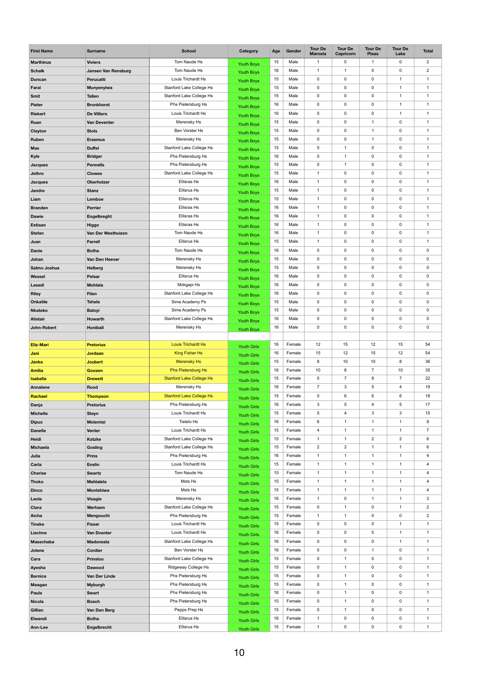| <b>First Name</b>       | <b>Surname</b>                 | <b>School</b>                                         | Category                                 | Age      | Gender           | <b>Tour De</b><br><b>Maroela</b> | <b>Tour De</b><br><b>Capricorn</b> | <b>Tour De</b><br><b>Plaas</b> | <b>Tour De</b><br>Lake | <b>Total</b>   |
|-------------------------|--------------------------------|-------------------------------------------------------|------------------------------------------|----------|------------------|----------------------------------|------------------------------------|--------------------------------|------------------------|----------------|
| <b>Marthinus</b>        | <b>Viviers</b>                 | Tom Naude Hs                                          | <b>Youth Boys</b>                        | 15       | Male             | -1                               | 0                                  | $\mathbf 1$                    | $\mathbf 0$            | $\overline{2}$ |
| <b>Schalk</b>           | <b>Jansen Van Rensburg</b>     | Tom Naude Hs                                          | <b>Youth Boys</b>                        | 16       | Male             | $\mathbf 1$                      | $\mathbf 1$                        | $\mathsf{O}$                   | 0                      | $\sqrt{2}$     |
| <b>Duncan</b>           | Perucatti                      | Louis Trichardt Hs                                    | <b>Youth Boys</b>                        | 15       | Male             | $\mathbf 0$                      | 0                                  | $\mathsf{O}$                   | 1                      | $\mathbf{1}$   |
| Farai                   | <b>Munyenyiwa</b>              | Stanford Lake College Hs                              | <b>Youth Boys</b>                        | 15       | Male             | $\mathbf 0$                      | 0                                  | 0                              | 1                      | $\mathbf{1}$   |
| <b>Smit</b>             | <b>Tallen</b>                  | Stanford Lake College Hs                              | <b>Youth Boys</b>                        | 15       | Male             | $\mathbf 0$                      | 0                                  | $\pmb{0}$                      | 1                      | $\mathbf{1}$   |
| <b>Pieter</b>           | <b>Bronkhorst</b>              | Phs Pietersburg Hs                                    | <b>Youth Boys</b>                        | 16       | Male             | $\mathbf 0$                      | 0                                  | $\mathsf{O}$                   | 1                      | $\mathbf{1}$   |
| <b>Riekert</b>          | <b>De Villiers</b>             | Louis Trichardt Hs                                    | <b>Youth Boys</b>                        | 16       | Male             | $\mathbf 0$                      | 0                                  | 0                              | 1                      | -1             |
| Ruan                    | <b>Van Deventer</b>            | Merensky Hs                                           | <b>Youth Boys</b>                        | 15       | Male             | $\mathbf 0$                      | 0                                  | $\mathbf 1$                    | 0                      | $\mathbf{1}$   |
| Clayton                 | <b>Stols</b>                   | Ben Vorster Hs                                        | <b>Youth Boys</b>                        | 15       | Male             | $\pmb{0}$                        | 0                                  | $\mathbf{1}$                   | 0                      | $\overline{1}$ |
| Ruben                   | <b>Erasmus</b>                 | Merensky Hs                                           | <b>Youth Boys</b>                        | 15       | Male             | $\mathbf 0$                      | 0                                  | 1                              | 0                      | -1             |
| <b>Max</b>              | <b>Duffel</b>                  | Stanford Lake College Hs                              | <b>Youth Boys</b>                        | 15       | Male             | $\mathbf 0$                      | $\mathbf 1$                        | $\mathsf{O}$                   | $\mathbf 0$            | $\mathbf{1}$   |
| Kyle                    | <b>Bridger</b>                 | Phs Pietersburg Hs                                    | <b>Youth Boys</b>                        | 16       | Male             | $\pmb{0}$                        | 1                                  | $\pmb{0}$                      | 0                      | $\overline{1}$ |
| <b>Jacques</b>          | <b>Pennells</b>                | Phs Pietersburg Hs                                    | <b>Youth Boys</b>                        | 15       | Male             | $\mathbf 0$                      | $\mathbf{1}$                       | 0                              | 0                      | -1             |
| <b>Jethro</b>           | <b>Clowes</b>                  | Stanford Lake College Hs                              | <b>Youth Boys</b>                        | 15       | Male             | $\mathbf{1}$                     | 0                                  | $\mathsf{O}$                   | $\mathbf 0$            | $\mathbf{1}$   |
| <b>Jacques</b>          | <b>Oberholzer</b>              | Ellisras Hs                                           | <b>Youth Boys</b>                        | 16       | Male             | $\mathbf{1}$                     | 0                                  | $\pmb{0}$                      | 0                      | $\mathbf{1}$   |
| Jandre                  | <b>Stanz</b>                   | <b>Ellisrus Hs</b>                                    | <b>Youth Boys</b>                        | 15       | Male             | $\mathbf{1}$                     | 0                                  | 0                              | 0                      | $\overline{1}$ |
| Liam                    | Lemboe                         | <b>Ellisrus Hs</b>                                    | <b>Youth Boys</b>                        | 15       | Male             | $\mathbf{1}$                     | 0                                  | $\mathbf 0$                    | $\mathbf 0$            | $\mathbf{1}$   |
| <b>Branden</b>          | <b>Perrier</b>                 | Ellisras Hs                                           | <b>Youth Boys</b>                        | 16       | Male             | $\mathbf{1}$                     | $\mathbf 0$                        | 0                              | 0                      | $\mathbf{1}$   |
| <b>Dawie</b>            | Engelbreght                    | Ellisras Hs                                           | <b>Youth Boys</b>                        | 16       | Male             | $\mathbf{1}$                     | 0                                  | 0                              | 0                      | $\overline{1}$ |
| <b>Estiaan</b>          | <b>Higgo</b>                   | Ellisras Hs                                           | <b>Youth Boys</b>                        | 16       | Male             | $\mathbf{1}$                     | 0                                  | $\mathbf 0$                    | $\mathbf 0$            | $\mathbf{1}$   |
| <b>Stefan</b>           | Van Der Westhuizen             | Tom Naude Hs                                          | Youth Boys                               | 16       | Male             | $\mathbf 1$                      | 0                                  | 0                              | 0                      | 1              |
| Juan                    | <b>Farrell</b>                 | <b>Ellisrus Hs</b>                                    | <b>Youth Boys</b>                        | 15       | Male             | 1                                | 0                                  | $\mathbf 0$                    | $\mathbf 0$            | $\mathbf{1}$   |
| <b>Danie</b>            | <b>Botha</b>                   | Tom Naude Hs                                          | <b>Youth Boys</b>                        | 16       | Male             | $\mathbf 0$                      | 0                                  | $\overline{0}$                 | $\mathbf 0$            | $\mathbf 0$    |
| Johan                   | Van Den Heever                 | Merensky Hs                                           | <b>Youth Boys</b>                        | 15       | Male             | $\mathbf 0$                      | 0                                  | $\mathsf{O}$                   | 0                      | $\mathbf 0$    |
| Salmo Joshua            | <b>Helberg</b>                 | Merensky Hs                                           | <b>Youth Boys</b>                        | 15       | Male             | $\mathbf 0$                      | 0                                  | $\mathbf 0$                    | $\mathbf 0$            | $\mathbf 0$    |
| <b>Wessel</b>           | <b>Pelsar</b>                  | <b>Ellisrus Hs</b>                                    | <b>Youth Boys</b>                        | 16       | Male             | $\mathbf 0$                      | 0                                  | $\mathbf 0$                    | $\mathbf 0$            | $\mathbf 0$    |
| Lesedi                  | <b>Mohlala</b>                 | Mokgapi Hs                                            | <b>Youth Boys</b>                        | 16       | Male             | $\mathbf 0$                      | 0                                  | $\mathsf{O}$                   | $\mathbf 0$            | $\mathbf 0$    |
| <b>Riley</b>            | <b>Filen</b>                   | Stanford Lake College Hs                              | <b>Youth Boys</b>                        | 16       | Male             | $\mathbf 0$                      | 0                                  | $\mathbf 0$                    | $\mathbf 0$            | $\mathbf 0$    |
| <b>Onkatile</b>         | <b>Tshele</b>                  | Sime Academy Ps                                       | <b>Youth Boys</b>                        | 15       | Male             | $\mathbf 0$                      | 0                                  | $\mathsf{O}$                   | $\mathbf 0$            | $\mathbf 0$    |
| <b>Nkateko</b>          | <b>Baloyi</b>                  | Sime Academy Ps                                       | <b>Youth Boys</b>                        | 15       | Male             | $\mathbf 0$                      | 0                                  | $\mathsf{O}$                   | $\mathbf 0$            | $\mathbf 0$    |
| <b>Alistair</b>         | Howarth                        | Stanford Lake College Hs                              | <b>Youth Boys</b>                        | 16       | Male             | $\mathbf 0$                      | 0                                  | $\mathbf 0$                    | $\mathbf 0$            | $\mathbf 0$    |
| John-Robert             | <b>Honiball</b>                | Merensky Hs                                           | Youth Boys                               | 16       | Male             | $\mathbf 0$                      | 0                                  | $\mathsf{O}$                   | $\mathbf 0$            | $\mathbf 0$    |
|                         |                                |                                                       |                                          |          |                  |                                  |                                    |                                |                        |                |
| <b>Eliz-Mari</b>        | <b>Pretorius</b>               | <b>Louis Trichardt Hs</b>                             | <b>Youth Girls</b>                       | 16       | Female           | 12                               | 15                                 | 12                             | 15                     | 54             |
| Jani                    | <b>Jordaan</b>                 | <b>King Fisher Hs</b>                                 | <b>Youth Girls</b>                       | 16       | Female           | 15                               | 12                                 | 15                             | 12                     | 54             |
| <b>Janke</b>            | <b>Joubert</b>                 | <b>Merensky Hs</b>                                    | <b>Youth Girls</b>                       | 15       | Female           | $\bf 8$                          | 10                                 | 10                             | 8                      | 36             |
| <b>Amilia</b>           | <b>Goosen</b>                  | <b>Phs Pietersburg Hs</b>                             | <b>Youth Girls</b>                       | 16<br>15 | Female<br>Female | 10                               | 8<br>$\overline{7}$                | $\overline{7}$                 | 10<br>$\overline{7}$   | 35<br>22       |
| <b>Isabella</b>         | <b>Drewett</b>                 | <b>Stanford Lake College Hs</b>                       | <b>Youth Girls</b>                       | 16       | Female           | $\mathbf 0$<br>$\overline{7}$    | 3                                  | 8                              | $\overline{4}$         | 19             |
| <b>Annalene</b>         | <b>Rood</b>                    | Merensky Hs                                           | <b>Youth Girls</b>                       |          |                  |                                  |                                    | 5                              |                        | 18             |
| Rachael                 | <b>Thompson</b>                | <b>Stanford Lake College Hs</b><br>Phs Pietersburg Hs | <b>Youth Girls</b>                       | 15<br>16 | Female<br>Female | $\mathbf 0$<br>3                 | 6<br>5                             | 6<br>$\overline{\mathbf{4}}$   | 6<br>$5\phantom{.0}$   | 17             |
| Danja                   | <b>Pretorius</b>               | Louis Trichardt Hs                                    | <b>Youth Girls</b>                       | 15       | Female           | 5                                | 4                                  | 3                              | $\mathbf{3}$           | 15             |
| <b>Michelle</b>         | <b>Steyn</b>                   | Tielelo Hs                                            | <b>Youth Girls</b>                       | 16       | Female           | $\,6\,$                          | $\mathbf 1$                        | $\mathbf 1$                    | 1                      | 9              |
| <b>Dipuo</b>            | <b>Molemisi</b>                | Louis Trichardt Hs                                    | <b>Youth Girls</b>                       | 15       | Female           | 4                                | $\overline{1}$                     |                                | 1                      | $\overline{7}$ |
| <b>Danelle</b><br>Heidi | <b>Venter</b><br><b>Katzke</b> | <b>Stanford Lake College Hs</b>                       | <b>Youth Girls</b>                       | 15       | Female           | 1                                | 1                                  | $\overline{2}$                 | $\overline{c}$         | $\,6$          |
| <b>Michaela</b>         |                                | Stanford Lake College Hs                              | <b>Youth Girls</b>                       | 15       | Female           | $\overline{2}$                   | $\overline{2}$                     | $\mathbf 1$                    | 1                      | 6              |
| Julia                   | Gosling<br><b>Prins</b>        | Phs Pietersburg Hs                                    | <b>Youth Girls</b>                       | 16       | Female           | $\mathbf{1}$                     | 1                                  | $\mathbf{1}$                   | $\mathbf 1$            | $\overline{4}$ |
| Carla                   | <b>Enslin</b>                  | Louis Trichardt Hs                                    | <b>Youth Girls</b>                       | 15       | Female           | $\mathbf{1}$                     | $\mathbf{1}$                       | $\mathbf 1$                    | 1                      | 4              |
| <b>Cherise</b>          | <b>Swartz</b>                  | Tom Naude Hs                                          | <b>Youth Girls</b>                       | 15       | Female           | $\mathbf{1}$                     | $\mathbf{1}$                       | $\mathbf 1$                    | 1                      | $\overline{4}$ |
| <b>Thoko</b>            | <b>Mahlalela</b>               | Msts Hs                                               | <b>Youth Girls</b>                       | 15       | Female           | $\mathbf{1}$                     | $\mathbf{1}$                       | $\mathbf{1}$                   | $\mathbf 1$            | $\overline{4}$ |
| <b>Dinco</b>            | <b>Montshiwa</b>               | Msts Hs                                               | <b>Youth Girls</b>                       | 15       | Female           | $\mathbf{1}$                     | $\mathbf{1}$                       | $\mathbf 1$                    | 1                      | $\overline{4}$ |
| Leola                   | <b>Visagie</b>                 | Merensky Hs                                           | <b>Youth Girls</b>                       | 16       | Female           | $\mathbf{1}$                     | 0                                  | $\mathbf{1}$                   | 1                      | $\mathbf{3}$   |
| <b>Clara</b>            | Werhann                        | Stanford Lake College Hs                              | <b>Youth Girls</b>                       | 15       | Female           | $\mathbf 0$                      | 1                                  | $\mathsf{O}$                   | $\mathbf{1}$           | $\overline{2}$ |
| Aicha                   | Mengouchi                      | Phs Pietersburg Hs                                    | <b>Youth Girls</b><br><b>Youth Girls</b> | 15       | Female           | $\mathbf{1}$                     | 1                                  | $\mathbf 0$                    | $\mathbf 0$            | $\overline{2}$ |
| <b>Tineke</b>           | <b>Fisser</b>                  | Louis Trichardt Hs                                    | <b>Youth Girls</b>                       | 15       | Female           | $\mathbf 0$                      | 0                                  | $\mathsf{O}$                   | 1                      | $\mathbf{1}$   |
| Liechne                 | <b>Van Dventer</b>             | Louis Trichardt Hs                                    | <b>Youth Girls</b>                       | 16       | Female           | $\mathbf 0$                      | 0                                  | $\mathsf{O}$                   | 1                      | $\mathbf{1}$   |
| <b>Masechaba</b>        | <b>Madonsela</b>               | Stanford Lake College Hs                              | <b>Youth Girls</b>                       | 16       | Female           | $\mathbf 0$                      | 0                                  | $\mathbf 0$                    | 1                      | $\mathbf{1}$   |
| Jolene                  | Cordier                        | Ben Vorster Hs                                        | <b>Youth Girls</b>                       | 16       | Female           | $\mathbf 0$                      | 0                                  | $\mathbf{1}$                   | $\mathbf 0$            | 1              |
| Cara                    | <b>Prinsloo</b>                | Stanford Lake College Hs                              | <b>Youth Girls</b>                       | 15       | Female           | $\mathbf 0$                      | $\mathbf 1$                        | $\mathsf{O}$                   | 0                      | $\mathbf 1$    |
| Ayesha                  | <b>Dawood</b>                  | Ridgeway College Hs                                   | <b>Youth Girls</b>                       | 15       | Female           | $\mathbf 0$                      | $\mathbf 1$                        | 0                              | 0                      | $\mathbf{1}$   |
| <b>Bernice</b>          | Van Der Linde                  | Phs Pietersburg Hs                                    | <b>Youth Girls</b>                       | 15       | Female           | $\mathbf 0$                      | 1                                  | $\mathsf{O}$                   | $\mathbf 0$            | $\mathbf 1$    |
| <b>Meagan</b>           | <b>Myburgh</b>                 | Phs Pietersburg Hs                                    | <b>Youth Girls</b>                       | 15       | Female           | $\mathbf 0$                      | $\mathbf 1$                        | 0                              | 0                      | $\mathbf 1$    |
| Paula                   | <b>Swart</b>                   | Phs Pietersburg Hs                                    | <b>Youth Girls</b>                       | 16       | Female           | $\mathbf 0$                      | $\mathbf 1$                        | $\mathbf 0$                    | $\mathbf 0$            | $\mathbf{1}$   |
| <b>Nicola</b>           | <b>Bosch</b>                   | Phs Pietersburg Hs                                    | <b>Youth Girls</b>                       | 15       | Female           | $\mathbf 0$                      | 1                                  | $\mathsf{O}$                   | $\mathbf 0$            | $\mathbf 1$    |
| Gillian                 | Van Den Berg                   | Pepps Prep Hs                                         | <b>Youth Girls</b>                       | 15       | Female           | $\pmb{0}$                        | $\mathbf 1$                        | $\mathsf{O}$                   | 0                      | $\mathbf{1}$   |
| <b>Elwandi</b>          | <b>Botha</b>                   | Ellisrus Hs                                           | <b>Youth Girls</b>                       | 16       | Female           |                                  | 0                                  | 0                              | 0                      | 1              |
| Ann-Lee                 | <b>Engelbrecht</b>             | <b>Ellisrus Hs</b>                                    | <b>Youth Girls</b>                       | 15       | Female           | $\mathbf{1}$                     | $\mathbf 0$                        | $\mathbf 0$                    | $\mathbf 0$            | $\mathbf{1}$   |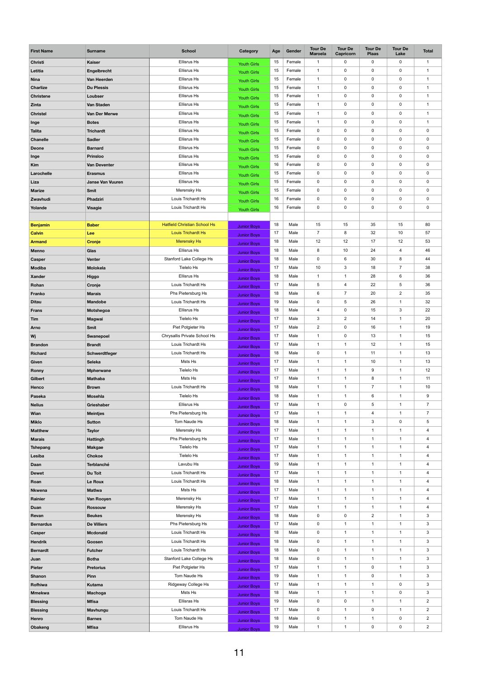| <b>First Name</b> | <b>Surname</b>          | <b>School</b>                       | <b>Category</b>    | Age | Gender | <b>Tour De</b><br><b>Maroela</b> | <b>Tour De</b><br>Capricorn | <b>Tour De</b><br><b>Plaas</b> | <b>Tour De</b><br>Lake | <b>Total</b>              |
|-------------------|-------------------------|-------------------------------------|--------------------|-----|--------|----------------------------------|-----------------------------|--------------------------------|------------------------|---------------------------|
| <b>Christi</b>    | <b>Kaiser</b>           | <b>Ellisrus Hs</b>                  | <b>Youth Girls</b> | 15  | Female | 1                                | $\mathbf 0$                 | $\mathbf 0$                    | $\boldsymbol{0}$       | $\mathbf{1}$              |
| Letitia           | Engelbrecht             | <b>Ellisrus Hs</b>                  | <b>Youth Girls</b> | 15  | Female | $\mathbf{1}$                     | $\mathbf 0$                 | $\mathbf 0$                    | $\mathbf 0$            | -1                        |
| <b>Nina</b>       | Van Heerden             | <b>Ellisrus Hs</b>                  | Youth Girls        | 15  | Female | $\mathbf{1}$                     | $\mathbf 0$                 | $\mathbf 0$                    | $\mathbf 0$            | $\mathbf{1}$              |
| <b>Charlize</b>   | <b>Du Plessis</b>       | <b>Ellisrus Hs</b>                  | <b>Youth Girls</b> | 15  | Female | $\mathbf{1}$                     | $\mathbf 0$                 | $\pmb{0}$                      | $\boldsymbol{0}$       | $\mathbf 1$               |
| <b>Christene</b>  | Loubser                 | <b>Ellisrus Hs</b>                  | <b>Youth Girls</b> | 15  | Female | $\mathbf{1}$                     | $\mathbf 0$                 | $\mathbf 0$                    | $\mathbf 0$            | $\mathbf 1$               |
| <b>Zinta</b>      | <b>Van Staden</b>       | <b>Ellisrus Hs</b>                  | <b>Youth Girls</b> | 15  | Female | $\mathbf{1}$                     | $\mathbf 0$                 | $\mathbf 0$                    | $\boldsymbol{0}$       | $\mathbf{1}$              |
| <b>Christel</b>   | Van Der Merwe           | <b>Ellisrus Hs</b>                  | <b>Youth Girls</b> | 15  | Female | $\mathbf{1}$                     | 0                           | 0                              | $\mathbf 0$            | $\mathbf{1}$              |
| Inge              | <b>Botes</b>            | <b>Ellisrus Hs</b>                  | <b>Youth Girls</b> | 15  | Female | $\mathbf{1}$                     | $\mathbf 0$                 | $\mathbf 0$                    | $\mathbf 0$            | $\mathbf{1}$              |
| <b>Talita</b>     | <b>Trichardt</b>        | <b>Ellisrus Hs</b>                  | <b>Youth Girls</b> | 15  | Female | $\mathbf 0$                      | $\mathbf 0$                 | $\pmb{0}$                      | $\boldsymbol{0}$       | $\pmb{0}$                 |
| <b>Chanelle</b>   | <b>Sadler</b>           | <b>Ellisrus Hs</b>                  | <b>Youth Girls</b> | 15  | Female | $\mathbf 0$                      | 0                           | $\mathbf 0$                    | $\mathbf 0$            | 0                         |
| <b>Deone</b>      | <b>Barnard</b>          | <b>Ellisrus Hs</b>                  | <b>Youth Girls</b> | 15  | Female | $\mathbf 0$                      | $\mathbf 0$                 | $\mathbf 0$                    | $\pmb{0}$              | 0                         |
| Inge              | <b>Prinsloo</b>         | <b>Ellisrus Hs</b>                  | <b>Youth Girls</b> | 15  | Female | $\mathbf 0$                      | $\mathbf 0$                 | $\mathbf 0$                    | $\boldsymbol{0}$       | $\pmb{0}$                 |
| <b>Kim</b>        | <b>Van Deventer</b>     | <b>Ellisrus Hs</b>                  | <b>Youth Girls</b> | 16  | Female | $\mathbf 0$                      | 0                           | $\boldsymbol{0}$               | $\mathbf 0$            | 0                         |
| Larochelle        | <b>Erasmus</b>          | <b>Ellisrus Hs</b>                  | <b>Youth Girls</b> | 15  | Female | $\mathbf 0$                      | $\mathbf 0$                 | $\mathbf 0$                    | $\pmb{0}$              | 0                         |
| Liza              | <b>Janse Van Vuuren</b> | <b>Ellisrus Hs</b>                  | <b>Youth Girls</b> | 15  | Female | $\mathbf 0$                      | $\mathbf 0$                 | $\mathbf 0$                    | $\boldsymbol{0}$       | $\pmb{0}$                 |
| <b>Marize</b>     | <b>Smit</b>             | Merensky Hs                         | <b>Youth Girls</b> | 15  | Female | $\mathbf 0$                      | 0                           | $\boldsymbol{0}$               | $\pmb{0}$              | 0                         |
| Zwavhudi          | Phadziri                | Louis Trichardt Hs                  | <b>Youth Girls</b> | 16  | Female | $\mathbf 0$                      | $\mathbf 0$                 | $\pmb{0}$                      | $\boldsymbol{0}$       | $\pmb{0}$                 |
| Yolande           | <b>Visagie</b>          | Louis Trichardt Hs                  | <b>Youth Girls</b> | 16  | Female | $\mathbf 0$                      | $\mathbf 0$                 | $\mathbf 0$                    | $\pmb{0}$              | $\pmb{0}$                 |
|                   |                         |                                     |                    |     |        |                                  |                             |                                |                        |                           |
| <b>Benjamin</b>   | <b>Baber</b>            | <b>Hatfield Christian School Hs</b> | <b>Junior Boys</b> | 18  | Male   | 15                               | 15                          | 35                             | 15                     | 80                        |
| <b>Calvin</b>     | Lee                     | <b>Louis Trichardt Hs</b>           | <b>Junior Boys</b> | 17  | Male   | $\overline{7}$                   | 8                           | 32                             | 10                     | 57                        |
| <b>Armand</b>     | <b>Cronje</b>           | <b>Merensky Hs</b>                  | <b>Junior Boys</b> | 18  | Male   | 12                               | 12                          | 17                             | 12                     | 53                        |
| <b>Menno</b>      | Glas                    | <b>Ellisrus Hs</b>                  | <b>Junior Boys</b> | 18  | Male   | 8                                | 10                          | 24                             | $\overline{4}$         | 46                        |
| Casper            | <b>Venter</b>           | Stanford Lake College Hs            | <b>Junior Boys</b> | 18  | Male   | $\mathbf 0$                      | 6                           | 30                             | 8                      | 44                        |
| <b>Modiba</b>     | <b>Molokela</b>         | Tielelo Hs                          | <b>Junior Boys</b> | 17  | Male   | 10                               | 3                           | 18                             | $\overline{7}$         | 38                        |
| <b>Xander</b>     | <b>Higgo</b>            | <b>Ellisrus Hs</b>                  | <b>Junior Boys</b> | 18  | Male   | $\mathbf{1}$                     | $\overline{1}$              | 28                             | 6                      | 36                        |
| Rohan             | Cronje                  | Louis Trichardt Hs                  | <b>Junior Boys</b> | 17  | Male   | $\overline{5}$                   | 4                           | 22                             | $\sqrt{5}$             | 36                        |
| <b>Franko</b>     | <b>Marais</b>           | Phs Pietersburg Hs                  | <b>Junior Boys</b> | 18  | Male   | $6\phantom{.}$                   | $\overline{7}$              | 20                             | $\overline{2}$         | 35                        |
| <b>Ditau</b>      | <b>Mandobe</b>          | Louis Trichardt Hs                  | <b>Junior Boys</b> | 19  | Male   | $\mathbf 0$                      | 5                           | 26                             | $\mathbf{1}$           | 32                        |
| <b>Frans</b>      | Motshegoa               | <b>Ellisrus Hs</b>                  | <b>Junior Boys</b> | 18  | Male   | $\overline{4}$                   | $\mathbf 0$                 | 15                             | $\sqrt{3}$             | 22                        |
| Tim               | <b>Magwai</b>           | Tielelo Hs                          | <b>Junior Boys</b> | 17  | Male   | $\mathbf{3}$                     | $\overline{c}$              | 14                             | $\overline{1}$         | 20                        |
| <b>Arno</b>       | <b>Smit</b>             | Piet Potgieter Hs                   | <b>Junior Boys</b> | 17  | Male   | $\overline{2}$                   | $\mathbf 0$                 | 16                             | $\overline{1}$         | 19                        |
| Wj                | Swanepoel               | Chrysallis Private School Hs        | <b>Junior Boys</b> | 17  | Male   | $\mathbf{1}$                     | $\mathbf 0$                 | 13                             | $\overline{1}$         | 15                        |
| <b>Brandon</b>    | <b>Brandt</b>           | Louis Trichardt Hs                  | <b>Junior Boys</b> | 17  | Male   | $\mathbf 1$                      | $\overline{1}$              | 12                             | $\overline{1}$         | 15                        |
| <b>Richard</b>    | Schwerdtfeger           | Louis Trichardt Hs                  | <b>Junior Boys</b> | 18  | Male   | $\mathbf 0$                      | $\overline{1}$              | 11                             | $\overline{1}$         | 13                        |
| Given             | <b>Seleka</b>           | Msts Hs                             | <b>Junior Boys</b> | 17  | Male   | $\mathbf{1}$                     | $\overline{1}$              | 10                             | $\mathbf{1}$           | 13                        |
| Ronny             | <b>Mpherwane</b>        | Tielelo Hs                          | <b>Junior Boys</b> | 17  | Male   | $\mathbf 1$                      | $\overline{1}$              | 9                              | $\overline{1}$         | 12                        |
| Gilbert           | <b>Mathaba</b>          | Msts Hs                             | <b>Junior Boys</b> | 17  | Male   | $\mathbf 1$                      | $\overline{1}$              | $\bf 8$                        | $\overline{1}$         | 11                        |
| Henco             | <b>Brown</b>            | Louis Trichardt Hs                  | <b>Junior Boys</b> | 18  | Male   | $\mathbf 1$                      | $\mathbf 1$                 | $\overline{7}$                 | $\mathbf{1}$           | $10$                      |
| Paseka            | <b>Mosehla</b>          | Tielelo Hs                          | <b>Junior Boys</b> | 18  | Male   | $\mathbf{1}$                     | $\mathbf 1$                 | $\,6\,$                        | $\overline{1}$         | $9\,$                     |
| <b>Nelius</b>     | Grieshaber              | <b>Ellisrus Hs</b>                  | <b>Junior Boys</b> | 17  | Male   | $\mathbf 1$                      | $\mathbf 0$                 | $\sqrt{5}$                     | $\overline{1}$         | $\overline{7}$            |
| <b>Wian</b>       | <b>Meintjes</b>         | Phs Pietersburg Hs                  | <b>Junior Boys</b> | 17  | Male   | $\mathbf{1}$                     | $\mathbf 1$                 | 4                              | $\mathbf{1}$           | $\overline{7}$            |
| <b>Miklo</b>      | <b>Sutton</b>           | Tom Naude Hs                        | <b>Junior Boys</b> | 18  | Male   | $\mathbf 1$                      | $\mathbf 1$                 | $\sqrt{3}$                     | $\boldsymbol{0}$       | $\,$ 5 $\,$               |
| <b>Matthew</b>    | <b>Taylor</b>           | Merensky Hs                         | <b>Junior Boys</b> | 17  | Male   | -1                               | -1                          | -1                             | $\mathbf{1}$           | 4                         |
| <b>Marais</b>     | <b>Hattingh</b>         | Phs Pietersburg Hs                  | <b>Junior Boys</b> | 17  | Male   | 1                                | $\overline{1}$              | 1                              | -1                     | $\overline{\mathbf{4}}$   |
| <b>Tshepang</b>   | <b>Makgae</b>           | Tielelo Hs                          | <b>Junior Boys</b> | 17  | Male   | -1                               | $\mathbf 1$                 | $\mathbf{1}$                   | $\mathbf{1}$           | $\overline{\mathbf{4}}$   |
| Lesiba            | <b>Chokoe</b>           | Tielelo Hs                          | <b>Junior Boys</b> | 17  | Male   | $\mathbf 1$                      | $\mathbf 1$                 | $\mathbf{1}$                   | $\mathbf{1}$           | $\overline{\mathbf{4}}$   |
| <b>Daan</b>       | <b>Terblanché</b>       | Lavubu Hs                           | <b>Junior Boys</b> | 19  | Male   | 1                                | 1                           | $\mathbf 1$                    | $\mathbf{1}$           | $\overline{\mathbf{4}}$   |
| <b>Dewet</b>      | Du Toit                 | Louis Trichardt Hs                  | <b>Junior Boys</b> | 17  | Male   | $\mathbf{1}$                     | $\mathbf 1$                 | $\mathbf{1}$                   | $\mathbf{1}$           | $\overline{\mathbf{4}}$   |
| Roan              | Le Roux                 | Louis Trichardt Hs                  | <b>Junior Boys</b> | 18  | Male   | $\mathbf 1$                      | $\mathbf 1$                 | $\mathbf{1}$                   | $\overline{1}$         | $\overline{\mathbf{4}}$   |
| <b>Nkwena</b>     | <b>Matlwa</b>           | Msts Hs                             | <b>Junior Boys</b> | 17  | Male   | 1                                | 1                           | $\mathbf 1$                    | $\mathbf{1}$           | $\overline{\mathbf{4}}$   |
| Rainier           | Van Rooyen              | Merensky Hs                         | <b>Junior Boys</b> | 17  | Male   | -1                               | $\mathbf 1$                 | $\mathbf{1}$                   | $\mathbf{1}$           | $\overline{\mathbf{4}}$   |
| <b>Duan</b>       | <b>Rossouw</b>          | Merensky Hs                         | <b>Junior Boys</b> | 17  | Male   | $\mathbf 1$                      | $\overline{1}$              | $\mathbf{1}$                   | $\overline{1}$         | $\overline{\mathbf{4}}$   |
| Revan             | <b>Beukes</b>           | Merensky Hs                         | <b>Junior Boys</b> | 18  | Male   | $\mathbf 0$                      | $\mathbf 0$                 | $\overline{2}$                 | $\mathbf 1$            | $\boldsymbol{3}$          |
| <b>Bernardus</b>  | <b>De Villiers</b>      | Phs Pietersburg Hs                  | <b>Junior Boys</b> | 17  | Male   | $\mathbf 0$                      | $\mathbf 1$                 | $\mathbf{1}$                   | $\mathbf{1}$           | $\mathfrak{S}$            |
| <b>Casper</b>     | <b>Mcdonald</b>         | Louis Trichardt Hs                  | <b>Junior Boys</b> | 18  | Male   | $\mathbf 0$                      | $\mathbf 1$                 | $\mathbf{1}$                   | $\overline{1}$         | $\mathfrak{S}$            |
| <b>Hendrik</b>    | Goosen                  | Louis Trichardt Hs                  | <b>Junior Boys</b> | 18  | Male   | $\mathbf 0$                      | 1                           | $\mathbf{1}$                   | $\mathbf{1}$           | $\mathfrak{S}$            |
| <b>Bernardt</b>   | <b>Futcher</b>          | Louis Trichardt Hs                  | <b>Junior Boys</b> | 18  | Male   | $\mathbf 0$                      | $\overline{1}$              | $\mathbf{1}$                   | $\overline{1}$         | $\mathbf{3}$              |
| Juan              | <b>Botha</b>            | Stanford Lake College Hs            | <b>Junior Boys</b> | 18  | Male   | 0                                | 1                           | $\mathbf 1$                    | $\mathbf 1$            | $\ensuremath{\mathsf{3}}$ |
| <b>Pieter</b>     | <b>Pretorius</b>        | Piet Potgieter Hs                   | <b>Junior Boys</b> | 17  | Male   | 1                                | 1                           | $\pmb{0}$                      | $\mathbf{1}$           | $\mathfrak{S}$            |
| <b>Shanon</b>     | Pinn                    | Tom Naude Hs                        | <b>Junior Boys</b> | 19  | Male   | $\mathbf{1}$                     | $\mathbf 1$                 | $\pmb{0}$                      | $\overline{1}$         | $\mathbf{3}$              |
| Rofhiwa           | <b>Kutama</b>           | Ridgeway College Hs                 | <b>Junior Boys</b> | 17  | Male   | $\mathbf{1}$                     | 1                           | $\mathbf 1$                    | $\boldsymbol{0}$       | $\ensuremath{\mathsf{3}}$ |
| <b>Mmekwa</b>     | <b>Machoga</b>          | Msts Hs                             | <b>Junior Boys</b> | 18  | Male   | $\mathbf 1$                      | 1                           | $\mathbf{1}$                   | $\pmb{0}$              | 3                         |
| <b>Blessing</b>   | <b>Mfisa</b>            | Ellisras Hs                         | <b>Junior Boys</b> | 19  | Male   | $\mathbf 0$                      | 0                           | $\mathbf{1}$                   | $\mathbf{1}$           | $\overline{2}$            |
| <b>Blessing</b>   | <b>Mavhungu</b>         | Louis Trichardt Hs                  | <b>Junior Boys</b> | 17  | Male   | $\mathbf 0$                      | $\mathbf 1$                 | $\pmb{0}$                      | $\mathbf{1}$           | $\overline{2}$            |
| Henro             | <b>Barnes</b>           | Tom Naude Hs                        | <b>Junior Boys</b> | 18  | Male   | $\mathbf 0$                      | 1                           | 1                              | $\boldsymbol{0}$       | $\sqrt{2}$                |
| Obakeng           | <b>Mfisa</b>            | <b>Ellisrus Hs</b>                  | <b>Junior Boys</b> | 19  | Male   | $\mathbf{1}$                     | $\overline{1}$              | $\mathbf 0$                    | $\mathbf 0$            | $\overline{2}$            |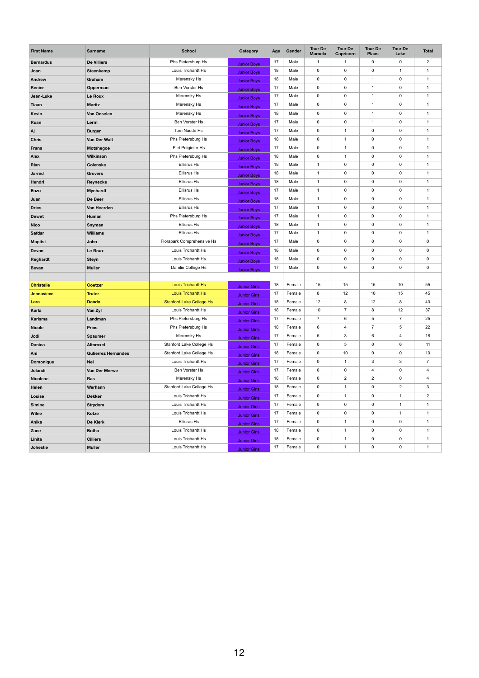| <b>First Name</b> | <b>Surname</b>             | <b>School</b>                   | <b>Category</b>     | Age | Gender | <b>Tour De</b><br><b>Maroela</b> | <b>Tour De</b><br><b>Capricorn</b> | <b>Tour De</b><br><b>Plaas</b> | <b>Tour De</b><br>Lake | <b>Total</b>             |
|-------------------|----------------------------|---------------------------------|---------------------|-----|--------|----------------------------------|------------------------------------|--------------------------------|------------------------|--------------------------|
| <b>Bernardus</b>  | <b>De Villiers</b>         | Phs Pietersburg Hs              | <b>Junior Boys</b>  | 17  | Male   | 1                                | -1                                 | $\pmb{0}$                      | 0                      | $\overline{2}$           |
| Joan              | Steenkamp                  | Louis Trichardt Hs              | <b>Junior Boys</b>  | 18  | Male   | $\mathbf 0$                      | $\boldsymbol{0}$                   | $\pmb{0}$                      | $\mathbf 1$            | 1                        |
| <b>Andrew</b>     | Graham                     | Merensky Hs                     | <b>Junior Boys</b>  | 18  | Male   | $\mathbf 0$                      | $\mathbf 0$                        | $\mathbf{1}$                   | 0                      | $\mathbf 1$              |
| Renier            | Opperman                   | Ben Vorster Hs                  | <b>Junior Boys</b>  | 17  | Male   | $\mathbf 0$                      | $\mathbf 0$                        | -1                             | 0                      | 1                        |
| Jean-Luke         | Le Roux                    | Merensky Hs                     | <b>Junior Boys</b>  | 17  | Male   | $\mathsf{O}\xspace$              | $\boldsymbol{0}$                   | $\mathbf 1$                    | $\pmb{0}$              | 1                        |
| <b>Tiaan</b>      | <b>Maritz</b>              | Merensky Hs                     | <b>Junior Boys</b>  | 17  | Male   | $\mathbf 0$                      | $\boldsymbol{0}$                   | $\mathbf 1$                    | 0                      | $\overline{\phantom{a}}$ |
| <b>Kevin</b>      | Van Onselen                | Merensky Hs                     | <b>Junior Boys</b>  | 18  | Male   | $\mathbf 0$                      | $\mathbf 0$                        | -1                             | 0                      |                          |
| Ruan              | Lerm                       | Ben Vorster Hs                  | <b>Junior Boys</b>  | 17  | Male   | $\mathbf 0$                      | $\pmb{0}$                          | $\mathbf 1$                    | $\pmb{0}$              | 1                        |
| Aj                | <b>Burger</b>              | Tom Naude Hs                    | <b>Junior Boys</b>  | 17  | Male   | $\mathbf 0$                      | $\mathbf{1}$                       | $\pmb{0}$                      | 0                      | 1                        |
| <b>Chris</b>      | Van Der Walt               | Phs Pietersburg Hs              | <b>Junior Boys</b>  | 18  | Male   | $\mathbf 0$                      | $\overline{1}$                     | $\pmb{0}$                      | 0                      |                          |
| <b>Frans</b>      | <b>Motshegoe</b>           | Piet Potgieter Hs               | <b>Junior Boys</b>  | 17  | Male   | $\mathbf 0$                      | $\mathbf{1}$                       | $\pmb{0}$                      | $\pmb{0}$              | $\overline{\mathbf{1}}$  |
| <b>Alex</b>       | <b>Wilkinson</b>           | Phs Pietersburg Hs              | <b>Junior Boys</b>  | 18  | Male   | 0                                | $\overline{1}$                     | $\pmb{0}$                      | 0                      | 1                        |
| Rian              | <b>Colenske</b>            | <b>Ellisrus Hs</b>              | <b>Junior Boys</b>  | 19  | Male   | $\overline{1}$                   | $\mathbf 0$                        | $\pmb{0}$                      | 0                      |                          |
| <b>Jarred</b>     | <b>Grovers</b>             | <b>Ellisrus Hs</b>              | <b>Junior Boys</b>  | 18  | Male   | $\mathbf{1}$                     | $\mathbf 0$                        | $\pmb{0}$                      | $\pmb{0}$              | 1                        |
| Hendri            | Reynecke                   | <b>Ellisrus Hs</b>              | <b>Junior Boys</b>  | 18  | Male   | $\overline{1}$                   | $\mathsf{O}\xspace$                | $\pmb{0}$                      | 0                      | 1                        |
| <b>Enzo</b>       | <b>Mynhardt</b>            | <b>Ellisrus Hs</b>              | <b>Junior Boys</b>  | 17  | Male   | $\overline{1}$                   | $\mathbf 0$                        | $\pmb{0}$                      | 0                      |                          |
| Juan              | De Beer                    | <b>Ellisrus Hs</b>              | <b>Junior Boys</b>  | 18  | Male   | $\overline{\mathbf{1}}$          | $\mathbf 0$                        | $\pmb{0}$                      | $\pmb{0}$              | 1                        |
| <b>Dries</b>      | Van Heerden                | <b>Ellisrus Hs</b>              | <b>Junior Boys</b>  | 17  | Male   | $\mathbf{1}$                     | $\boldsymbol{0}$                   | $\pmb{0}$                      | 0                      | 1                        |
| <b>Dewet</b>      | Human                      | Phs Pietersburg Hs              | <b>Junior Boys</b>  | 17  | Male   | $\overline{1}$                   | $\mathbf 0$                        | $\pmb{0}$                      | 0                      |                          |
| <b>Nico</b>       | Snyman                     | <b>Ellisrus Hs</b>              | <b>Junior Boys</b>  | 18  | Male   | $\overline{1}$                   | $\mathbf 0$                        | $\pmb{0}$                      | 0                      | 1                        |
| <b>Safdar</b>     | <b>Williams</b>            | <b>Ellisrus Hs</b>              | <b>Junior Boys</b>  | 17  | Male   | 1                                | $\mathbf 0$                        | $\pmb{0}$                      | 0                      | 1                        |
| <b>Mapitsi</b>    | John                       | Florapark Comprehensive Hs      | <b>Junior Boys</b>  | 17  | Male   | $\mathbf 0$                      | $\mathbf 0$                        | $\pmb{0}$                      | 0                      | 0                        |
| Devan             | Le Roux                    | Louis Trichardt Hs              | <b>Junior Boys</b>  | 18  | Male   | $\mathbf 0$                      | $\mathbf 0$                        | $\pmb{0}$                      | $\mathbf 0$            | 0                        |
| Reghardt          | <b>Steyn</b>               | Louis Trichardt Hs              | <b>Junior Boys</b>  | 18  | Male   | 0                                | $\mathbf 0$                        | 0                              | 0                      | 0                        |
| <b>Bevan</b>      | <b>Muller</b>              | Damlin College Hs               | <b>Junior Boys</b>  | 17  | Male   | $\mathbf 0$                      | $\mathbf 0$                        | $\pmb{0}$                      | 0                      | 0                        |
|                   |                            |                                 |                     |     |        |                                  |                                    |                                |                        |                          |
| <b>Christelle</b> | <b>Coetzer</b>             | <b>Louis Trichardt Hs</b>       | <b>Junior Girls</b> | 18  | Female | 15                               | 15                                 | 15                             | 10                     | 55                       |
| <b>Jennavieve</b> | <b>Truter</b>              | <b>Louis Trichardt Hs</b>       | <b>Junior Girls</b> | 17  | Female | 8                                | 12                                 | 10                             | 15                     | 45                       |
| Lara              | <b>Dando</b>               | <b>Stanford Lake College Hs</b> | <b>Junior Girls</b> | 18  | Female | 12                               | 8                                  | 12                             | 8                      | 40                       |
| Karla             | Van Zyl                    | Louis Trichardt Hs              | <b>Junior Girls</b> | 18  | Female | 10                               | $\overline{7}$                     | 8                              | 12                     | 37                       |
| <b>Karisma</b>    | Landman                    | Phs Pietersburg Hs              | <b>Junior Girls</b> | 17  | Female | $\overline{7}$                   | $6\phantom{.}6$                    | $\sqrt{5}$                     | $\overline{7}$         | 25                       |
| <b>Nicole</b>     | <b>Prins</b>               | Phs Pietersburg Hs              | <b>Junior Girls</b> | 18  | Female | 6                                | $\overline{4}$                     | $\overline{7}$                 | 5                      | 22                       |
| Jodi              | <b>Spaumer</b>             | Merensky Hs                     | <b>Junior Girls</b> | 17  | Female | 5                                | 3                                  | 6                              | 4                      | 18                       |
| <b>Danica</b>     | <b>Altnroxel</b>           | Stanford Lake College Hs        | <b>Junior Girls</b> | 17  | Female | $\mathbf 0$                      | $\sqrt{5}$                         | $\mathbf 0$                    | 6                      | 11                       |
| Ani               | <b>Gutierrez Hernandes</b> | Stanford Lake College Hs        | <b>Junior Girls</b> | 18  | Female | $\mathbf 0$                      | 10                                 | $\pmb{0}$                      | $\mathbf 0$            | 10                       |
| <b>Domonique</b>  | <b>Nel</b>                 | Louis Trichardt Hs              | <b>Junior Girls</b> | 17  | Female | $\mathbf 0$                      | $\mathbf{1}$                       | 3                              | $\mathbf{3}$           | $\overline{7}$           |
| Jolandi           | Van Der Merwe              | Ben Vorster Hs                  | <b>Junior Girls</b> | 17  | Female | $\mathbf 0$                      | $\mathbf 0$                        | $\overline{\mathbf{4}}$        | $\mathbf 0$            | 4                        |
| <b>Nicolene</b>   | Ras                        | Merensky Hs                     | <b>Junior Girls</b> | 18  | Female | $\mathbf 0$                      | $\overline{2}$                     | $\overline{2}$                 | $\mathbf 0$            | 4                        |
| Helen             | Werhann                    | Stanford Lake College Hs        | <b>Junior Girls</b> | 18  | Female | $\mathbf 0$                      | -1                                 | $\pmb{0}$                      | $\overline{2}$         | 3                        |
| Louise            | <b>Dekker</b>              | Louis Trichardt Hs              | <b>Junior Girls</b> | 17  | Female | $\mathbf 0$                      | $\mathbf{1}$                       | $\pmb{0}$                      | $\mathbf 1$            | $\overline{2}$           |
| <b>Simine</b>     | <b>Strydom</b>             | Louis Trichardt Hs              | <b>Junior Girls</b> | 17  | Female | $\mathbf 0$                      | $\boldsymbol{0}$                   | $\pmb{0}$                      | $\mathbf 1$            | 1                        |
| <b>Wilne</b>      | Kotze                      | Louis Trichardt Hs              | <b>Junior Girls</b> | 17  | Female | $\mathbf 0$                      | $\mathbf 0$                        | $\pmb{0}$                      | $\mathbf 1$            | 1                        |
| Anika             | De Klerk                   | <b>Ellisras Hs</b>              | <b>Junior Girls</b> | 17  | Female | $\mathbf 0$                      | $\mathbf{1}$                       | $\pmb{0}$                      | $\pmb{0}$              | -1                       |
| Zane              | <b>Botha</b>               | Louis Trichardt Hs              | <b>Junior Girls</b> | 18  | Female | 0                                | $\mathbf{1}$                       | $\pmb{0}$                      | 0                      | -1                       |
| Linita            | <b>Cilliers</b>            | Louis Trichardt Hs              | <b>Junior Girls</b> | 18  | Female | $\mathbf 0$                      | $\mathbf{1}$                       | 0                              | 0                      | 1                        |
| Johestie          | <b>Muller</b>              | Louis Trichardt Hs              | <b>Junior Girls</b> | 17  | Female | $\boldsymbol{0}$                 | $\overline{\mathbf{1}}$            | $\boldsymbol{0}$               | 0                      | -1                       |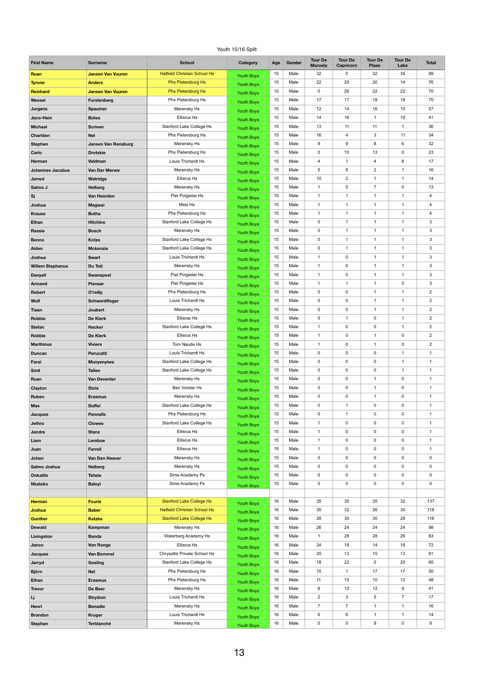## Youth 15/16 Split

| <b>First Name</b>            | <b>Surname</b>               | <b>School</b>                                  | <b>Category</b>                        | Age      | Gender       | <b>Tour De</b><br><b>Maroela</b> | <b>Tour De</b><br><b>Capricorn</b> | <b>Tour De</b><br><b>Plaas</b> | <b>Tour De</b><br>Lake       | <b>Total</b>   |
|------------------------------|------------------------------|------------------------------------------------|----------------------------------------|----------|--------------|----------------------------------|------------------------------------|--------------------------------|------------------------------|----------------|
| Ruan                         | <b>Jansen Van Vuuren</b>     | <b>Hatfield Christian School Hs</b>            | <b>Youth Boys</b>                      | 15       | Male         | 32                               | 0                                  | 32                             | 35                           | 99             |
| <b>Tyrone</b>                | <b>Anders</b>                | <b>Phs Pietersburg Hs</b>                      | <b>Youth Boys</b>                      | 15       | Male         | 22                               | 20                                 | 20                             | 14                           | 76             |
| <b>Reinhard</b>              | <b>Jansen Van Vuuren</b>     | <b>Phs Pietersburg Hs</b>                      | <b>Youth Boys</b>                      | 15       | Male         | 0                                | 26                                 | 22                             | 22                           | 70             |
| Wessel                       | Furstenberg                  | Phs Pietersburg Hs                             | <b>Youth Boys</b>                      | 15       | Male         | 17                               | 17                                 | 18                             | 18                           | 70             |
| <b>Jurgens</b>               | <b>Spaumer</b>               | Merensky Hs                                    | <b>Youth Boys</b>                      | 15       | Male         | 12                               | 14                                 | 16                             | 15                           | 57             |
| Jaco-Hein                    | <b>Botes</b>                 | <b>Ellisrus Hs</b>                             | <b>Youth Boys</b>                      | 15       | Male         | 14                               | 16                                 | $\mathbf 1$                    | 10                           | 41             |
| <b>Michael</b>               | <b>Scriven</b>               | Stanford Lake College Hs                       | <b>Youth Boys</b>                      | 15       | Male         | 13                               | 11                                 | 11                             | $\mathbf{1}$                 | 36             |
| <b>Charlden</b>              | <b>Nel</b>                   | Phs Pietersburg Hs                             | <b>Youth Boys</b>                      | 15       | Male         | 16                               | 4                                  | 3                              | 11                           | 34             |
| <b>Stephan</b>               | <b>Jansen Van Rensburg</b>   | Merensky Hs                                    | <b>Youth Boys</b>                      | 15       | Male         | 9                                | 9                                  | 8                              | 6                            | 32             |
| Carlo                        | <b>Drotskie</b>              | Phs Pietersburg Hs                             | <b>Youth Boys</b>                      | 15       | Male         | 0                                | 10                                 | 13                             | $\pmb{0}$                    | 23             |
| Herman                       | Veldman                      | Louis Trichardt Hs                             | <b>Youth Boys</b>                      | 15       | Male         | 4                                | 1                                  | 4                              | 8                            | 17             |
| <b>Johannes Jacobus</b>      | Van Der Merwe                | Merensky Hs                                    | <b>Youth Boys</b>                      | 15       | Male         | 5                                | 8                                  | $\overline{2}$                 | 1                            | 16             |
| <b>Jarred</b>                | Watridge                     | <b>Ellisrus Hs</b>                             | <b>Youth Boys</b>                      | 15       | Male         | $10\,$                           | $\overline{2}$                     | $\mathbf{1}$                   | $\mathbf{1}$                 | 14             |
| Salmo J                      | <b>Helberg</b>               | Merensky Hs                                    | <b>Youth Boys</b>                      | 15       | Male         | $\mathbf{1}$                     | 5                                  | $\overline{7}$                 | $\pmb{0}$                    | 13             |
| Sj                           | Van Heerden                  | Piet Potgieter Hs                              | <b>Youth Boys</b>                      | 15       | Male         | 1                                | 1                                  | 1                              | 1                            | 4              |
| Joshua                       | <b>Magwai</b>                | Msts Hs                                        | <b>Youth Boys</b>                      | 15       | Male         | $\mathbf{1}$                     | 1<br>1                             | $\mathbf{1}$                   | $\mathbf{1}$                 | 4              |
| <b>Krause</b>                | <b>Botha</b>                 | Phs Pietersburg Hs                             | <b>Youth Boys</b>                      | 15       | Male         | $\mathbf{1}$                     | $\overline{\phantom{a}}$           | 1                              | $\mathbf{1}$                 | 4              |
| <b>Ethan</b>                 | <b>Hitchins</b>              | Stanford Lake College Hs                       | <b>Youth Boys</b>                      | 15       | Male         | 0                                | 1                                  | 1                              | 1                            | 3              |
| <b>Rassie</b>                | <b>Bosch</b><br><b>Kotze</b> | Merensky Hs<br>Stanford Lake College Hs        | <b>Youth Boys</b>                      | 15<br>15 | Male<br>Male | 0<br>0                           | 1                                  | $\mathbf{1}$<br>1              | $\mathbf{1}$<br>$\mathbf{1}$ | 3<br>3         |
| <b>Benno</b><br>Aiden        | <b>Mckenzie</b>              | Stanford Lake College Hs                       | <b>Youth Boys</b>                      | 15       | Male         | 0                                |                                    |                                |                              | 3              |
| Joshua                       | <b>Swart</b>                 | Louis Trichardt Hs                             | <b>Youth Boys</b>                      | 15       | Male         | 1                                | 0                                  | $\mathbf{1}$                   | $\mathbf{1}$                 | $\mathfrak{S}$ |
| <b>Willem Stephanus</b>      | Du Toit                      | Merensky Hs                                    | <b>Youth Boys</b>                      | 15       | Male         | $\mathbf{1}$                     | 0                                  | $\mathbf{1}$                   | $\mathbf{1}$                 | 3              |
| <b>Danyell</b>               | Swanepoel                    | Piet Potgieter Hs                              | <b>Youth Boys</b>                      | 15       | Male         | $\mathbf{1}$                     | 0                                  | $\mathbf 1$                    | $\mathbf{1}$                 | 3              |
| <b>Armand</b>                | Pienaar                      | Piet Potgieter Hs                              | <b>Youth Boys</b>                      | 15       | Male         | $\mathbf{1}$                     | 1                                  | $\mathbf{1}$                   | $\pmb{0}$                    | $\mathbf{3}$   |
| Robert                       | O'reilly                     | Phs Pietersburg Hs                             | <b>Youth Boys</b>                      | 15       | Male         | 0                                | 0                                  | $\mathbf{1}$                   | $\mathbf{1}$                 | $\overline{c}$ |
| <b>Wulf</b>                  | Schwerdtfeger                | Louis Trichardt Hs                             | <b>Youth Boys</b><br><b>Youth Boys</b> | 15       | Male         | 0                                | 0                                  | $\mathbf{1}$                   | $\mathbf{1}$                 | $\overline{c}$ |
| <b>Tiaan</b>                 | Joubert                      | Merensky Hs                                    | <b>Youth Boys</b>                      | 15       | Male         | 0                                | 0                                  | $\mathbf{1}$                   | $\mathbf{1}$                 | $\overline{2}$ |
| Robbie                       | De Klerk                     | <b>Ellisras Hs</b>                             | <b>Youth Boys</b>                      | 15       | Male         | 0                                | $\overline{1}$                     | $\mathbf 0$                    | $\mathbf{1}$                 | $\overline{2}$ |
| <b>Stefan</b>                | <b>Hacker</b>                | Stanford Lake College Hs                       | <b>Youth Boys</b>                      | 15       | Male         | $\mathbf{1}$                     | 0                                  | $\mathbf 0$                    | $\mathbf{1}$                 | $\overline{2}$ |
| Robbie                       | <b>De Klerk</b>              | <b>Ellisrus Hs</b>                             | <b>Youth Boys</b>                      | 15       | Male         | 1                                | 0                                  | $\mathbf{1}$                   | $\pmb{0}$                    | $\overline{2}$ |
| <b>Marthinus</b>             | <b>Viviers</b>               | Tom Naude Hs                                   | <b>Youth Boys</b>                      | 15       | Male         | $\mathbf{1}$                     | 0                                  | $\mathbf{1}$                   | $\mathbf 0$                  | $\overline{2}$ |
| <b>Duncan</b>                | Perucatti                    | Louis Trichardt Hs                             | <b>Youth Boys</b>                      | 15       | Male         | 0                                | 0                                  | $\mathbf 0$                    | $\mathbf{1}$                 | $\mathbf{1}$   |
| Farai                        | <b>Munyenyiwa</b>            | Stanford Lake College Hs                       | <b>Youth Boys</b>                      | 15       | Male         | 0                                | 0                                  | $\pmb{0}$                      | $\mathbf{1}$                 | $\mathbf{1}$   |
| Smit                         | <b>Tallen</b>                | Stanford Lake College Hs                       | <b>Youth Boys</b>                      | 15       | Male         | 0                                | 0                                  | $\mathbf 0$                    | $\mathbf{1}$                 | $\mathbf{1}$   |
| Ruan                         | <b>Van Deventer</b>          | Merensky Hs                                    | <b>Youth Boys</b>                      | 15       | Male         | 0                                | 0                                  | $\mathbf{1}$                   | $\mathbf 0$                  | $\mathbf{1}$   |
| Clayton                      | <b>Stols</b>                 | Ben Vorster Hs                                 | <b>Youth Boys</b>                      | 15       | Male         | 0                                | 0                                  | $\mathbf 1$                    | $\pmb{0}$                    | $\mathbf{1}$   |
| Ruben                        | <b>Erasmus</b>               | Merensky Hs                                    | <b>Youth Boys</b>                      | 15       | Male         | 0                                | 0                                  | $\mathbf{1}$                   | $\mathbf 0$                  | $\mathbf{1}$   |
| <b>Max</b>                   | <b>Duffel</b>                | <b>Stanford Lake College Hs</b>                | <b>Youth Boys</b>                      | 15       | Male         | 0                                | 1                                  | $\mathbf 0$                    | $\mathbf 0$                  | $\mathbf{1}$   |
| <b>Jacques</b>               | <b>Pennells</b>              | Phs Pietersburg Hs                             | <b>Youth Boys</b>                      | 15       | Male         | 0                                | 1                                  | $\mathbf 0$                    | $\mathbf 0$                  | $\mathbf{1}$   |
| Jethro                       | <b>Clowes</b>                | Stanford Lake College Hs                       | <b>Youth Boys</b>                      | 15       | Male         | $\mathbf{1}$                     | 0                                  | $\pmb{0}$                      | $\mathbf 0$                  | $\mathbf{1}$   |
| Jandre                       | <b>Stanz</b>                 | <b>Ellisrus Hs</b>                             | <b>Youth Boys</b>                      | 15       | Male         | $\mathbf{1}$                     | 0                                  | $\pmb{0}$                      | $\mathbf 0$                  | $\mathbf{1}$   |
| Liam                         | Lemboe                       | <b>Ellisrus Hs</b>                             | <b>Youth Boys</b>                      | 15       | Male         | $\mathbf{1}$                     | 0                                  | $\mathbf 0$                    | $\mathbf 0$                  | $\mathbf 1$    |
| Juan                         | <b>Farrell</b>               | <b>Ellisrus Hs</b>                             | <b>Youth Boys</b>                      | 15       | Male         | 1                                | 0                                  | $\pmb{0}$                      | $\mathbf 0$                  | 1              |
| Johan                        | Van Den Heever               | Merensky Hs                                    | Youth Boys                             | 15       | Male         | 0                                | 0                                  | $\mathbf 0$                    | $\mathbf 0$                  | 0              |
| Salmo Joshua                 | <b>Helberg</b>               | Merensky Hs                                    | <b>Youth Boys</b>                      | 15       | Male         | 0                                | 0                                  | $\mathbf 0$                    | $\mathbf 0$                  | 0              |
| <b>Onkatile</b>              | <b>Tshele</b>                | Sime Academy Ps                                | <b>Youth Boys</b>                      | 15       | Male         | 0                                | 0                                  | $\mathbf 0$                    | $\mathbf 0$                  | 0              |
| <b>Nkateko</b>               | <b>Baloyi</b>                | Sime Academy Ps                                | Youth Boys                             | 15       | Male         | 0                                | 0                                  | $\pmb{0}$                      | $\mathbf 0$                  | 0              |
|                              |                              |                                                |                                        |          |              |                                  |                                    |                                |                              |                |
| <b>Herman</b>                | <b>Fourie</b>                | <b>Stanford Lake College Hs</b>                | <b>Youth Boys</b>                      | 16       | Male         | 35                               | 35                                 | 35                             | 32                           | 137            |
| <b>Joshua</b>                | <b>Baber</b>                 | <b>Hatfield Christian School Hs</b>            | <b>Youth Boys</b>                      | 16       | Male         | 30 <sup>°</sup>                  | 32                                 | 26                             | 30                           | 118            |
| <b>Gunther</b>               | <b>Katzke</b>                | <b>Stanford Lake College Hs</b>                | <b>Youth Boys</b>                      | 16       | Male         | 28                               | 30                                 | 30                             | 28                           | 116            |
| <b>Dewald</b>                | Kampman                      | Merensky Hs                                    | <b>Youth Boys</b>                      | 16       | Male         | 26                               | 24                                 | 24                             | 24                           | 98             |
| Livingston                   | <b>Banda</b>                 | Waterberg Academy Hs                           | <b>Youth Boys</b>                      | 16       | Male         | $\mathbf{1}$                     | 28                                 | 28                             | 26                           | 83             |
| Janco                        | <b>Von Ronge</b>             | <b>Ellisrus Hs</b>                             | <b>Youth Boys</b>                      | 16       | Male         | 24                               | 18                                 | 14                             | 16                           | 72             |
| <b>Jacques</b>               | Van Bommel                   | Chrysallis Private School Hs                   | <b>Youth Boys</b>                      | 16<br>16 | Male<br>Male | 20<br>18                         | 13<br>22                           | 15                             | 13<br>20                     | 61<br>60       |
| Jarryd                       | Gosling<br><b>Nel</b>        | Stanford Lake College Hs<br>Phs Pietersburg Hs | <b>Youth Boys</b>                      | 16       | Male         | 15                               | $\overline{1}$                     | $\mathbf 0$<br>17              | 17                           | 50             |
| <b>Björn</b><br><b>Ethan</b> | <b>Erasmus</b>               | Phs Pietersburg Hs                             | <b>Youth Boys</b>                      | 16       | Male         | 11                               | 15                                 | 10                             | 12                           | 48             |
| <b>Trevor</b>                | De Beer                      | Merensky Hs                                    | <b>Youth Boys</b>                      | 16       | Male         | 8                                | 12                                 | 12                             | 9                            | 41             |
| Lj                           | <b>Strydom</b>               | Louis Trichardt Hs                             | <b>Youth Boys</b>                      | 16       | Male         | $\overline{2}$                   | $\mathbf{3}$                       | 5                              | $\overline{7}$               | 17             |
| Henri                        | <b>Benadie</b>               | Merensky Hs                                    | <b>Youth Boys</b>                      | 16       | Male         | $\overline{7}$                   | $\overline{7}$                     | $\mathbf 1$                    | $\mathbf{1}$                 | 16             |
| <b>Brandon</b>               | <b>Kruger</b>                | Louis Trichardt Hs                             | Youth Boys                             | 16       | Male         | 6                                | 6                                  | $\mathbf 1$                    | $\mathbf{1}$                 | 14             |
| <b>Stephan</b>               | Terblanché                   | Merensky Hs                                    | Youth Boys<br><b>Youth Boys</b>        | 16       | Male         | 0                                | 0                                  | 9                              | 0                            | 9              |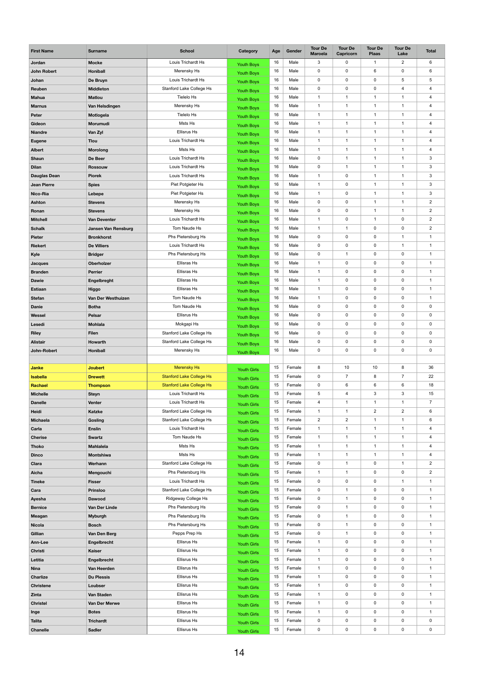| <b>First Name</b>   | <b>Surname</b>             | <b>School</b>                   | <b>Category</b>    | Age | Gender | <b>Tour De</b><br><b>Maroela</b> | <b>Tour De</b><br>Capricorn | <b>Tour De</b><br><b>Plaas</b> | <b>Tour De</b><br>Lake | <b>Total</b>              |
|---------------------|----------------------------|---------------------------------|--------------------|-----|--------|----------------------------------|-----------------------------|--------------------------------|------------------------|---------------------------|
| Jordan              | <b>Mocke</b>               | Louis Trichardt Hs              | <b>Youth Boys</b>  | 16  | Male   | 3                                | 0                           | -1                             | $\overline{2}$         | 6                         |
| <b>John Robert</b>  | <b>Honiball</b>            | Merensky Hs                     | <b>Youth Boys</b>  | 16  | Male   | 0                                | 0                           | 6                              | $\mathbf 0$            | 6                         |
| Johan               | De Bruyn                   | Louis Trichardt Hs              | <b>Youth Boys</b>  | 16  | Male   | $\pmb{0}$                        | 0                           | 0                              | 5                      | 5                         |
| Reuben              | <b>Middleton</b>           | Stanford Lake College Hs        | <b>Youth Boys</b>  | 16  | Male   | 0                                | 0                           | $\pmb{0}$                      | 4                      | 4                         |
| <b>Mahua</b>        | <b>Matlou</b>              | Tielelo Hs                      | <b>Youth Boys</b>  | 16  | Male   | 1                                | 1                           | $\mathbf 1$                    | $\mathbf{1}$           | 4                         |
| <b>Marnus</b>       | Van Helsdingen             | Merensky Hs                     | <b>Youth Boys</b>  | 16  | Male   | 1                                | 1                           | -1                             | $\mathbf{1}$           | 4                         |
| Peter               | Motlogela                  | Tielelo Hs                      | <b>Youth Boys</b>  | 16  | Male   | 1                                |                             | 1                              | 1                      | 4                         |
| Gideon              | Morumudi                   | Msts Hs                         | <b>Youth Boys</b>  | 16  | Male   | $\mathbf{1}$                     | 1                           | $\mathbf 1$                    | $\mathbf 1$            | 4                         |
| <b>Niandre</b>      | Van Zyl                    | Ellisrus Hs                     | <b>Youth Boys</b>  | 16  | Male   | 1                                | 1                           | 1                              | $\mathbf{1}$           | 4                         |
| <b>Eugene</b>       | <b>Tlou</b>                | Louis Trichardt Hs              | <b>Youth Boys</b>  | 16  | Male   | 1                                |                             | -1                             | 1                      | 4                         |
| <b>Albert</b>       | <b>Morolong</b>            | Msts Hs                         | <b>Youth Boys</b>  | 16  | Male   | $\mathbf{1}$                     | 1                           | $\mathbf 1$                    | $\mathbf 1$            | 4                         |
| <b>Shaun</b>        | De Beer                    | Louis Trichardt Hs              | <b>Youth Boys</b>  | 16  | Male   | 0                                | 1                           | -1                             | $\mathbf{1}$           | 3                         |
| <b>Dilan</b>        | <b>Rossouw</b>             | Louis Trichardt Hs              |                    | 16  | Male   | 0                                | 1                           | -1                             | 1                      | $\mathfrak{S}$            |
| <b>Dauglas Dean</b> | <b>Piorek</b>              | Louis Trichardt Hs              | <b>Youth Boys</b>  | 16  | Male   | 1                                | 0                           | 1                              | 1                      | $\ensuremath{\mathsf{3}}$ |
| <b>Jean Pierre</b>  | <b>Spies</b>               | Piet Potgieter Hs               | <b>Youth Boys</b>  | 16  | Male   | $\mathbf{1}$                     | 0                           | $\mathbf 1$                    | $\mathbf 1$            | $\mathfrak{S}$            |
| Nico-Ria            | Lebepe                     | Piet Potgieter Hs               | <b>Youth Boys</b>  | 16  | Male   | $\mathbf{1}$                     | 0                           | -1                             | 1                      | 3                         |
| <b>Ashton</b>       | <b>Stevens</b>             | Merensky Hs                     | <b>Youth Boys</b>  | 16  | Male   | 0                                | 0                           | 1                              | $\mathbf 1$            | $\overline{2}$            |
| Ronan               | <b>Stevens</b>             | Merensky Hs                     | <b>Youth Boys</b>  | 16  | Male   | 0                                | 0                           | $\mathbf 1$                    | $\mathbf 1$            | $\mathbf{2}$              |
| <b>Mitchell</b>     | Van Deventer               | Louis Trichardt Hs              | <b>Youth Boys</b>  | 16  | Male   | $\mathbf{1}$                     | 0                           | 1                              | $\mathbf 0$            | $\overline{2}$            |
| <b>Schalk</b>       | <b>Jansen Van Rensburg</b> | Tom Naude Hs                    | <b>Youth Boys</b>  | 16  | Male   | 1                                | 1                           | $\pmb{0}$                      | $\mathbf 0$            | $\overline{2}$            |
| <b>Pieter</b>       | <b>Bronkhorst</b>          | Phs Pietersburg Hs              | <b>Youth Boys</b>  | 16  | Male   | 0                                | 0                           | 0                              | 1                      | 1                         |
|                     | <b>De Villiers</b>         | Louis Trichardt Hs              | Youth Boys         | 16  | Male   | $\mathbf 0$                      | 0                           | $\mathbf 0$                    | $\mathbf{1}$           | $\mathbf{1}$              |
| <b>Riekert</b>      |                            |                                 | <b>Youth Boys</b>  | 16  | Male   | $\pmb{0}$                        | 1                           | $\mathbf 0$                    | $\mathbf 0$            |                           |
| Kyle                | <b>Bridger</b>             | Phs Pietersburg Hs              | <b>Youth Boys</b>  | 16  |        |                                  |                             |                                |                        | $\mathbf 1$               |
| <b>Jacques</b>      | Oberholzer                 | <b>Ellisras Hs</b>              | <b>Youth Boys</b>  |     | Male   | $\mathbf 1$                      | 0                           | 0                              | $\mathbf 0$            | $\mathbf 1$               |
| <b>Branden</b>      | <b>Perrier</b>             | Ellisras Hs                     | <b>Youth Boys</b>  | 16  | Male   | $\mathbf{1}$                     | 0                           | $\mathbf 0$                    | $\mathbf 0$            | $\mathbf{1}$              |
| <b>Dawie</b>        | Engelbreght                | Ellisras Hs                     | <b>Youth Boys</b>  | 16  | Male   | $\mathbf{1}$                     | 0                           | $\pmb{0}$                      | $\mathbf 0$            | $\mathbf 1$               |
| <b>Estiaan</b>      | <b>Higgo</b>               | Ellisras Hs                     | <b>Youth Boys</b>  | 16  | Male   | $\mathbf{1}$                     | 0                           | 0                              | $\mathbf 0$            | $\mathbf 1$               |
| <b>Stefan</b>       | Van Der Westhuizen         | Tom Naude Hs                    | <b>Youth Boys</b>  | 16  | Male   | $\mathbf{1}$                     | 0                           | $\mathbf 0$                    | $\mathbf 0$            | $\mathbf{1}$              |
| <b>Danie</b>        | <b>Botha</b>               | Tom Naude Hs                    | <b>Youth Boys</b>  | 16  | Male   | $\pmb{0}$                        | 0                           | $\pmb{0}$                      | $\mathbf 0$            | $\pmb{0}$                 |
| Wessel              | <b>Pelsar</b>              | <b>Ellisrus Hs</b>              | <b>Youth Boys</b>  | 16  | Male   | 0                                | 0                           | 0                              | $\mathbf 0$            | 0                         |
| <b>Lesedi</b>       | <b>Mohlala</b>             | Mokgapi Hs                      | <b>Youth Boys</b>  | 16  | Male   | $\pmb{0}$                        | 0                           | $\pmb{0}$                      | $\mathbf 0$            | $\mathbf 0$               |
| <b>Riley</b>        | <b>Filen</b>               | Stanford Lake College Hs        | <b>Youth Boys</b>  | 16  | Male   | 0                                | 0                           | 0                              | $\mathbf 0$            | $\pmb{0}$                 |
| <b>Alistair</b>     | Howarth                    | Stanford Lake College Hs        | <b>Youth Boys</b>  | 16  | Male   | 0                                | 0                           | $\pmb{0}$                      | $\mathbf 0$            | $\pmb{0}$                 |
| John-Robert         | <b>Honiball</b>            | Merensky Hs                     | Youth Boys         | 16  | Male   | 0                                | 0                           | $\pmb{0}$                      | $\mathbf 0$            | $\pmb{0}$                 |
|                     |                            |                                 |                    |     |        |                                  |                             |                                |                        |                           |
| <b>Janke</b>        | <b>Joubert</b>             | <b>Merensky Hs</b>              | <b>Youth Girls</b> | 15  | Female | 8                                | 10                          | 10                             | 8                      | 36                        |
| <b>Isabella</b>     | <b>Drewett</b>             | <b>Stanford Lake College Hs</b> | <b>Youth Girls</b> | 15  | Female | $\pmb{0}$                        | $\overline{7}$              | 8                              | $\overline{7}$         | 22                        |
| Rachael             | <b>Thompson</b>            | <b>Stanford Lake College Hs</b> | <b>Youth Girls</b> | 15  | Female | 0                                | 6                           | 6                              | 6                      | 18                        |
| <b>Michelle</b>     | <b>Steyn</b>               | Louis Trichardt Hs              | <b>Youth Girls</b> | 15  | Female | 5                                | 4                           | 3                              | $3\overline{3}$        | 15                        |
| <b>Danelle</b>      | <b>Venter</b>              | Louis Trichardt Hs              | <b>Youth Girls</b> | 15  | Female | 4                                | $\mathbf 1$                 | $\mathbf{1}$                   | $\mathbf{1}$           | 7 <sup>1</sup>            |
| Heidi               | <b>Katzke</b>              | Stanford Lake College Hs        | <b>Youth Girls</b> | 15  | Female | $\mathbf 1$                      | $\mathbf 1$                 | $\overline{2}$                 | $\overline{2}$         | 6                         |
| <b>Michaela</b>     | Gosling                    | Stanford Lake College Hs        | <b>Youth Girls</b> | 15  | Female | $\overline{2}$                   | $\overline{2}$              | $\mathbf{1}$                   | $\mathbf{1}$           | 6                         |
| Carla               | <b>Enslin</b>              | Louis Trichardt Hs              | <b>Youth Girls</b> | 15  | Female | $\mathbf{1}$                     | 1                           | $\mathbf{1}$                   | $\mathbf{1}$           | $\overline{4}$            |
| <b>Cherise</b>      | <b>Swartz</b>              | Tom Naude Hs                    | <b>Youth Girls</b> | 15  | Female | 1                                |                             |                                | 1                      | 4                         |
| <b>Thoko</b>        | <b>Mahlalela</b>           | Msts Hs                         | <b>Youth Girls</b> | 15  | Female | 1                                | 1                           |                                | $\mathbf 1$            | 4                         |
| <b>Dinco</b>        | <b>Montshiwa</b>           | Msts Hs                         | <b>Youth Girls</b> | 15  | Female | $\mathbf{1}$                     | 1                           | $\mathbf{1}$                   | $\mathbf{1}$           | 4                         |
| <b>Clara</b>        | Werhann                    | Stanford Lake College Hs        | <b>Youth Girls</b> | 15  | Female | 0                                | 1                           | 0                              | $\mathbf{1}$           | $\mathbf{2}$              |
| Aicha               | Mengouchi                  | Phs Pietersburg Hs              | <b>Youth Girls</b> | 15  | Female | $\mathbf 1$                      | 1                           | $\mathbf 0$                    | $\mathbf 0$            | $\overline{a}$            |
| <b>Tineke</b>       | <b>Fisser</b>              | Louis Trichardt Hs              | <b>Youth Girls</b> | 15  | Female | 0                                | 0                           | 0                              | $\mathbf{1}$           | $\mathbf 1$               |
| Cara                | <b>Prinsloo</b>            | <b>Stanford Lake College Hs</b> | <b>Youth Girls</b> | 15  | Female | 0                                | 1                           | 0                              | $\mathbf 0$            | $\mathbf 1$               |
| Ayesha              | <b>Dawood</b>              | Ridgeway College Hs             | <b>Youth Girls</b> | 15  | Female | 0                                | 1                           | $\mathsf{O}$                   | $\mathbf 0$            | 1                         |
| <b>Bernice</b>      | Van Der Linde              | Phs Pietersburg Hs              | <b>Youth Girls</b> | 15  | Female | 0                                | 1                           | 0                              | $\mathbf 0$            | $\mathbf 1$               |
| <b>Meagan</b>       | <b>Myburgh</b>             | Phs Pietersburg Hs              | <b>Youth Girls</b> | 15  | Female | 0                                | 1                           | 0                              | $\mathbf 0$            | $\mathbf 1$               |
| <b>Nicola</b>       | <b>Bosch</b>               | Phs Pietersburg Hs              | <b>Youth Girls</b> | 15  | Female | 0                                | 1                           | $\mathsf{O}$                   | $\mathbf 0$            | $\mathbf{1}$              |
| Gillian             | Van Den Berg               | Pepps Prep Hs                   | <b>Youth Girls</b> | 15  | Female | 0                                | 1                           | 0                              | $\mathbf 0$            | $\mathbf 1$               |
| <b>Ann-Lee</b>      | Engelbrecht                | <b>Ellisrus Hs</b>              | <b>Youth Girls</b> | 15  | Female | $\mathbf 1$                      | 0                           | 0                              | $\mathbf 0$            | $\mathbf 1$               |
| <b>Christi</b>      | <b>Kaiser</b>              | Ellisrus Hs                     | <b>Youth Girls</b> | 15  | Female | $\mathbf{1}$                     | 0                           | $\mathbf 0$                    | $\mathbf 0$            | 1                         |
| Letitia             | Engelbrecht                | Ellisrus Hs                     | <b>Youth Girls</b> | 15  | Female | $\mathbf{1}$                     | 0                           | $\mathbf 0$                    | $\mathbf 0$            | $\mathbf 1$               |
| <b>Nina</b>         | Van Heerden                | <b>Ellisrus Hs</b>              | <b>Youth Girls</b> | 15  | Female | $\mathbf{1}$                     | 0                           | 0                              | $\mathbf 0$            | $\mathbf 1$               |
| <b>Charlize</b>     | <b>Du Plessis</b>          | Ellisrus Hs                     | <b>Youth Girls</b> | 15  | Female | $\mathbf{1}$                     | 0                           | $\mathbf 0$                    | $\mathbf 0$            | 1                         |
| <b>Christene</b>    | Loubser                    | Ellisrus Hs                     | <b>Youth Girls</b> | 15  | Female | $\mathbf{1}$                     | 0                           | $\mathbf 0$                    | $\mathbf 0$            | $\mathbf 1$               |
| <b>Zinta</b>        | Van Staden                 | <b>Ellisrus Hs</b>              | <b>Youth Girls</b> | 15  | Female | $\mathbf 1$                      | 0                           | 0                              | $\mathbf 0$            | $\mathbf 1$               |
| <b>Christel</b>     | Van Der Merwe              | Ellisrus Hs                     | <b>Youth Girls</b> | 15  | Female | $\mathbf{1}$                     | 0                           | $\mathbf 0$                    | $\mathbf 0$            | 1.                        |
| Inge                | <b>Botes</b>               | Ellisrus Hs                     | <b>Youth Girls</b> | 15  | Female | $\mathbf{1}$                     | 0                           | 0                              | $\mathbf 0$            | $\mathbf 1$               |
| <b>Talita</b>       | <b>Trichardt</b>           | <b>Ellisrus Hs</b>              | <b>Youth Girls</b> | 15  | Female | 0                                | 0                           | 0                              | $\mathbf 0$            | $\pmb{0}$                 |
| <b>Chanelle</b>     | <b>Sadler</b>              | Ellisrus Hs                     | <b>Youth Girls</b> | 15  | Female | $\mathbf 0$                      | $\mathbf 0$                 | $\mathbf 0$                    | $\mathbf{0}$           | $\mathbf 0$               |